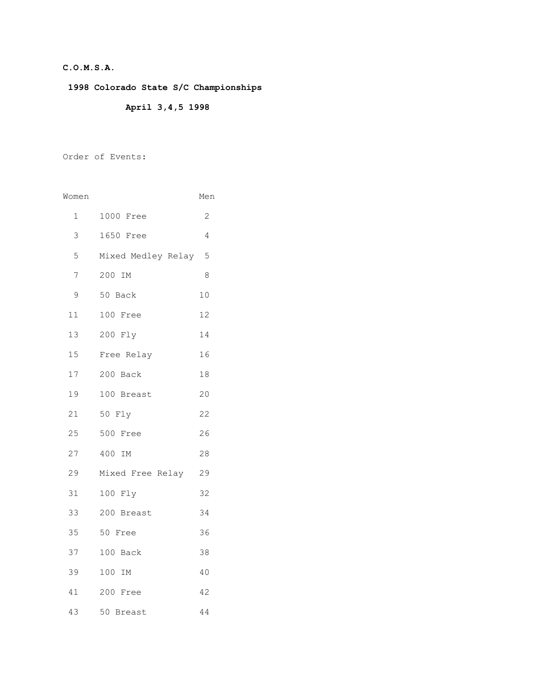### **C.O.M.S.A.**

**1998 Colorado State S/C Championships**

## **April 3,4,5 1998**

Order of Events:

| Women           |                      | Men            |
|-----------------|----------------------|----------------|
| $\mathbf{1}$    | 1000 Free            | $\overline{2}$ |
| 3               | 1650 Free            | 4              |
| 5               | Mixed Medley Relay 5 |                |
| 7               | 200 IM               | 8              |
| 9               | 50 Back              | 10             |
| 11              | 100 Free             | 12             |
| 13              | 200 Fly              | 14             |
| 15 <sub>1</sub> | Free Relay           | 16             |
| 17              | 200 Back             | 18             |
| 19              | 100 Breast           | 20             |
| 21              | 50 Fly               | 22             |
| 25              | 500 Free             | 26             |
| 27              | 400 IM               | 28             |
| 29              | Mixed Free Relay     | 29             |
| 31              | 100 Fly              | 32             |
| 33              | 200 Breast           | 34             |
| 35              | 50 Free              | 36             |
| 37              | 100 Back             | 38             |
| 39              | 100 IM               | 40             |
| 41              | 200 Free             | 42             |
| 43              | 50 Breast            | 44             |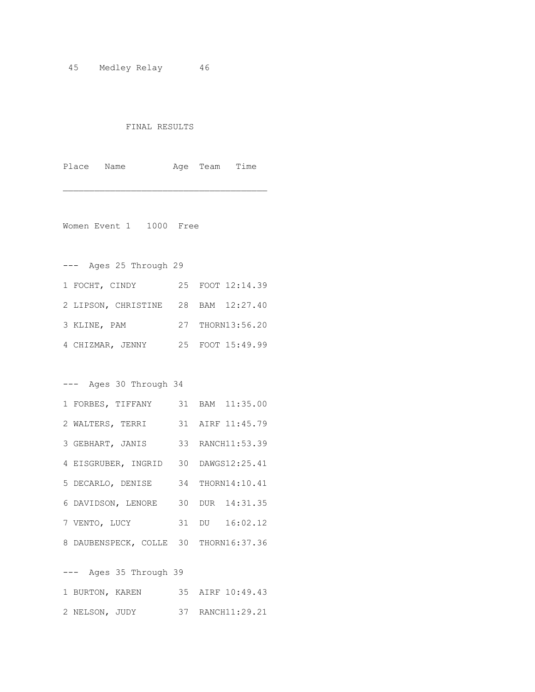#### FINAL RESULTS

Place Name Age Team Time

 $\mathcal{L}_\text{max}$  and  $\mathcal{L}_\text{max}$  and  $\mathcal{L}_\text{max}$ 

Women Event 1 1000 Free

--- Ages 25 Through 29

| 1 FOCHT, CINDY                      | 25 FOOT 12:14.39 |
|-------------------------------------|------------------|
| 2 LIPSON, CHRISTINE 28 BAM 12:27.40 |                  |
| 3 KLINE, PAM                        | 27 THORN13:56.20 |
| 4 CHIZMAR, JENNY                    | 25 FOOT 15:49.99 |

--- Ages 30 Through 34

| 1 FORBES, TIFFANY                     |  | 31 BAM 11:35.00  |
|---------------------------------------|--|------------------|
| 2 WALTERS, TERRI                      |  | 31 AIRF 11:45.79 |
| 3 GEBHART, JANIS                      |  | 33 RANCH11:53.39 |
| 4 EISGRUBER, INGRID 30 DAWGS12:25.41  |  |                  |
| 5 DECARLO, DENISE                     |  | 34 THORN14:10.41 |
| 6 DAVIDSON, LENORE                    |  | 30 DUR 14:31.35  |
| 7 VENTO, LUCY                         |  | 31 DU 16:02.12   |
| 8 DAUBENSPECK, COLLE 30 THORN16:37.36 |  |                  |

--- Ages 35 Through 39

| 1 BURTON, KAREN |  | 35 AIRF 10:49.43 |
|-----------------|--|------------------|
| 2 NELSON, JUDY  |  | 37 RANCH11:29.21 |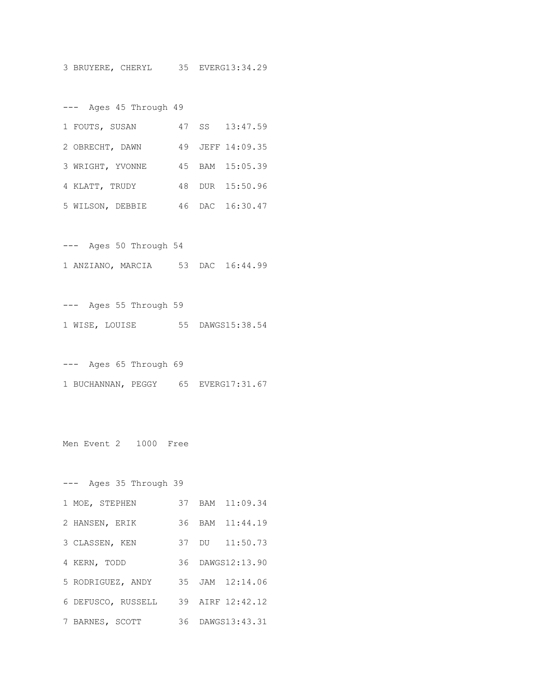3 BRUYERE, CHERYL 35 EVERG13:34.29

--- Ages 45 Through 49

| 1 FOUTS, SUSAN   |  | 47 SS 13:47.59   |
|------------------|--|------------------|
| 2 OBRECHT, DAWN  |  | 49 JEFF 14:09.35 |
| 3 WRIGHT, YVONNE |  | 45 BAM 15:05.39  |
| 4 KLATT, TRUDY   |  | 48 DUR 15:50.96  |
| 5 WILSON, DEBBIE |  | 46 DAC 16:30.47  |

--- Ages 50 Through 54 1 ANZIANO, MARCIA 53 DAC 16:44.99

--- Ages 55 Through 59 1 WISE, LOUISE 55 DAWGS15:38.54

--- Ages 65 Through 69 1 BUCHANNAN, PEGGY 65 EVERG17:31.67

Men Event 2 1000 Free

--- Ages 35 Through 39 1 MOE, STEPHEN 37 BAM 11:09.34 2 HANSEN, ERIK 36 BAM 11:44.19 3 CLASSEN, KEN 37 DU 11:50.73 4 KERN, TODD 36 DAWGS12:13.90 5 RODRIGUEZ, ANDY 35 JAM 12:14.06 6 DEFUSCO, RUSSELL 39 AIRF 12:42.12 7 BARNES, SCOTT 36 DAWGS13:43.31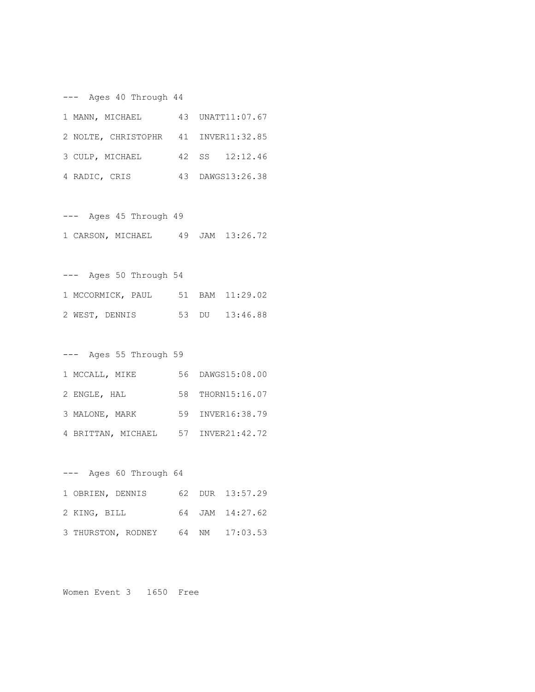--- Ages 40 Through 44

| 1 MANN, MICHAEL                      | 43 UNATT11:07.67 |
|--------------------------------------|------------------|
| 2 NOLTE, CHRISTOPHR 41 INVER11:32.85 |                  |
| 3 CULP, MICHAEL                      | 42 SS 12:12.46   |
| 4 RADIC, CRIS                        | 43 DAWGS13:26.38 |

--- Ages 45 Through 49 1 CARSON, MICHAEL 49 JAM 13:26.72

--- Ages 50 Through 54 1 MCCORMICK, PAUL 51 BAM 11:29.02 2 WEST, DENNIS 53 DU 13:46.88

--- Ages 55 Through 59

| 1 MCCALL, MIKE     | 56 DAWGS15:08.00 |
|--------------------|------------------|
| 2 ENGLE, HAL       | 58 THORN15:16.07 |
| 3 MALONE, MARK     | 59 INVER16:38.79 |
| 4 BRITTAN, MICHAEL | 57 INVER21:42.72 |

| $---$            | Ages 60 Through 64 |  |                 |
|------------------|--------------------|--|-----------------|
| 1 OBRIEN, DENNIS |                    |  | 62 DUR 13:57.29 |
| 2 KING, BILL     |                    |  | 64 JAM 14:27.62 |
|                  | 3 THURSTON, RODNEY |  | 64 NM 17:03.53  |

Women Event 3 1650 Free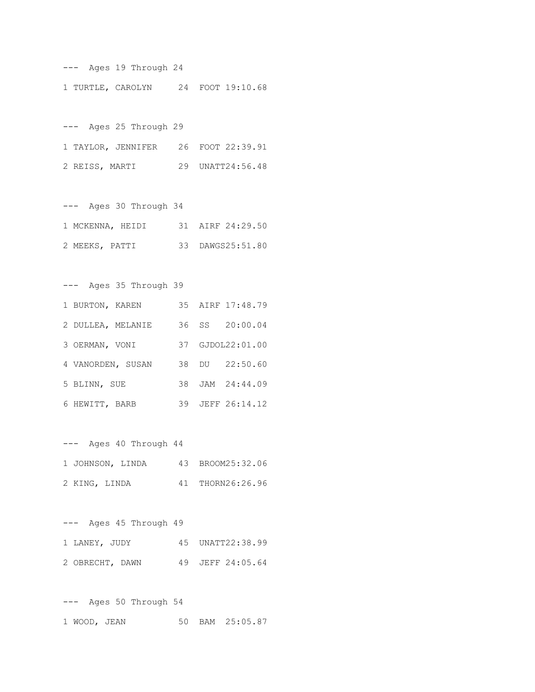--- Ages 19 Through 24 1 TURTLE, CAROLYN 24 FOOT 19:10.68

--- Ages 25 Through 29 1 TAYLOR, JENNIFER 26 FOOT 22:39.91 2 REISS, MARTI 29 UNATT24:56.48

--- Ages 30 Through 34 1 MCKENNA, HEIDI 31 AIRF 24:29.50 2 MEEKS, PATTI 33 DAWGS25:51.80

--- Ages 35 Through 39 1 BURTON, KAREN 35 AIRF 17:48.79 2 DULLEA, MELANIE 36 SS 20:00.04 3 OERMAN, VONI 37 GJDOL22:01.00 4 VANORDEN, SUSAN 38 DU 22:50.60 5 BLINN, SUE 38 JAM 24:44.09

6 HEWITT, BARB 39 JEFF 26:14.12

--- Ages 40 Through 44 1 JOHNSON, LINDA 43 BROOM25:32.06 2 KING, LINDA 41 THORN26:26.96

--- Ages 45 Through 49 1 LANEY, JUDY 45 UNATT22:38.99 2 OBRECHT, DAWN 49 JEFF 24:05.64

--- Ages 50 Through 54 1 WOOD, JEAN 50 BAM 25:05.87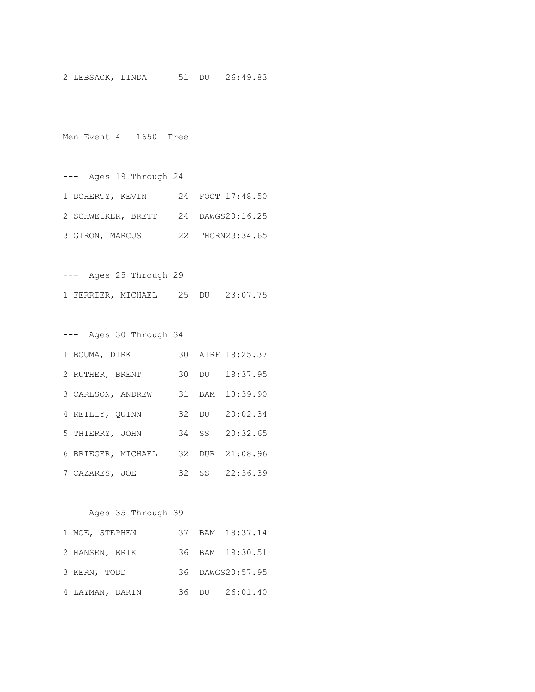2 LEBSACK, LINDA 51 DU 26:49.83

Men Event 4 1650 Free

--- Ages 19 Through 24 1 DOHERTY, KEVIN 24 FOOT 17:48.50 2 SCHWEIKER, BRETT 24 DAWGS20:16.25 3 GIRON, MARCUS 22 THORN23:34.65

--- Ages 25 Through 29 1 FERRIER, MICHAEL 25 DU 23:07.75

--- Ages 30 Through 34 1 BOUMA, DIRK 30 AIRF 18:25.37 2 RUTHER, BRENT 30 DU 18:37.95 3 CARLSON, ANDREW 31 BAM 18:39.90 4 REILLY, QUINN 32 DU 20:02.34 5 THIERRY, JOHN 34 SS 20:32.65 6 BRIEGER, MICHAEL 32 DUR 21:08.96 7 CAZARES, JOE 32 SS 22:36.39

--- Ages 35 Through 39 1 MOE, STEPHEN 37 BAM 18:37.14 2 HANSEN, ERIK 36 BAM 19:30.51 3 KERN, TODD 36 DAWGS20:57.95 4 LAYMAN, DARIN 36 DU 26:01.40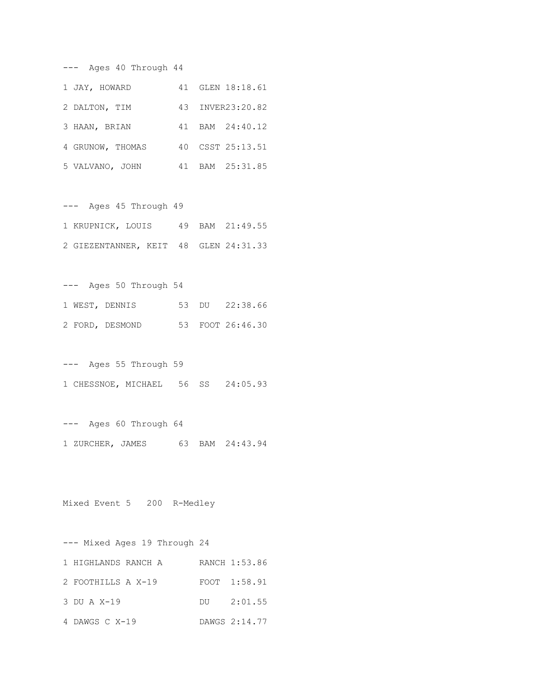--- Ages 40 Through 44

| 1 JAY, HOWARD    | 41 GLEN 18:18.61 |
|------------------|------------------|
| 2 DALTON, TIM    | 43 INVER23:20.82 |
| 3 HAAN, BRIAN    | 41 BAM 24:40.12  |
| 4 GRUNOW, THOMAS | 40 CSST 25:13.51 |
| 5 VALVANO, JOHN  | 41 BAM 25:31.85  |

--- Ages 45 Through 49 1 KRUPNICK, LOUIS 49 BAM 21:49.55 2 GIEZENTANNER, KEIT 48 GLEN 24:31.33

--- Ages 50 Through 54 1 WEST, DENNIS 53 DU 22:38.66 2 FORD, DESMOND 53 FOOT 26:46.30

--- Ages 55 Through 59 1 CHESSNOE, MICHAEL 56 SS 24:05.93

--- Ages 60 Through 64 1 ZURCHER, JAMES 63 BAM 24:43.94

Mixed Event 5 200 R-Medley

--- Mixed Ages 19 Through 24 1 HIGHLANDS RANCH A RANCH 1:53.86 2 FOOTHILLS A X-19 FOOT 1:58.91 3 DU A X-19 DU 2:01.55 4 DAWGS C X-19 DAWGS 2:14.77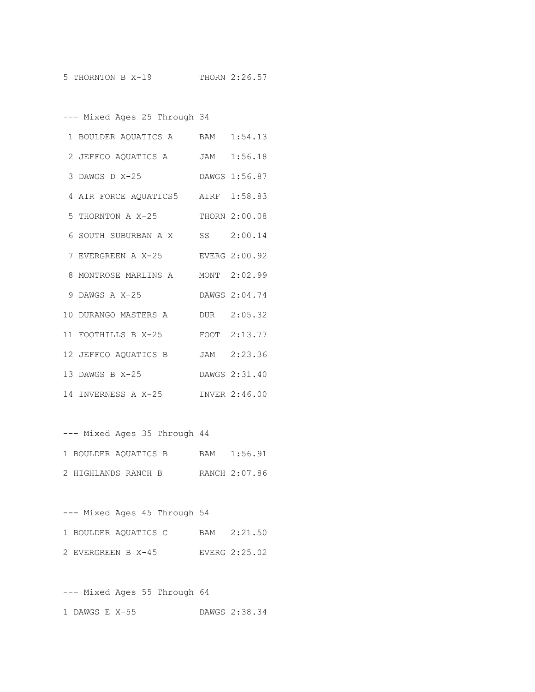--- Mixed Ages 25 Through 34

| 1 BOULDER AQUATICS A BAM 1:54.13   |               |
|------------------------------------|---------------|
| 2 JEFFCO AQUATICS A JAM 1:56.18    |               |
| 3 DAWGS D X-25                     | DAWGS 1:56.87 |
| 4 AIR FORCE AQUATICS5 AIRF 1:58.83 |               |
| 5 THORNTON A X-25 THORN 2:00.08    |               |
| 6 SOUTH SUBURBAN A X SS 2:00.14    |               |
| 7 EVERGREEN A X-25                 | EVERG 2:00.92 |
| 8 MONTROSE MARLINS A               | MONT 2:02.99  |
| 9 DAWGS A X-25                     | DAWGS 2:04.74 |
| 10 DURANGO MASTERS A               | DUR 2:05.32   |
| 11 FOOTHILLS B X-25 FOOT 2:13.77   |               |
| 12 JEFFCO AQUATICS B               | JAM 2:23.36   |
| 13 DAWGS B X-25                    | DAWGS 2:31.40 |
| 14 INVERNESS A X-25                | INVER 2:46.00 |

--- Mixed Ages 35 Through 44 1 BOULDER AQUATICS B BAM 1:56.91

2 HIGHLANDS RANCH B RANCH 2:07.86

--- Mixed Ages 45 Through 54 1 BOULDER AQUATICS C BAM 2:21.50 2 EVERGREEN B X-45 EVERG 2:25.02

--- Mixed Ages 55 Through 64 1 DAWGS E X-55 DAWGS 2:38.34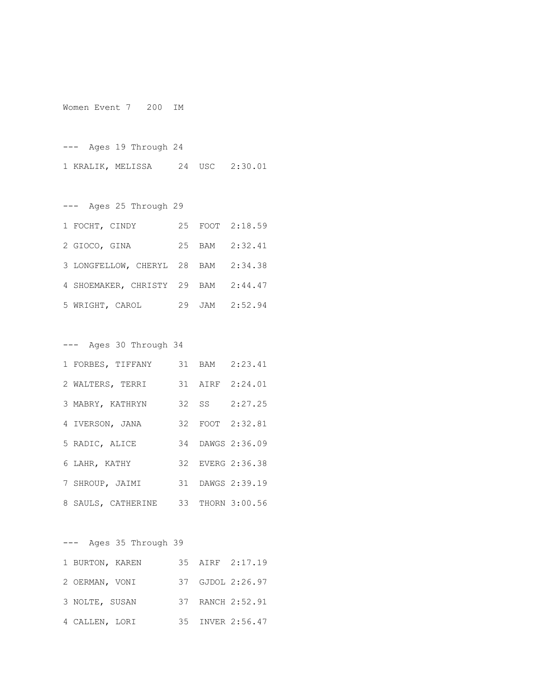Women Event 7 200 IM

--- Ages 19 Through 24 1 KRALIK, MELISSA 24 USC 2:30.01

--- Ages 25 Through 29 1 FOCHT, CINDY 25 FOOT 2:18.59 2 GIOCO, GINA 25 BAM 2:32.41 3 LONGFELLOW, CHERYL 28 BAM 2:34.38 4 SHOEMAKER, CHRISTY 29 BAM 2:44.47 5 WRIGHT, CAROL 29 JAM 2:52.94

--- Ages 30 Through 34

| 1 FORBES, TIFFANY                   |  | 31 BAM 2:23.41   |
|-------------------------------------|--|------------------|
| 2 WALTERS, TERRI                    |  | 31 AIRF 2:24.01  |
| 3 MABRY, KATHRYN                    |  | 32 SS 2:27.25    |
| 4 IVERSON, JANA                     |  | 32 FOOT 2:32.81  |
| 5 RADIC, ALICE                      |  | 34 DAWGS 2:36.09 |
| 6 LAHR, KATHY                       |  | 32 EVERG 2:36.38 |
| 7 SHROUP, JAIMI                     |  | 31 DAWGS 2:39.19 |
| 8 SAULS, CATHERINE 33 THORN 3:00.56 |  |                  |

--- Ages 35 Through 39

| 1 BURTON, KAREN |  | 35 AIRF 2:17.19  |
|-----------------|--|------------------|
| 2 OERMAN, VONI  |  | 37 GJDOL 2:26.97 |
| 3 NOLTE, SUSAN  |  | 37 RANCH 2:52.91 |
| 4 CALLEN, LORI  |  | 35 INVER 2:56.47 |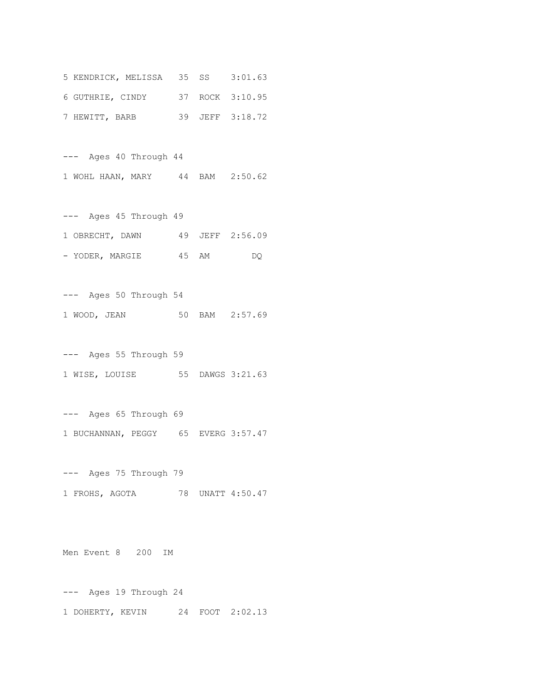| 5 KENDRICK, MELISSA 35 SS 3:01.63 |  |                 |
|-----------------------------------|--|-----------------|
| 6 GUTHRIE, CINDY                  |  | 37 ROCK 3:10.95 |
| 7 HEWITT, BARB                    |  | 39 JEFF 3:18.72 |

--- Ages 40 Through 44 1 WOHL HAAN, MARY 44 BAM 2:50.62

--- Ages 45 Through 49 1 OBRECHT, DAWN 49 JEFF 2:56.09 - YODER, MARGIE 45 AM DQ

--- Ages 50 Through 54 1 WOOD, JEAN 50 BAM 2:57.69

--- Ages 55 Through 59 1 WISE, LOUISE 55 DAWGS 3:21.63

--- Ages 65 Through 69 1 BUCHANNAN, PEGGY 65 EVERG 3:57.47

--- Ages 75 Through 79 1 FROHS, AGOTA 78 UNATT 4:50.47

Men Event 8 200 IM

--- Ages 19 Through 24 1 DOHERTY, KEVIN 24 FOOT 2:02.13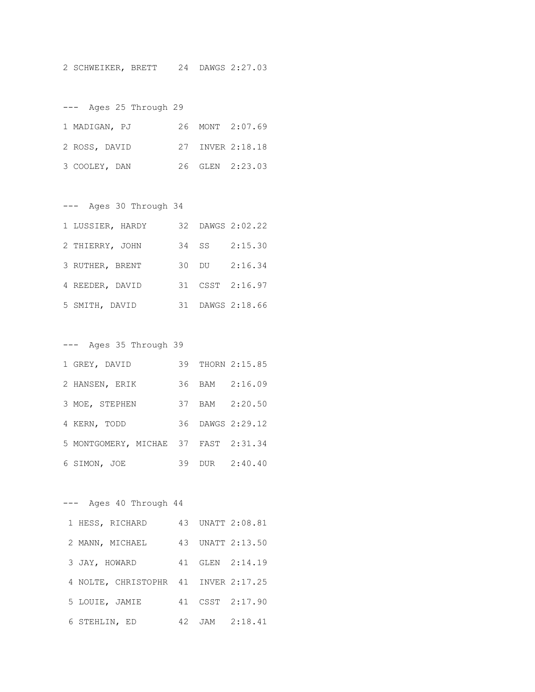2 SCHWEIKER, BRETT 24 DAWGS 2:27.03

--- Ages 25 Through 29 1 MADIGAN, PJ 26 MONT 2:07.69 2 ROSS, DAVID 27 INVER 2:18.18 3 COOLEY, DAN 26 GLEN 2:23.03

| Ages 30 Through 34 |       |                  |
|--------------------|-------|------------------|
| 1 LUSSIER, HARDY   |       | 32 DAWGS 2:02.22 |
| 2 THIERRY, JOHN    | 34 SS | 2:15.30          |
| 3 RUTHER, BRENT    |       | 30 DU 2:16.34    |
| 4 REEDER, DAVID    |       | 31 CSST 2:16.97  |
| 5 SMITH, DAVID     |       | 31 DAWGS 2:18.66 |

--- Ages 35 Through 39

| 1 GREY, DAVID                        |  | 39 THORN 2:15.85 |
|--------------------------------------|--|------------------|
| 2 HANSEN, ERIK                       |  | 36 BAM 2:16.09   |
| 3 MOE, STEPHEN                       |  | 37 BAM 2:20.50   |
| 4 KERN, TODD                         |  | 36 DAWGS 2:29.12 |
| 5 MONTGOMERY, MICHAE 37 FAST 2:31.34 |  |                  |
| 6 SIMON, JOE                         |  | 39 DUR 2:40.40   |

--- Ages 40 Through 44 1 HESS, RICHARD 43 UNATT 2:08.81 2 MANN, MICHAEL 43 UNATT 2:13.50 3 JAY, HOWARD 41 GLEN 2:14.19 4 NOLTE, CHRISTOPHR 41 INVER 2:17.25 5 LOUIE, JAMIE 41 CSST 2:17.90 6 STEHLIN, ED 42 JAM 2:18.41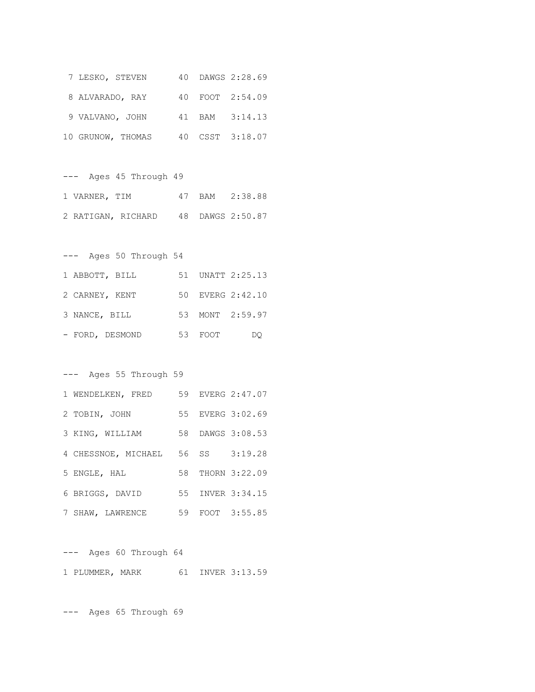| 7 LESKO, STEVEN   |  | 40 DAWGS 2:28.69 |
|-------------------|--|------------------|
| 8 ALVARADO, RAY   |  | 40 FOOT 2:54.09  |
| 9 VALVANO, JOHN   |  | 41 BAM 3:14.13   |
| 10 GRUNOW, THOMAS |  | 40 CSST 3:18.07  |

--- Ages 45 Through 49 1 VARNER, TIM 47 BAM 2:38.88 2 RATIGAN, RICHARD 48 DAWGS 2:50.87

--- Ages 50 Through 54 1 ABBOTT, BILL 51 UNATT 2:25.13 2 CARNEY, KENT 50 EVERG 2:42.10 3 NANCE, BILL 53 MONT 2:59.97 - FORD, DESMOND 53 FOOT DQ

#### --- Ages 55 Through 59

| 1 WENDELKEN, FRED                 |  | 59 EVERG 2:47.07 |
|-----------------------------------|--|------------------|
| 2 TOBIN, JOHN                     |  | 55 EVERG 3:02.69 |
| 3 KING, WILLIAM                   |  | 58 DAWGS 3:08.53 |
| 4 CHESSNOE, MICHAEL 56 SS 3:19.28 |  |                  |
| 5 ENGLE, HAL                      |  | 58 THORN 3:22.09 |
| 6 BRIGGS, DAVID                   |  | 55 INVER 3:34.15 |
| 7 SHAW, LAWRENCE                  |  | 59 FOOT 3:55.85  |

--- Ages 60 Through 64 1 PLUMMER, MARK 61 INVER 3:13.59

--- Ages 65 Through 69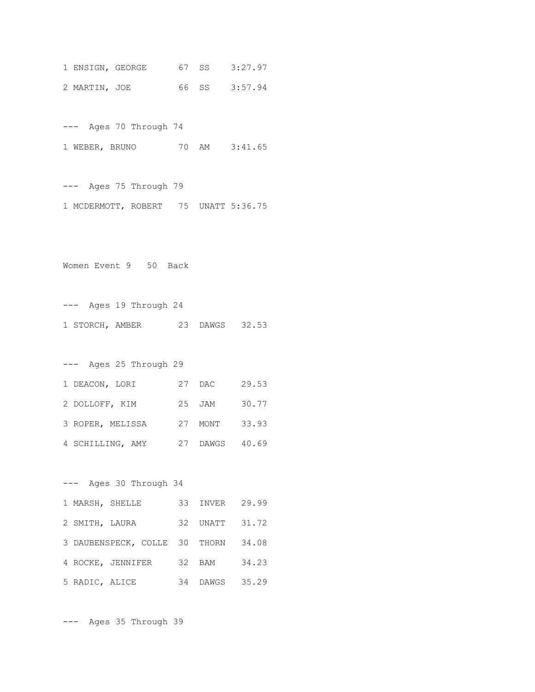1 ENSIGN, GEORGE 67 SS 3:27.97 2 MARTIN, JOE 66 SS 3:57.94

--- Ages 70 Through 74 1 WEBER, BRUNO 70 AM 3:41.65

--- Ages 75 Through 79 1 MCDERMOTT, ROBERT 75 UNATT 5:36.75

Women Event 9 50 Back

--- Ages 19 Through 24 1 STORCH, AMBER 23 DAWGS 32.53

--- Ages 25 Through 29 1 DEACON, LORI 27 DAC 29.53 2 DOLLOFF, KIM 25 JAM 30.77 3 ROPER, MELISSA 27 MONT 33.93 4 SCHILLING, AMY 27 DAWGS 40.69

--- Ages 30 Through 34 1 MARSH, SHELLE 33 INVER 29.99 2 SMITH, LAURA 32 UNATT 31.72 3 DAUBENSPECK, COLLE 30 THORN 34.08 4 ROCKE, JENNIFER 32 BAM 34.23 5 RADIC, ALICE 34 DAWGS 35.29

--- Ages 35 Through 39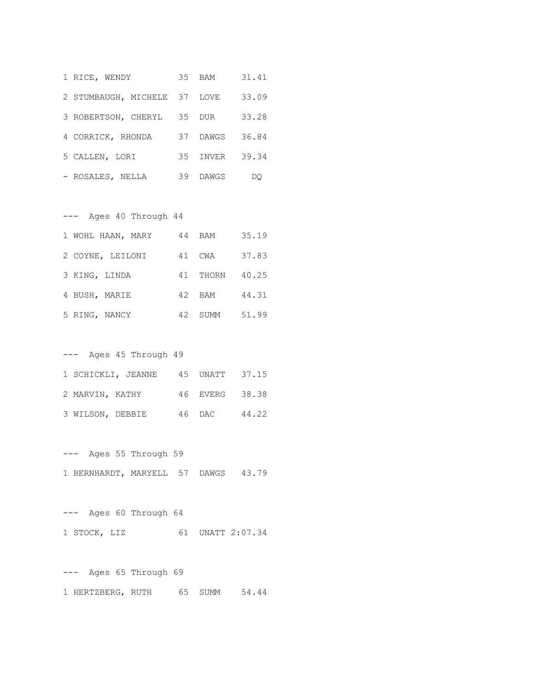| 1 RICE, WENDY                |    | 35 BAM     | 31.41 |
|------------------------------|----|------------|-------|
| 2 STUMBAUGH, MICHELE 37 LOVE |    |            | 33.09 |
| 3 ROBERTSON, CHERYL 35       |    | <b>DUR</b> | 33.28 |
| 4 CORRICK, RHONDA            | 37 | DAWGS      | 36.84 |
| 5 CALLEN, LORI               | 35 | INVER      | 39.34 |
| - ROSALES, NELLA             | 39 | DAWGS      | DO    |

| $---$             | Ages 40 Through 44 |    |            |       |
|-------------------|--------------------|----|------------|-------|
| 1 WOHL HAAN, MARY |                    | 44 | BAM        | 35.19 |
| 2 COYNE, LEILONI  |                    | 41 | CWA        | 37.83 |
| 3 KING, LINDA     |                    |    | 41 THORN   | 40.25 |
| 4 BUSH, MARIE     |                    | 42 | <b>BAM</b> | 44.31 |
| 5 RING, NANCY     |                    | 42 | SUMM       | 51.99 |

| $---$            | Ages 45 Through 49 |                |       |
|------------------|--------------------|----------------|-------|
|                  | 1 SCHICKLI, JEANNE | 45 UNATT 37.15 |       |
| 2 MARVIN, KATHY  |                    | 46 EVERG 38.38 |       |
| 3 WILSON, DEBBIE |                    | 46 DAC         | 44.22 |

--- Ages 55 Through 59 1 BERNHARDT, MARYELL 57 DAWGS 43.79

--- Ages 60 Through 64 1 STOCK, LIZ 61 UNATT 2:07.34

--- Ages 65 Through 69 1 HERTZBERG, RUTH 65 SUMM 54.44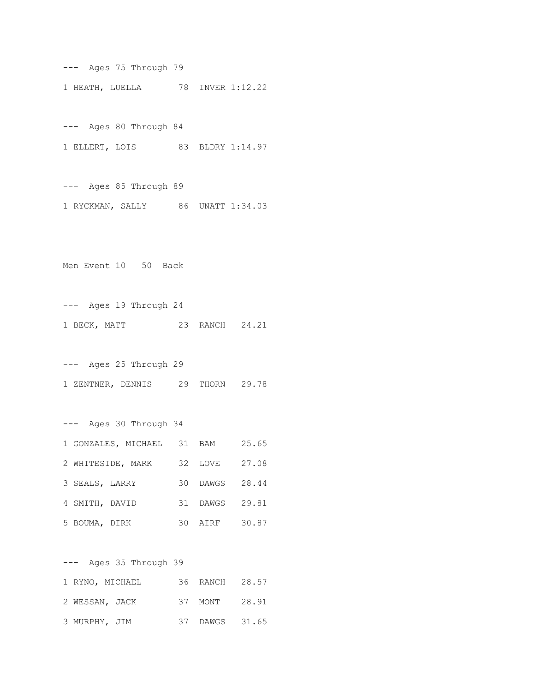--- Ages 75 Through 79 1 HEATH, LUELLA 78 INVER 1:12.22

--- Ages 80 Through 84 1 ELLERT, LOIS 83 BLDRY 1:14.97

--- Ages 85 Through 89 1 RYCKMAN, SALLY 86 UNATT 1:34.03

Men Event 10 50 Back

--- Ages 19 Through 24 1 BECK, MATT 23 RANCH 24.21

--- Ages 25 Through 29 1 ZENTNER, DENNIS 29 THORN 29.78

--- Ages 30 Through 34 1 GONZALES, MICHAEL 31 BAM 25.65 2 WHITESIDE, MARK 32 LOVE 27.08 3 SEALS, LARRY 30 DAWGS 28.44 4 SMITH, DAVID 31 DAWGS 29.81 5 BOUMA, DIRK 30 AIRF 30.87

--- Ages 35 Through 39 1 RYNO, MICHAEL 36 RANCH 28.57 2 WESSAN, JACK 37 MONT 28.91 3 MURPHY, JIM 37 DAWGS 31.65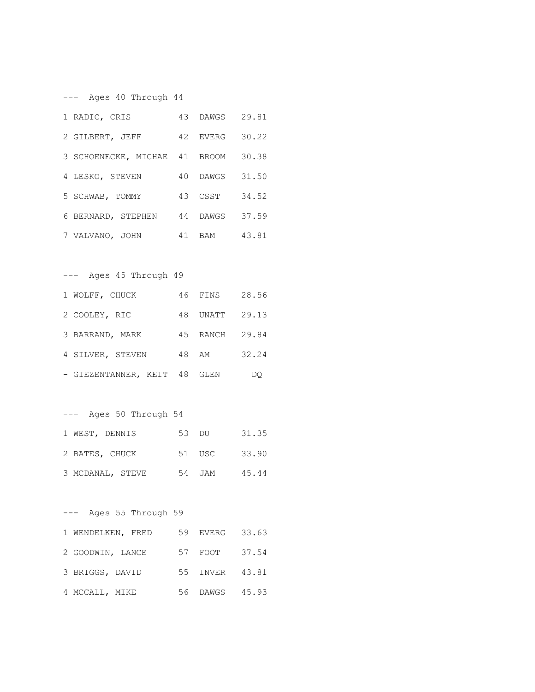--- Ages 40 Through 44 1 RADIC, CRIS 43 DAWGS 29.81 2 GILBERT, JEFF 42 EVERG 30.22 3 SCHOENECKE, MICHAE 41 BROOM 30.38 4 LESKO, STEVEN 40 DAWGS 31.50 5 SCHWAB, TOMMY 43 CSST 34.52 6 BERNARD, STEPHEN 44 DAWGS 37.59 7 VALVANO, JOHN 41 BAM 43.81 --- Ages 45 Through 49 1 WOLFF, CHUCK 46 FINS 28.56 2 COOLEY, RIC 48 UNATT 29.13 3 BARRAND, MARK 45 RANCH 29.84 4 SILVER, STEVEN 48 AM 32.24 - GIEZENTANNER, KEIT 48 GLEN DQ --- Ages 50 Through 54 1 WEST, DENNIS 53 DU 31.35 2 BATES, CHUCK 51 USC 33.90 3 MCDANAL, STEVE 54 JAM 45.44 --- Ages 55 Through 59 1 WENDELKEN, FRED 59 EVERG 33.63 2 GOODWIN, LANCE 57 FOOT 37.54 3 BRIGGS, DAVID 55 INVER 43.81 4 MCCALL, MIKE 56 DAWGS 45.93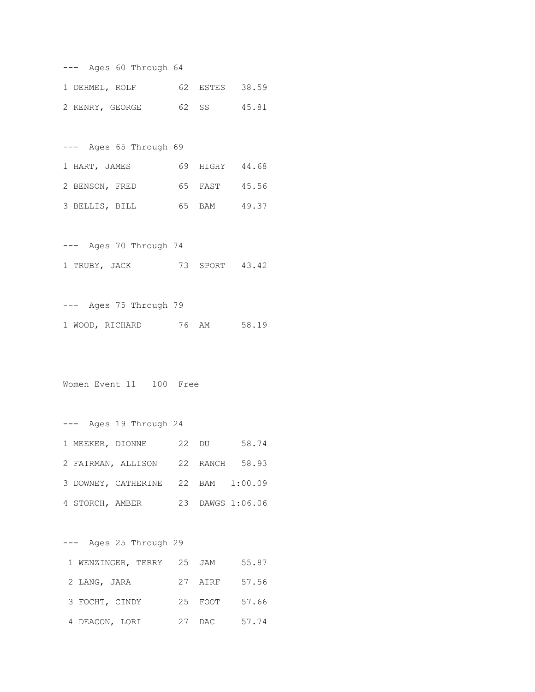|  |                 | --- Ages 60 Through 64 |                |       |
|--|-----------------|------------------------|----------------|-------|
|  | 1 DEHMEL, ROLF  |                        | 62 ESTES       | 38.59 |
|  | 2 KENRY, GEORGE |                        | 62 SS          | 45.81 |
|  |                 |                        |                |       |
|  |                 | Ages 65 Through 69     |                |       |
|  | 1 HART, JAMES   |                        | 69 HIGHY 44.68 |       |
|  | 2 BENSON, FRED  |                        | 65 FAST        | 45.56 |
|  | 3 BELLIS, BILL  |                        | 65 BAM 49.37   |       |
|  |                 |                        |                |       |

--- Ages 70 Through 74 1 TRUBY, JACK 73 SPORT 43.42

--- Ages 75 Through 79 1 WOOD, RICHARD 76 AM 58.19

Women Event 11 100 Free

--- Ages 19 Through 24 1 MEEKER, DIONNE 22 DU 58.74 2 FAIRMAN, ALLISON 22 RANCH 58.93 3 DOWNEY, CATHERINE 22 BAM 1:00.09 4 STORCH, AMBER 23 DAWGS 1:06.06

--- Ages 25 Through 29

| 1 WENZINGER, TERRY 25 JAM |    |         | 55.87 |
|---------------------------|----|---------|-------|
| 2 LANG, JARA              |    | 27 AIRF | 57.56 |
| 3 FOCHT, CINDY            |    | 25 FOOT | 57.66 |
| 4 DEACON, LORI            | 27 | DAC     | 57.74 |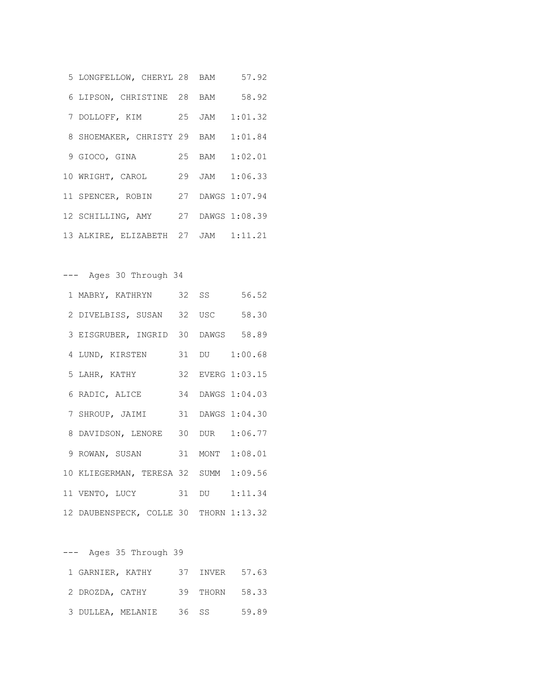| 5 LONGFELLOW, CHERYL 28 BAM 57.92   |  |  |
|-------------------------------------|--|--|
| 6 LIPSON, CHRISTINE 28 BAM 58.92    |  |  |
| 7 DOLLOFF, KIM 25 JAM 1:01.32       |  |  |
| 8 SHOEMAKER, CHRISTY 29 BAM 1:01.84 |  |  |
| 9 GIOCO, GINA 25 BAM 1:02.01        |  |  |
| 10 WRIGHT, CAROL 29 JAM 1:06.33     |  |  |
| 11 SPENCER, ROBIN 27 DAWGS 1:07.94  |  |  |
| 12 SCHILLING, AMY 27 DAWGS 1:08.39  |  |  |
| 13 ALKIRE, ELIZABETH 27 JAM 1:11.21 |  |  |

--- Ages 30 Through 34

```
1 MABRY, KATHRYN 32 SS 56.52
2 DIVELBISS, SUSAN 32 USC 58.30
3 EISGRUBER, INGRID 30 DAWGS 58.89
4 LUND, KIRSTEN 31 DU 1:00.68
5 LAHR, KATHY 32 EVERG 1:03.15
6 RADIC, ALICE 34 DAWGS 1:04.03
7 SHROUP, JAIMI 31 DAWGS 1:04.30
8 DAVIDSON, LENORE 30 DUR 1:06.77
9 ROWAN, SUSAN 31 MONT 1:08.01
10 KLIEGERMAN, TERESA 32 SUMM 1:09.56
11 VENTO, LUCY 31 DU 1:11.34
12 DAUBENSPECK, COLLE 30 THORN 1:13.32
```
--- Ages 35 Through 39 1 GARNIER, KATHY 37 INVER 57.63 2 DROZDA, CATHY 39 THORN 58.33 3 DULLEA, MELANIE 36 SS 59.89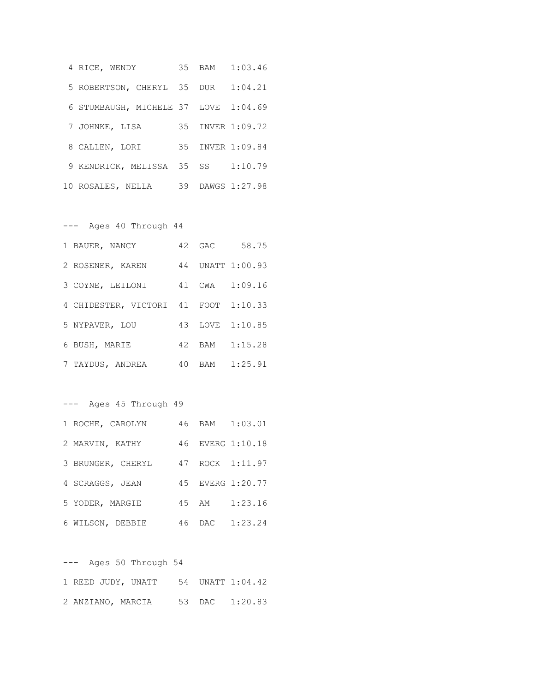|  | 4 RICE, WENDY                        | 35 BAM | 1:03.46          |
|--|--------------------------------------|--------|------------------|
|  | 5 ROBERTSON, CHERYL 35 DUR 1:04.21   |        |                  |
|  | 6 STUMBAUGH, MICHELE 37 LOVE 1:04.69 |        |                  |
|  | 7 JOHNKE, LISA                       |        | 35 INVER 1:09.72 |
|  | 8 CALLEN, LORI                       |        | 35 INVER 1:09.84 |
|  | 9 KENDRICK, MELISSA 35 SS            |        | 1:10.79          |
|  | 10 ROSALES, NELLA                    |        | 39 DAWGS 1:27.98 |

--- Ages 40 Through 44

| 1 BAUER, NANCY                       |  | 42 GAC 58.75    |
|--------------------------------------|--|-----------------|
| 2 ROSENER, KAREN 44 UNATT 1:00.93    |  |                 |
| 3 COYNE, LEILONI                     |  | 41 CWA 1:09.16  |
| 4 CHIDESTER, VICTORI 41 FOOT 1:10.33 |  |                 |
| 5 NYPAVER, LOU                       |  | 43 LOVE 1:10.85 |
| 6 BUSH, MARIE                        |  | 42 BAM 1:15.28  |
| 7 TAYDUS, ANDREA                     |  | 40 BAM 1:25.91  |

--- Ages 45 Through 49

| 1 ROCHE, CAROLYN  |       | 46 BAM 1:03.01   |
|-------------------|-------|------------------|
| 2 MARVIN, KATHY   |       | 46 EVERG 1:10.18 |
| 3 BRUNGER, CHERYL |       | 47 ROCK 1:11.97  |
| 4 SCRAGGS, JEAN   |       | 45 EVERG 1:20.77 |
| 5 YODER, MARGIE   | 45 AM | 1:23.16          |
| 6 WILSON, DEBBIE  |       | 46 DAC 1:23.24   |

| $---$ |  | Ages 50 Through 54                  |  |  |
|-------|--|-------------------------------------|--|--|
|       |  | 1 REED JUDY, UNATT 54 UNATT 1:04.42 |  |  |
|       |  | 2 ANZIANO, MARCIA 53 DAC 1:20.83    |  |  |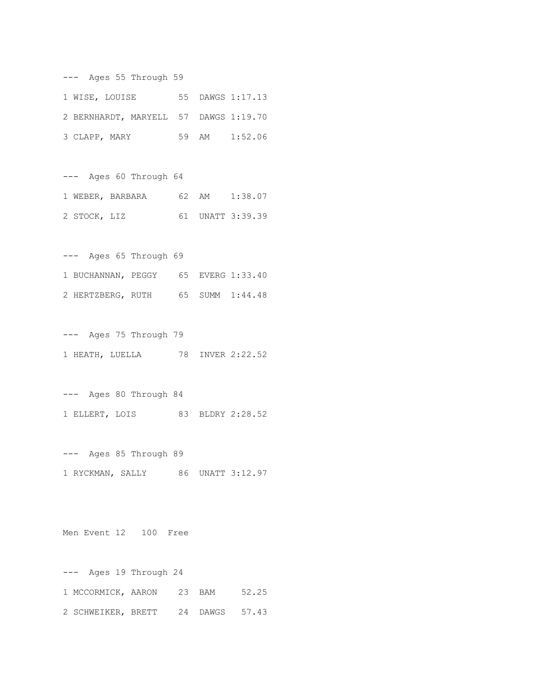--- Ages 55 Through 59 1 WISE, LOUISE 55 DAWGS 1:17.13 2 BERNHARDT, MARYELL 57 DAWGS 1:19.70 3 CLAPP, MARY 59 AM 1:52.06

--- Ages 60 Through 64 1 WEBER, BARBARA 62 AM 1:38.07 2 STOCK, LIZ 61 UNATT 3:39.39

--- Ages 65 Through 69 1 BUCHANNAN, PEGGY 65 EVERG 1:33.40 2 HERTZBERG, RUTH 65 SUMM 1:44.48

--- Ages 75 Through 79 1 HEATH, LUELLA 78 INVER 2:22.52

--- Ages 80 Through 84 1 ELLERT, LOIS 83 BLDRY 2:28.52

--- Ages 85 Through 89 1 RYCKMAN, SALLY 86 UNATT 3:12.97

Men Event 12 100 Free

--- Ages 19 Through 24 1 MCCORMICK, AARON 23 BAM 52.25 2 SCHWEIKER, BRETT 24 DAWGS 57.43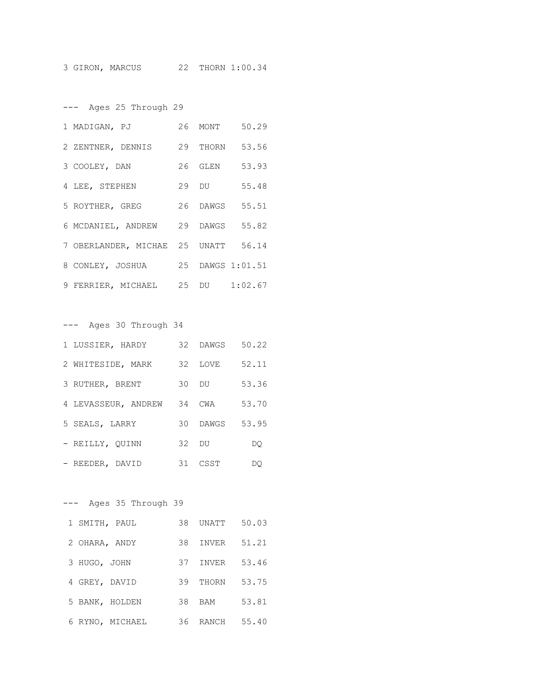--- Ages 25 Through 29

| 1 MADIGAN, PJ                       | 26 MONT | 50.29          |
|-------------------------------------|---------|----------------|
| 2 ZENTNER, DENNIS 29 THORN          |         | 53.56          |
| 3 COOLEY, DAN                       |         | 26 GLEN 53.93  |
| 4 LEE, STEPHEN                      | 29 DU   | 55.48          |
| 5 ROYTHER, GREG                     |         | 26 DAWGS 55.51 |
| 6 MCDANIEL, ANDREW 29 DAWGS 55.82   |         |                |
| 7 OBERLANDER, MICHAE 25 UNATT 56.14 |         |                |
| 8 CONLEY, JOSHUA 25 DAWGS 1:01.51   |         |                |
| 9 FERRIER, MICHAEL 25 DU 1:02.67    |         |                |

| --- Ages 30 Through 34     |         |          |       |
|----------------------------|---------|----------|-------|
| 1 LUSSIER, HARDY           |         | 32 DAWGS | 50.22 |
| 2 WHITESIDE, MARK          |         | 32 LOVE  | 52.11 |
| 3 RUTHER, BRENT            |         | 30 DU    | 53.36 |
| 4 LEVASSEUR, ANDREW 34 CWA |         |          | 53.70 |
| 5 SEALS, LARRY             |         | 30 DAWGS | 53.95 |
| - REILLY, OUINN            | $32$ DU |          | DO    |
| - REEDER, DAVID            |         | 31 CSST  | DO    |

|                 | Ages 35 Through 39 |     |              |       |
|-----------------|--------------------|-----|--------------|-------|
| 1 SMITH, PAUL   |                    | 38  | UNATT        | 50.03 |
| 2 OHARA, ANDY   |                    | 38  | <b>TNVER</b> | 51.21 |
| 3 HUGO, JOHN    |                    | 37  | INVER        | 53.46 |
| 4 GREY, DAVID   |                    | 39  | THORN        | 53.75 |
| 5 BANK, HOLDEN  |                    | 38  | <b>BAM</b>   | 53.81 |
| 6 RYNO, MICHAEL |                    | 36. | RANCH        | 55.40 |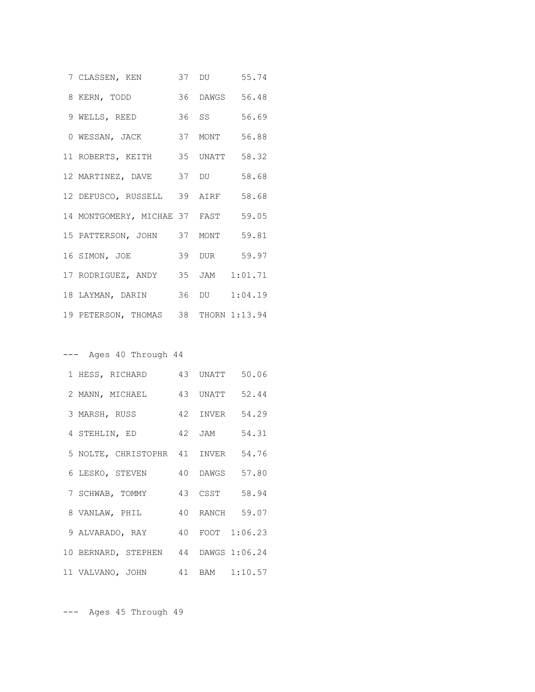| 7 CLASSEN, KEN 37 DU 55.74           |  |                |
|--------------------------------------|--|----------------|
| 8 KERN, TODD                         |  | 36 DAWGS 56.48 |
| 9 WELLS, REED                        |  | 36 SS 56.69    |
| 0 WESSAN, JACK 37 MONT 56.88         |  |                |
| 11 ROBERTS, KEITH 35 UNATT 58.32     |  |                |
| 12 MARTINEZ, DAVE 37 DU 58.68        |  |                |
| 12 DEFUSCO, RUSSELL 39 AIRF 58.68    |  |                |
| 14 MONTGOMERY, MICHAE 37 FAST 59.05  |  |                |
| 15 PATTERSON, JOHN 37 MONT 59.81     |  |                |
| 16 SIMON, JOE                        |  | 39 DUR 59.97   |
| 17 RODRIGUEZ, ANDY 35 JAM 1:01.71    |  |                |
| 18 LAYMAN, DARIN 36 DU 1:04.19       |  |                |
| 19 PETERSON, THOMAS 38 THORN 1:13.94 |  |                |

# --- Ages 40 Through 44

| 1 HESS, RICHARD                      |  | 43 UNATT 50.06 |
|--------------------------------------|--|----------------|
| 2 MANN, MICHAEL 43 UNATT 52.44       |  |                |
| 3 MARSH, RUSS                        |  | 42 INVER 54.29 |
| 4 STEHLIN, ED                        |  | 42 JAM 54.31   |
| 5 NOLTE, CHRISTOPHR 41 INVER 54.76   |  |                |
| 6 LESKO, STEVEN                      |  | 40 DAWGS 57.80 |
| 7 SCHWAB, TOMMY                      |  | 43 CSST 58.94  |
| 8 VANLAW, PHIL 40 RANCH 59.07        |  |                |
| 9 ALVARADO, RAY 40 FOOT 1:06.23      |  |                |
| 10 BERNARD, STEPHEN 44 DAWGS 1:06.24 |  |                |
| 11 VALVANO, JOHN 41 BAM 1:10.57      |  |                |

--- Ages 45 Through 49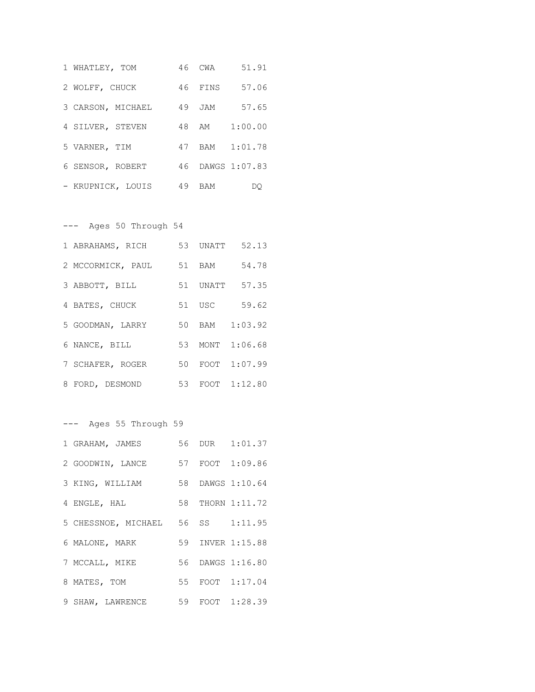| 1 WHATLEY, TOM    |    | 46 CWA  | 51.91            |
|-------------------|----|---------|------------------|
| 2 WOLFF, CHUCK    |    | 46 FINS | 57.06            |
| 3 CARSON, MICHAEL |    | 49 JAM  | 57.65            |
| 4 SILVER, STEVEN  |    | 48 AM   | 1:00.00          |
| 5 VARNER, TIM     | 47 |         | BAM 1:01.78      |
| 6 SENSOR, ROBERT  |    |         | 46 DAWGS 1:07.83 |
| - KRUPNICK, LOUIS | 49 | BAM     |                  |

--- Ages 50 Through 54

| 1 ABRAHAMS, RICH  |        | 53 UNATT 52.13  |
|-------------------|--------|-----------------|
| 2 MCCORMICK, PAUL | 51 BAM | 54.78           |
| 3 ABBOTT, BILL    |        | 51 UNATT 57.35  |
| 4 BATES, CHUCK    | 51 USC | 59.62           |
| 5 GOODMAN, LARRY  |        | 50 BAM 1:03.92  |
| 6 NANCE, BILL     |        | 53 MONT 1:06.68 |
| 7 SCHAFER, ROGER  |        | 50 FOOT 1:07.99 |
| 8 FORD, DESMOND   |        | 53 FOOT 1:12.80 |

--- Ages 55 Through 59 1 GRAHAM, JAMES 56 DUR 1:01.37 2 GOODWIN, LANCE 57 FOOT 1:09.86 3 KING, WILLIAM 58 DAWGS 1:10.64 4 ENGLE, HAL 58 THORN 1:11.72 5 CHESSNOE, MICHAEL 56 SS 1:11.95 6 MALONE, MARK 59 INVER 1:15.88 7 MCCALL, MIKE 56 DAWGS 1:16.80 8 MATES, TOM 55 FOOT 1:17.04 9 SHAW, LAWRENCE 59 FOOT 1:28.39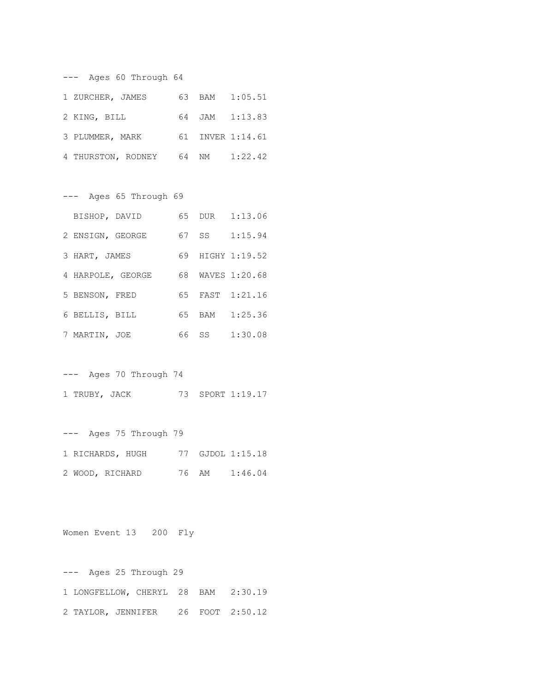--- Ages 60 Through 64 1 ZURCHER, JAMES 63 BAM 1:05.51 2 KING, BILL 64 JAM 1:13.83 3 PLUMMER, MARK 61 INVER 1:14.61 4 THURSTON, RODNEY 64 NM 1:22.42

--- Ages 65 Through 69

| BISHOP, DAVID     |    |       | 65 DUR 1:13.06   |
|-------------------|----|-------|------------------|
| 2 ENSIGN, GEORGE  |    | 67 SS | 1:15.94          |
| 3 HART, JAMES     |    |       | 69 HIGHY 1:19.52 |
| 4 HARPOLE, GEORGE |    |       | 68 WAVES 1:20.68 |
| 5 BENSON, FRED    |    |       | 65 FAST 1:21.16  |
| 6 BELLIS, BILL    | 65 |       | BAM 1:25.36      |
| 7 MARTIN, JOE     | 66 |       | SS 1:30.08       |

--- Ages 70 Through 74 1 TRUBY, JACK 73 SPORT 1:19.17

--- Ages 75 Through 79 1 RICHARDS, HUGH 77 GJDOL 1:15.18 2 WOOD, RICHARD 76 AM 1:46.04

Women Event 13 200 Fly

--- Ages 25 Through 29 1 LONGFELLOW, CHERYL 28 BAM 2:30.19 2 TAYLOR, JENNIFER 26 FOOT 2:50.12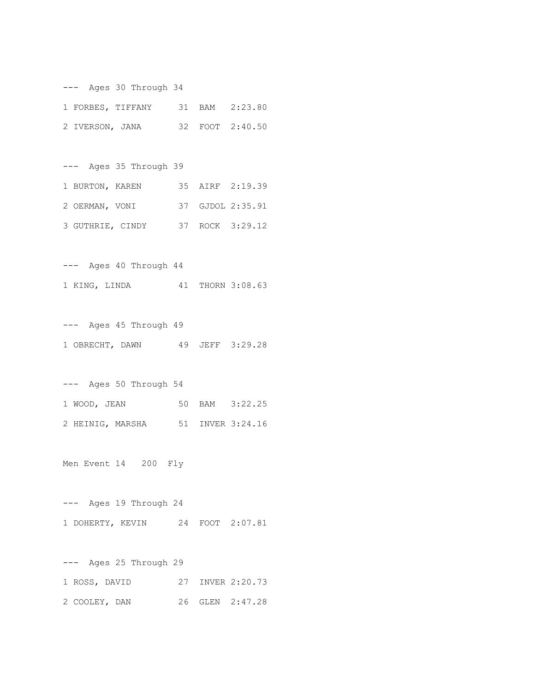--- Ages 30 Through 34 1 FORBES, TIFFANY 31 BAM 2:23.80 2 IVERSON, JANA 32 FOOT 2:40.50

--- Ages 35 Through 39 1 BURTON, KAREN 35 AIRF 2:19.39 2 OERMAN, VONI 37 GJDOL 2:35.91 3 GUTHRIE, CINDY 37 ROCK 3:29.12

--- Ages 40 Through 44 1 KING, LINDA 41 THORN 3:08.63

--- Ages 45 Through 49 1 OBRECHT, DAWN 49 JEFF 3:29.28

--- Ages 50 Through 54 1 WOOD, JEAN 50 BAM 3:22.25 2 HEINIG, MARSHA 51 INVER 3:24.16

Men Event 14 200 Fly

--- Ages 19 Through 24 1 DOHERTY, KEVIN 24 FOOT 2:07.81

--- Ages 25 Through 29 1 ROSS, DAVID 27 INVER 2:20.73 2 COOLEY, DAN 26 GLEN 2:47.28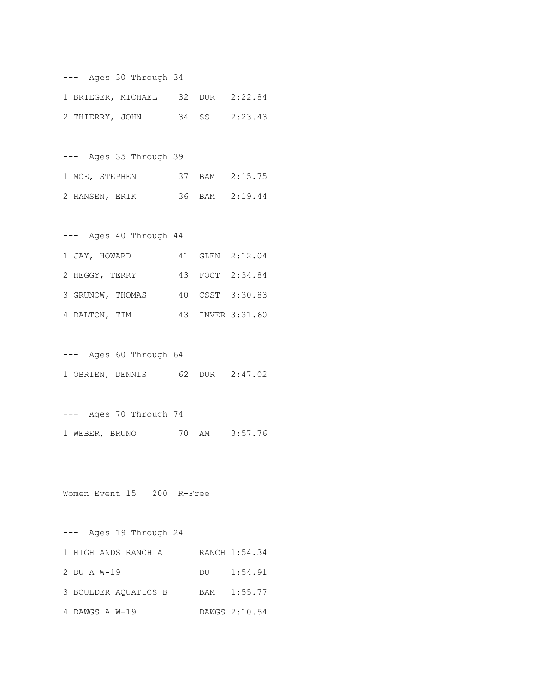| Ages 30 Through 34           |  |                    |    |     |                |  |  |
|------------------------------|--|--------------------|----|-----|----------------|--|--|
|                              |  | 1 BRIEGER, MICHAEL | 32 | DUR | 2:22.84        |  |  |
| 2 THIERRY, JOHN              |  |                    | 34 | SS  | 2:23.43        |  |  |
|                              |  |                    |    |     |                |  |  |
| Ages 35 Through 39<br>$-- -$ |  |                    |    |     |                |  |  |
| 1 MOE, STEPHEN               |  |                    |    |     | 37 BAM 2:15.75 |  |  |
| 2 HANSEN, ERIK               |  |                    |    |     | 36 BAM 2:19.44 |  |  |
|                              |  |                    |    |     |                |  |  |

| Ages 40 Through 44<br>——— |  |                  |
|---------------------------|--|------------------|
| 1 JAY, HOWARD             |  | 41 GLEN 2:12.04  |
| 2 HEGGY, TERRY            |  | 43 FOOT 2:34.84  |
| 3 GRUNOW, THOMAS          |  | 40 CSST 3:30.83  |
| 4 DALTON, TIM             |  | 43 INVER 3:31.60 |

--- Ages 60 Through 64 1 OBRIEN, DENNIS 62 DUR 2:47.02

--- Ages 70 Through 74 1 WEBER, BRUNO 70 AM 3:57.76

Women Event 15 200 R-Free

--- Ages 19 Through 24 1 HIGHLANDS RANCH A RANCH 1:54.34 2 DU A W-19 DU 1:54.91 3 BOULDER AQUATICS B BAM 1:55.77 4 DAWGS A W-19 DAWGS 2:10.54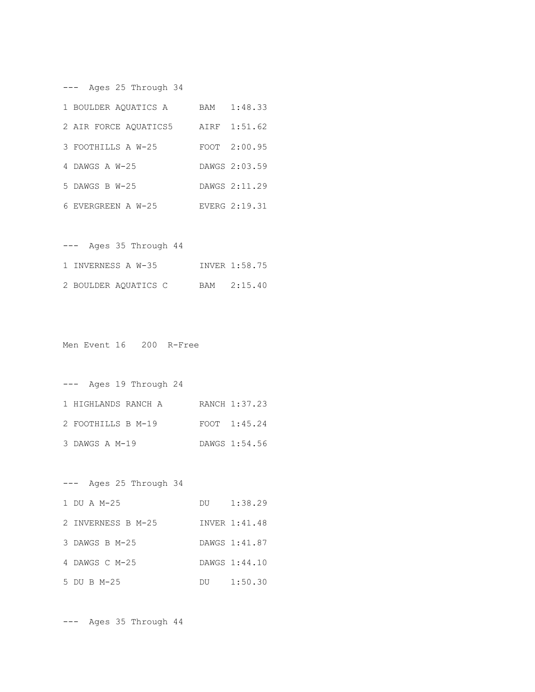--- Ages 25 Through 34

| 1 BOULDER AOUATICS A  | BAM | 1:48.33       |
|-----------------------|-----|---------------|
| 2 AIR FORCE AOUATICS5 |     | AIRF 1:51.62  |
| 3 FOOTHILLS A W-25    |     | FOOT 2:00.95  |
| 4 DAWGS A W-25        |     | DAWGS 2:03.59 |
| $5$ DAWGS B W-25      |     | DAWGS 2:11.29 |
| 6 EVERGREEN A W-25    |     | EVERG 2:19.31 |

| Ages 35 Through 44<br>$---$ |               |
|-----------------------------|---------------|
| 1 INVERNESS A W-35          | INVER 1:58.75 |
| 2 BOULDER AQUATICS C        | BAM 2:15.40   |

Men Event 16 200 R-Free

--- Ages 19 Through 24 1 HIGHLANDS RANCH A RANCH 1:37.23 2 FOOTHILLS B M-19 FOOT 1:45.24 3 DAWGS A M-19 DAWGS 1:54.56

--- Ages 25 Through 34 1 DU A M-25 DU 1:38.29 2 INVERNESS B M-25 INVER 1:41.48 3 DAWGS B M-25 DAWGS 1:41.87 4 DAWGS C M-25 DAWGS 1:44.10 5 DU B M-25 DU 1:50.30

--- Ages 35 Through 44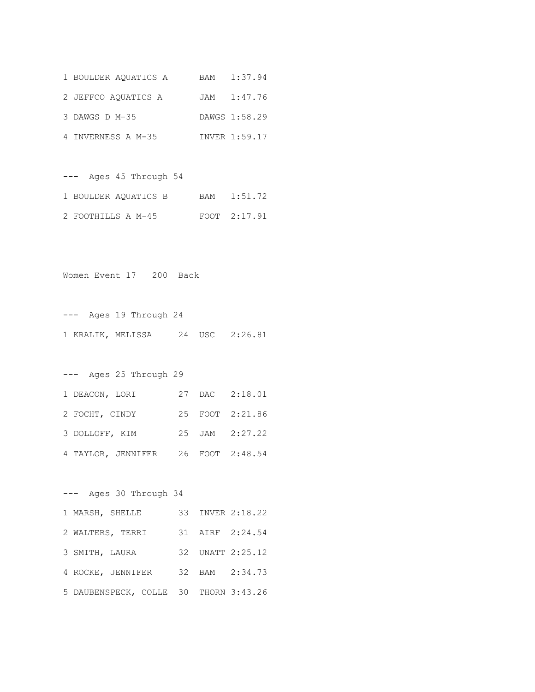| 1 BOULDER AOUATICS A | BAM 1:37.94   |
|----------------------|---------------|
| 2 JEFFCO AOUATICS A  | JAM 1:47.76   |
| 3 DAWGS D M-35       | DAWGS 1:58.29 |
| 4 INVERNESS A M-35   | INVER 1:59.17 |

--- Ages 45 Through 54 1 BOULDER AQUATICS B BAM 1:51.72 2 FOOTHILLS A M-45 FOOT 2:17.91

Women Event 17 200 Back

--- Ages 19 Through 24 1 KRALIK, MELISSA 24 USC 2:26.81

--- Ages 25 Through 29 1 DEACON, LORI 27 DAC 2:18.01 2 FOCHT, CINDY 25 FOOT 2:21.86 3 DOLLOFF, KIM 25 JAM 2:27.22 4 TAYLOR, JENNIFER 26 FOOT 2:48.54

--- Ages 30 Through 34 1 MARSH, SHELLE 33 INVER 2:18.22 2 WALTERS, TERRI 31 AIRF 2:24.54 3 SMITH, LAURA 32 UNATT 2:25.12 4 ROCKE, JENNIFER 32 BAM 2:34.73 5 DAUBENSPECK, COLLE 30 THORN 3:43.26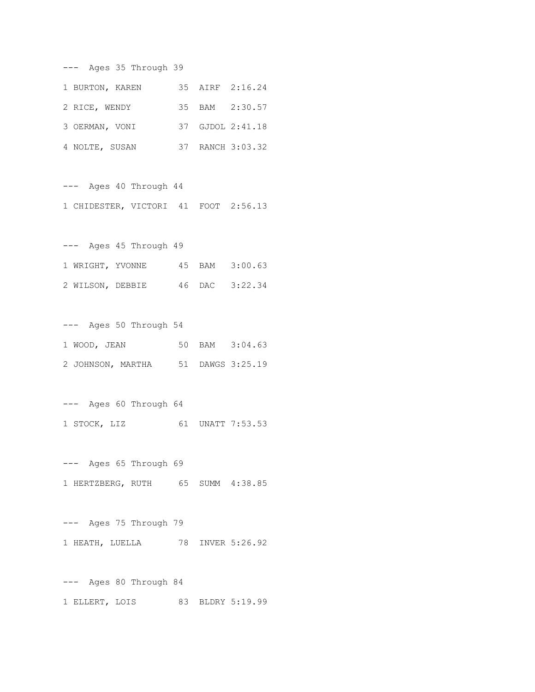--- Ages 35 Through 39

| 1 BURTON, KAREN |  | 35 AIRF 2:16.24  |
|-----------------|--|------------------|
| 2 RICE, WENDY   |  | 35 BAM 2:30.57   |
| 3 OERMAN, VONI  |  | 37 GJDOL 2:41.18 |
| 4 NOLTE, SUSAN  |  | 37 RANCH 3:03.32 |

--- Ages 40 Through 44 1 CHIDESTER, VICTORI 41 FOOT 2:56.13

--- Ages 45 Through 49 1 WRIGHT, YVONNE 45 BAM 3:00.63 2 WILSON, DEBBIE 46 DAC 3:22.34

--- Ages 50 Through 54 1 WOOD, JEAN 50 BAM 3:04.63 2 JOHNSON, MARTHA 51 DAWGS 3:25.19

--- Ages 60 Through 64 1 STOCK, LIZ 61 UNATT 7:53.53

--- Ages 65 Through 69 1 HERTZBERG, RUTH 65 SUMM 4:38.85

--- Ages 75 Through 79 1 HEATH, LUELLA 78 INVER 5:26.92

--- Ages 80 Through 84 1 ELLERT, LOIS 83 BLDRY 5:19.99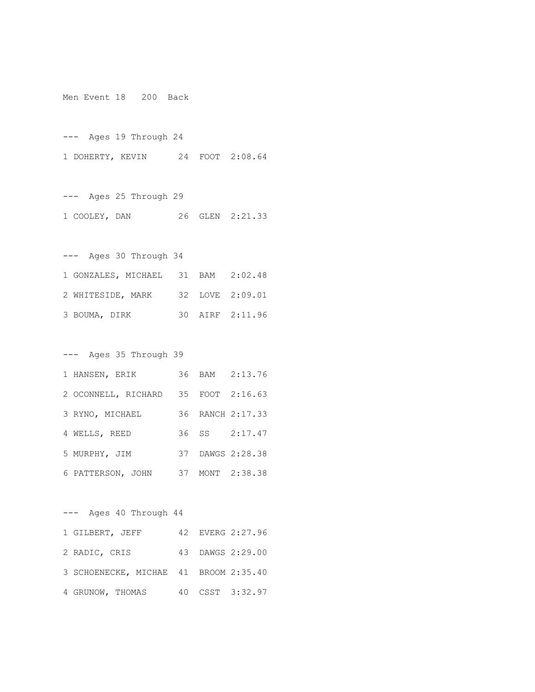Men Event 18 200 Back

--- Ages 19 Through 24 1 DOHERTY, KEVIN 24 FOOT 2:08.64

--- Ages 25 Through 29 1 COOLEY, DAN 26 GLEN 2:21.33

--- Ages 30 Through 34 1 GONZALES, MICHAEL 31 BAM 2:02.48 2 WHITESIDE, MARK 32 LOVE 2:09.01 3 BOUMA, DIRK 30 AIRF 2:11.96

--- Ages 35 Through 39

| 1 HANSEN, ERIK                      |  | 36 BAM 2:13.76   |
|-------------------------------------|--|------------------|
| 2 OCONNELL, RICHARD 35 FOOT 2:16.63 |  |                  |
| 3 RYNO, MICHAEL                     |  | 36 RANCH 2:17.33 |
| 4 WELLS, REED                       |  | 36 SS 2:17.47    |
| 5 MURPHY, JIM                       |  | 37 DAWGS 2:28.38 |
| 6 PATTERSON, JOHN                   |  | 37 MONT 2:38.38  |

--- Ages 40 Through 44 1 GILBERT, JEFF 42 EVERG 2:27.96 2 RADIC, CRIS 43 DAWGS 2:29.00 3 SCHOENECKE, MICHAE 41 BROOM 2:35.40 4 GRUNOW, THOMAS 40 CSST 3:32.97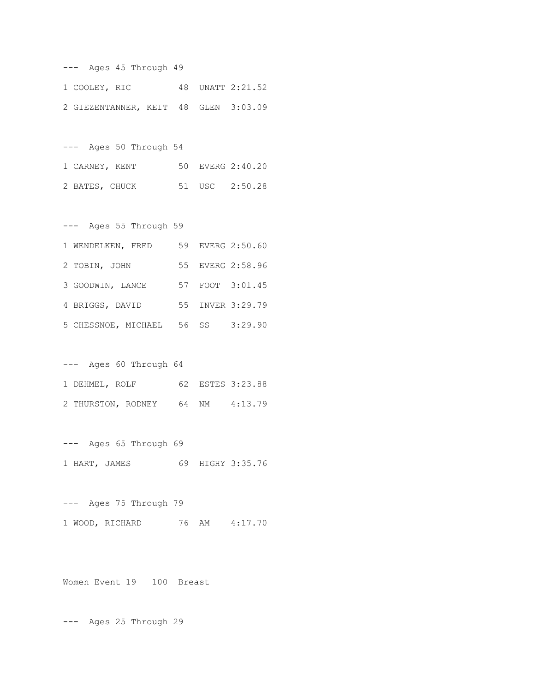--- Ages 45 Through 49 1 COOLEY, RIC 48 UNATT 2:21.52 2 GIEZENTANNER, KEIT 48 GLEN 3:03.09

--- Ages 50 Through 54 1 CARNEY, KENT 50 EVERG 2:40.20 2 BATES, CHUCK 51 USC 2:50.28

--- Ages 55 Through 59 1 WENDELKEN, FRED 59 EVERG 2:50.60 2 TOBIN, JOHN 55 EVERG 2:58.96 3 GOODWIN, LANCE 57 FOOT 3:01.45 4 BRIGGS, DAVID 55 INVER 3:29.79 5 CHESSNOE, MICHAEL 56 SS 3:29.90

--- Ages 60 Through 64 1 DEHMEL, ROLF 62 ESTES 3:23.88 2 THURSTON, RODNEY 64 NM 4:13.79

--- Ages 65 Through 69 1 HART, JAMES 69 HIGHY 3:35.76

--- Ages 75 Through 79 1 WOOD, RICHARD 76 AM 4:17.70

Women Event 19 100 Breast

--- Ages 25 Through 29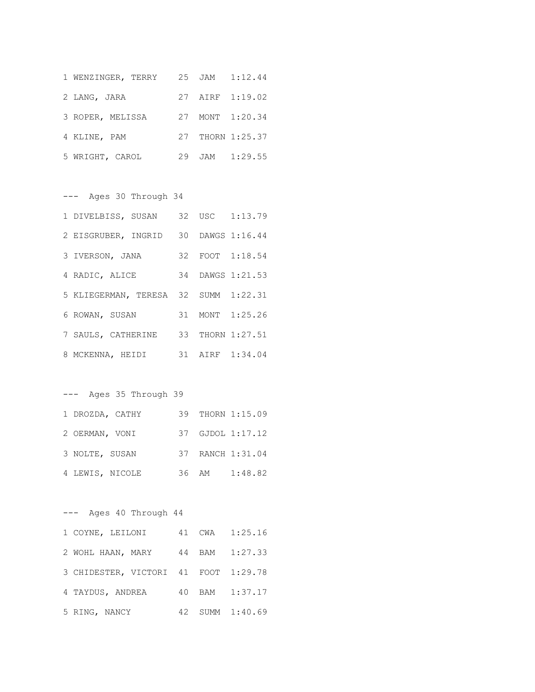| 1 WENZINGER, TERRY |  | 25 JAM 1:12.44   |
|--------------------|--|------------------|
| 2 LANG, JARA       |  | 27 AIRF 1:19.02  |
| 3 ROPER, MELISSA   |  | 27 MONT 1:20.34  |
| 4 KLINE, PAM       |  | 27 THORN 1:25.37 |
| 5 WRIGHT, CAROL    |  | 29 JAM 1:29.55   |

--- Ages 30 Through 34

| 1 DIVELBISS, SUSAN 32 USC 1:13.79    |  |                  |
|--------------------------------------|--|------------------|
| 2 EISGRUBER, INGRID 30 DAWGS 1:16.44 |  |                  |
| 3 IVERSON, JANA                      |  | 32 FOOT 1:18.54  |
| 4 RADIC, ALICE                       |  | 34 DAWGS 1:21.53 |
| 5 KLIEGERMAN, TERESA 32 SUMM 1:22.31 |  |                  |
| 6 ROWAN, SUSAN 31 MONT 1:25.26       |  |                  |
| 7 SAULS, CATHERINE 33 THORN 1:27.51  |  |                  |
| 8 MCKENNA, HEIDI                     |  | 31 AIRF 1:34.04  |

--- Ages 35 Through 39

| 1 DROZDA, CATHY |  | 39 THORN 1:15.09 |
|-----------------|--|------------------|
| 2 OERMAN, VONI  |  | 37 GJDOL 1:17.12 |
| 3 NOLTE, SUSAN  |  | 37 RANCH 1:31.04 |
| 4 LEWIS, NICOLE |  | 36 AM 1:48.82    |

--- Ages 40 Through 44

| 1 COYNE, LEILONI                     |  | 41 CWA 1:25.16  |
|--------------------------------------|--|-----------------|
| 2 WOHL HAAN, MARY                    |  | 44 BAM 1:27.33  |
| 3 CHIDESTER, VICTORI 41 FOOT 1:29.78 |  |                 |
| 4 TAYDUS, ANDREA                     |  | 40 BAM 1:37.17  |
| 5 RING, NANCY                        |  | 42 SUMM 1:40.69 |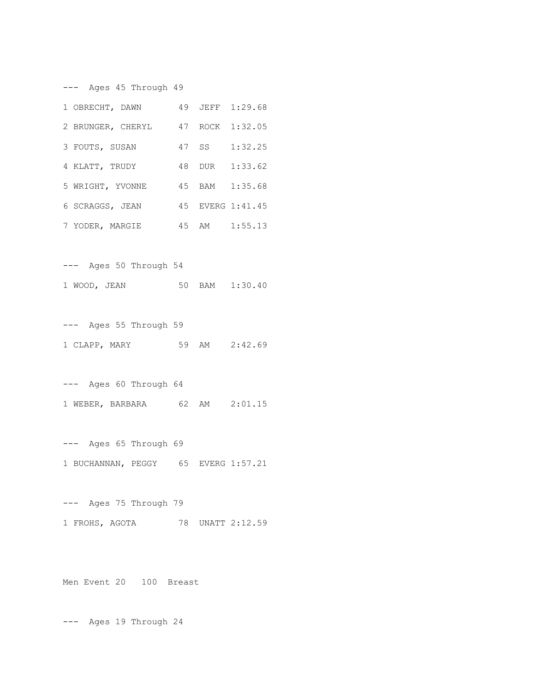--- Ages 45 Through 49

| 1 OBRECHT, DAWN                   |  | 49 JEFF 1:29.68  |
|-----------------------------------|--|------------------|
| 2 BRUNGER, CHERYL 47 ROCK 1:32.05 |  |                  |
| 3 FOUTS, SUSAN                    |  | 47 SS 1:32.25    |
| 4 KLATT, TRUDY                    |  | 48 DUR 1:33.62   |
| 5 WRIGHT, YVONNE                  |  | 45 BAM 1:35.68   |
| 6 SCRAGGS, JEAN                   |  | 45 EVERG 1:41.45 |
| 7 YODER, MARGIE                   |  | 45 AM 1:55.13    |

--- Ages 50 Through 54 1 WOOD, JEAN 50 BAM 1:30.40

--- Ages 55 Through 59 1 CLAPP, MARY 59 AM 2:42.69

--- Ages 60 Through 64 1 WEBER, BARBARA 62 AM 2:01.15

--- Ages 65 Through 69 1 BUCHANNAN, PEGGY 65 EVERG 1:57.21

--- Ages 75 Through 79 1 FROHS, AGOTA 78 UNATT 2:12.59

Men Event 20 100 Breast

--- Ages 19 Through 24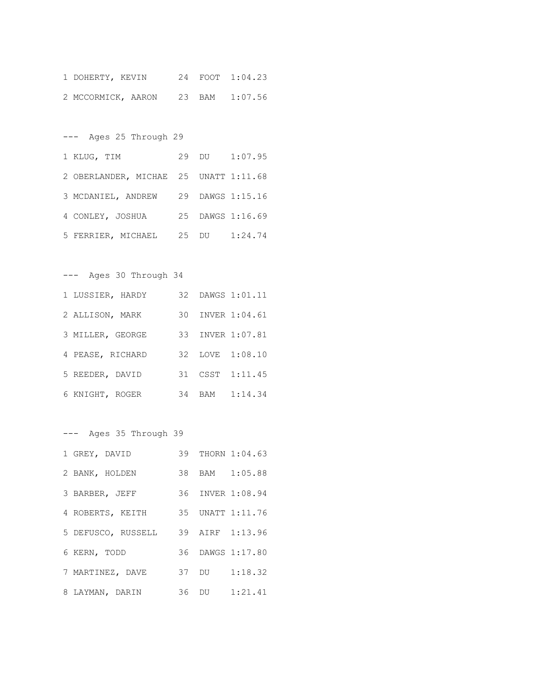| 1 DOHERTY, KEVIN |                                   |  | 24 FOOT 1:04.23 |
|------------------|-----------------------------------|--|-----------------|
|                  | 2 MCCORMICK, AARON 23 BAM 1:07.56 |  |                 |

--- Ages 25 Through 29

| 1 KLUG, TIM                           |  | 29 DU 1:07.95    |
|---------------------------------------|--|------------------|
| 2 OBERLANDER, MICHAE 25 UNATT 1:11.68 |  |                  |
| 3 MCDANIEL, ANDREW 29 DAWGS 1:15.16   |  |                  |
| 4 CONLEY, JOSHUA                      |  | 25 DAWGS 1:16.69 |
| 5 FERRIER, MICHAEL 25 DU 1:24.74      |  |                  |

--- Ages 30 Through 34

| 1 LUSSIER, HARDY |  | 32 DAWGS 1:01.11 |
|------------------|--|------------------|
| 2 ALLISON, MARK  |  | 30 INVER 1:04.61 |
| 3 MILLER, GEORGE |  | 33 INVER 1:07.81 |
| 4 PEASE, RICHARD |  | 32 LOVE 1:08.10  |
| 5 REEDER, DAVID  |  | 31 CSST 1:11.45  |
| 6 KNIGHT, ROGER  |  | 34 BAM 1:14.34   |

--- Ages 35 Through 39

| 1 GREY, DAVID                      |  | 39 THORN 1:04.63 |
|------------------------------------|--|------------------|
| 2 BANK, HOLDEN                     |  | 38 BAM 1:05.88   |
| 3 BARBER, JEFF                     |  | 36 INVER 1:08.94 |
| 4 ROBERTS, KEITH 35 UNATT 1:11.76  |  |                  |
| 5 DEFUSCO, RUSSELL 39 AIRF 1:13.96 |  |                  |
| 6 KERN, TODD                       |  | 36 DAWGS 1:17.80 |
| 7 MARTINEZ, DAVE                   |  | 37 DU 1:18.32    |
| 8 LAYMAN, DARIN                    |  | 36 DU 1:21.41    |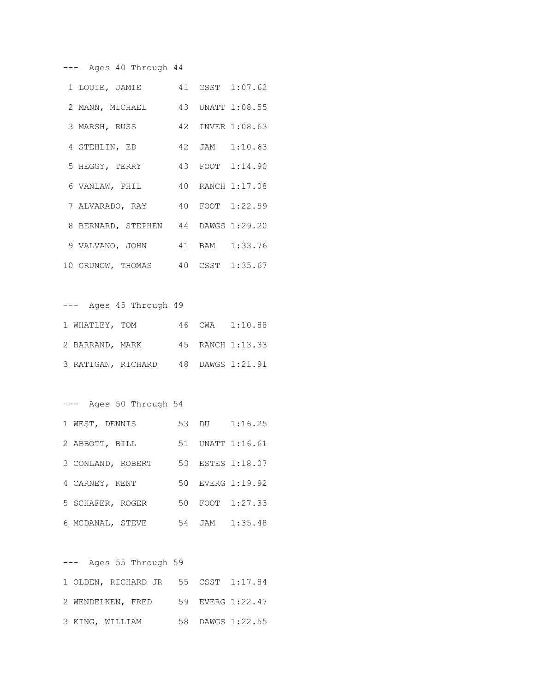--- Ages 40 Through 44

| 1 LOUIE, JAMIE 41 CSST 1:07.62      |  |                  |
|-------------------------------------|--|------------------|
| 2 MANN, MICHAEL 43 UNATT 1:08.55    |  |                  |
| 3 MARSH, RUSS                       |  | 42 INVER 1:08.63 |
| 4 STEHLIN, ED 42 JAM 1:10.63        |  |                  |
| 5 HEGGY, TERRY 43 FOOT 1:14.90      |  |                  |
| 6 VANLAW, PHIL 40 RANCH 1:17.08     |  |                  |
| 7 ALVARADO, RAY 40 FOOT 1:22.59     |  |                  |
| 8 BERNARD, STEPHEN 44 DAWGS 1:29.20 |  |                  |
| 9 VALVANO, JOHN 41 BAM 1:33.76      |  |                  |
| 10 GRUNOW, THOMAS 40 CSST 1:35.67   |  |                  |

--- Ages 45 Through 49 1 WHATLEY, TOM 46 CWA 1:10.88 2 BARRAND, MARK 45 RANCH 1:13.33 3 RATIGAN, RICHARD 48 DAWGS 1:21.91

--- Ages 50 Through 54

| 1 WEST, DENNIS    |  | 53 DU 1:16.25    |
|-------------------|--|------------------|
| 2 ABBOTT, BILL    |  | 51 UNATT 1:16.61 |
| 3 CONLAND, ROBERT |  | 53 ESTES 1:18.07 |
| 4 CARNEY, KENT    |  | 50 EVERG 1:19.92 |
| 5 SCHAFER, ROGER  |  | 50 FOOT 1:27.33  |
| 6 MCDANAL, STEVE  |  | 54 JAM 1:35.48   |

--- Ages 55 Through 59 1 OLDEN, RICHARD JR 55 CSST 1:17.84 2 WENDELKEN, FRED 59 EVERG 1:22.47 3 KING, WILLIAM 58 DAWGS 1:22.55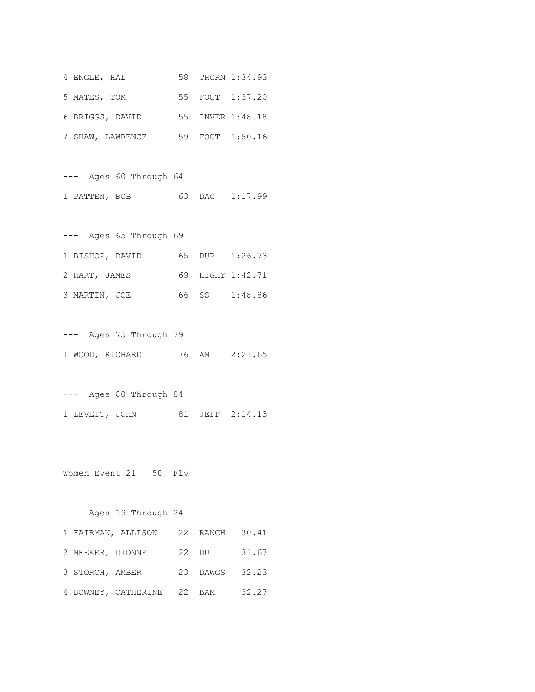| 4 ENGLE, HAL    |                  |  | 58 THORN 1:34.93 |
|-----------------|------------------|--|------------------|
| 5 MATES, TOM    |                  |  | 55 FOOT 1:37.20  |
| 6 BRIGGS, DAVID |                  |  | 55 INVER 1:48.18 |
|                 | 7 SHAW, LAWRENCE |  | 59 FOOT 1:50.16  |

--- Ages 60 Through 64 1 PATTEN, BOB 63 DAC 1:17.99

--- Ages 65 Through 69 1 BISHOP, DAVID 65 DUR 1:26.73 2 HART, JAMES 69 HIGHY 1:42.71 3 MARTIN, JOE 66 SS 1:48.86

--- Ages 75 Through 79 1 WOOD, RICHARD 76 AM 2:21.65

--- Ages 80 Through 84 1 LEVETT, JOHN 81 JEFF 2:14.13

Women Event 21 50 Fly

--- Ages 19 Through 24 1 FAIRMAN, ALLISON 22 RANCH 30.41 2 MEEKER, DIONNE 22 DU 31.67 3 STORCH, AMBER 23 DAWGS 32.23 4 DOWNEY, CATHERINE 22 BAM 32.27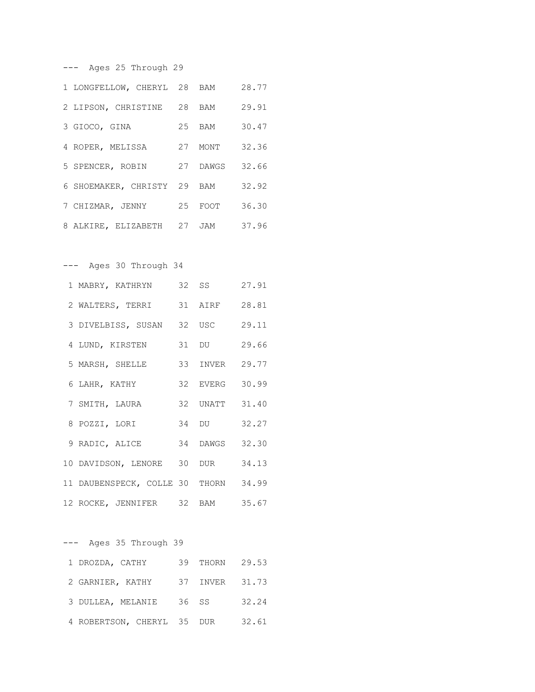--- Ages 25 Through 29

| 1 LONGFELLOW, CHERYL 28 BAM |          | 28.77 |
|-----------------------------|----------|-------|
| 2 LIPSON, CHRISTINE 28 BAM  |          | 29.91 |
| 3 GIOCO, GINA               | 25 BAM   | 30.47 |
| 4 ROPER, MELISSA            | 27 MONT  | 32.36 |
| 5 SPENCER, ROBIN            | 27 DAWGS | 32.66 |
| 6 SHOEMAKER, CHRISTY 29 BAM |          | 32.92 |
| 7 CHIZMAR, JENNY            | 25 FOOT  | 36.30 |
| 8 ALKIRE, ELIZABETH 27 JAM  |          | 37.96 |

--- Ages 30 Through 34

| 1 MABRY, KATHRYN                     | 32 SS          | 27.91 |
|--------------------------------------|----------------|-------|
| 2 WALTERS, TERRI                     | 31 AIRF        | 28.81 |
| 3 DIVELBISS, SUSAN 32 USC            |                | 29.11 |
| 4 LUND, KIRSTEN                      | 31 DU          | 29.66 |
| 5 MARSH, SHELLE                      | 33 INVER 29.77 |       |
| 6 LAHR, KATHY                        | 32 EVERG       | 30.99 |
| 7 SMITH, LAURA                       | 32 UNATT 31.40 |       |
| 8 POZZI, LORI                        | 34 DU          | 32.27 |
| 9 RADIC, ALICE                       | 34 DAWGS       | 32.30 |
| 10 DAVIDSON, LENORE 30 DUR           |                | 34.13 |
| 11 DAUBENSPECK, COLLE 30 THORN 34.99 |                |       |
| 12 ROCKE, JENNIFER 32 BAM 35.67      |                |       |

--- Ages 35 Through 39 1 DROZDA, CATHY 39 THORN 29.53 2 GARNIER, KATHY 37 INVER 31.73 3 DULLEA, MELANIE 36 SS 32.24 4 ROBERTSON, CHERYL 35 DUR 32.61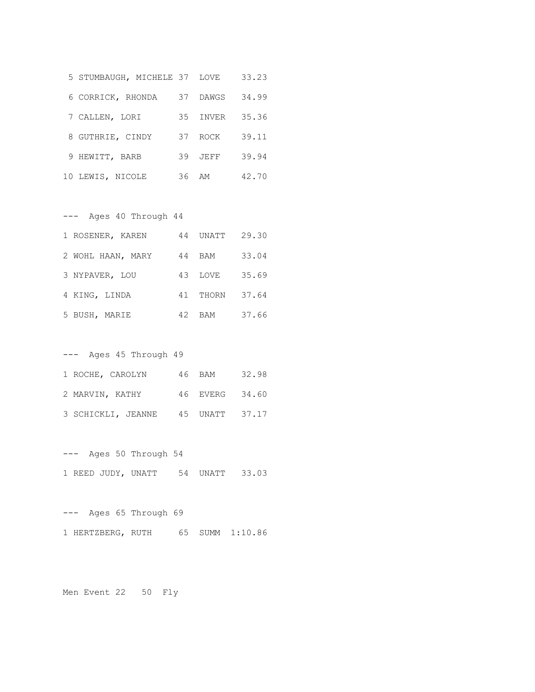| 5 STUMBAUGH, MICHELE 37 LOVE |    |       | 33.23 |
|------------------------------|----|-------|-------|
| 6 CORRICK, RHONDA            | 37 | DAWGS | 34.99 |
| 7 CALLEN, LORI               | 35 | INVER | 35.36 |
| 8 GUTHRIE, CINDY             | 37 | ROCK  | 39.11 |
| 9 HEWITT, BARB               | 39 | JEFF  | 39.94 |
| 10 LEWIS, NICOLE             | 36 | ΆM    | 42.70 |

| Ages 40 Through 44 |    |          |       |
|--------------------|----|----------|-------|
| 1 ROSENER, KAREN   | 44 | UNATT    | 29.30 |
| 2 WOHL HAAN, MARY  | 44 | BAM      | 33.04 |
| 3 NYPAVER, LOU     | 43 | LOVE     | 35.69 |
| 4 KING, LINDA      |    | 41 THORN | 37.64 |
| 5 BUSH, MARIE      | 42 | BAM      | 37.66 |

| Ages 45 Through 49<br>$---$ |                    |  |        |                |  |
|-----------------------------|--------------------|--|--------|----------------|--|
|                             | 1 ROCHE, CAROLYN   |  | 46 BAM | 32.98          |  |
| 2 MARVIN, KATHY             |                    |  |        | 46 EVERG 34.60 |  |
|                             | 3 SCHICKLI, JEANNE |  |        | 45 UNATT 37.17 |  |

--- Ages 50 Through 54 1 REED JUDY, UNATT 54 UNATT 33.03

--- Ages 65 Through 69 1 HERTZBERG, RUTH 65 SUMM 1:10.86

Men Event 22 50 Fly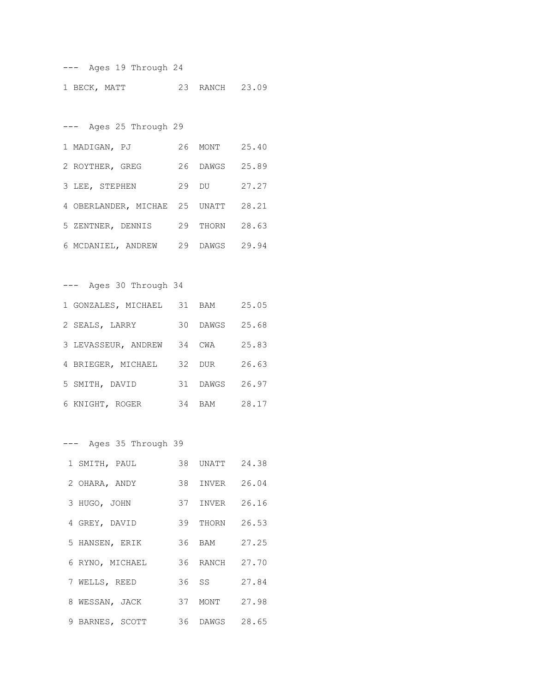--- Ages 19 Through 24 1 BECK, MATT 23 RANCH 23.09

--- Ages 25 Through 29 1 MADIGAN, PJ 26 MONT 25.40 2 ROYTHER, GREG 26 DAWGS 25.89 3 LEE, STEPHEN 29 DU 27.27 4 OBERLANDER, MICHAE 25 UNATT 28.21 5 ZENTNER, DENNIS 29 THORN 28.63 6 MCDANIEL, ANDREW 29 DAWGS 29.94

--- Ages 30 Through 34 1 GONZALES, MICHAEL 31 BAM 25.05 2 SEALS, LARRY 30 DAWGS 25.68 3 LEVASSEUR, ANDREW 34 CWA 25.83 4 BRIEGER, MICHAEL 32 DUR 26.63 5 SMITH, DAVID 31 DAWGS 26.97 6 KNIGHT, ROGER 34 BAM 28.17

--- Ages 35 Through 39

| 1 SMITH, PAUL   | 38 UNATT | 24.38 |
|-----------------|----------|-------|
| 2 OHARA, ANDY   | 38 INVER | 26.04 |
| 3 HUGO, JOHN    | 37 INVER | 26.16 |
| 4 GREY, DAVID   | 39 THORN | 26.53 |
| 5 HANSEN, ERIK  | 36 BAM   | 27.25 |
| 6 RYNO, MICHAEL | 36 RANCH | 27.70 |
| 7 WELLS, REED   | 36 SS    | 27.84 |
| 8 WESSAN, JACK  | 37 MONT  | 27.98 |
| 9 BARNES, SCOTT | 36 DAWGS | 28.65 |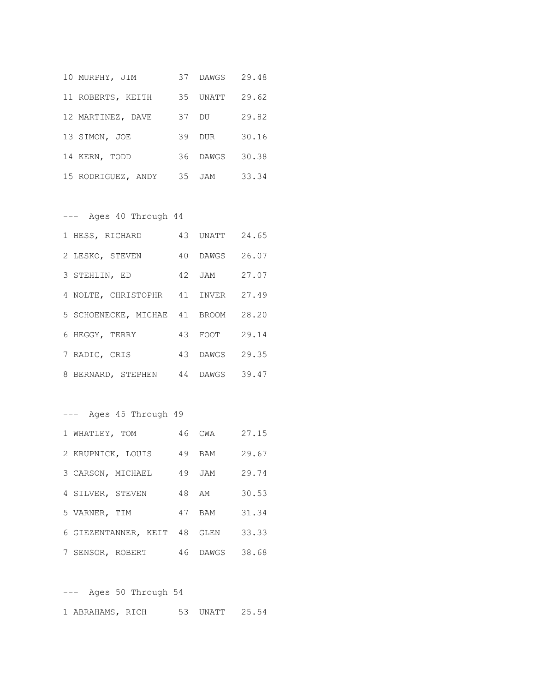| 10 MURPHY, JIM     |       | 37 DAWGS 29.48 |       |
|--------------------|-------|----------------|-------|
| 11 ROBERTS, KEITH  | 35    | UNATT          | 29.62 |
| 12 MARTINEZ, DAVE  | 37 DU |                | 29.82 |
| 13 SIMON, JOE      | 39    | DUR            | 30.16 |
| 14 KERN, TODD      | 36    | DAWGS          | 30.38 |
| 15 RODRIGUEZ, ANDY | 35    | JAM            | 33.34 |

--- Ages 40 Through 44

| 1 HESS, RICHARD                    | 43 UNATT 24.65 |       |
|------------------------------------|----------------|-------|
| 2 LESKO, STEVEN                    | 40 DAWGS 26.07 |       |
| 3 STEHLIN, ED                      | 42 JAM         | 27.07 |
| 4 NOLTE, CHRISTOPHR 41 INVER 27.49 |                |       |
| 5 SCHOENECKE, MICHAE 41 BROOM      |                | 28.20 |
| 6 HEGGY, TERRY                     | 43 FOOT 29.14  |       |
| 7 RADIC, CRIS                      | 43 DAWGS 29.35 |       |
| 8 BERNARD, STEPHEN 44 DAWGS 39.47  |                |       |

--- Ages 45 Through 49 1 WHATLEY, TOM 46 CWA 27.15 2 KRUPNICK, LOUIS 49 BAM 29.67 3 CARSON, MICHAEL 49 JAM 29.74 4 SILVER, STEVEN 48 AM 30.53 5 VARNER, TIM 47 BAM 31.34 6 GIEZENTANNER, KEIT 48 GLEN 33.33 7 SENSOR, ROBERT 46 DAWGS 38.68

--- Ages 50 Through 54 1 ABRAHAMS, RICH 53 UNATT 25.54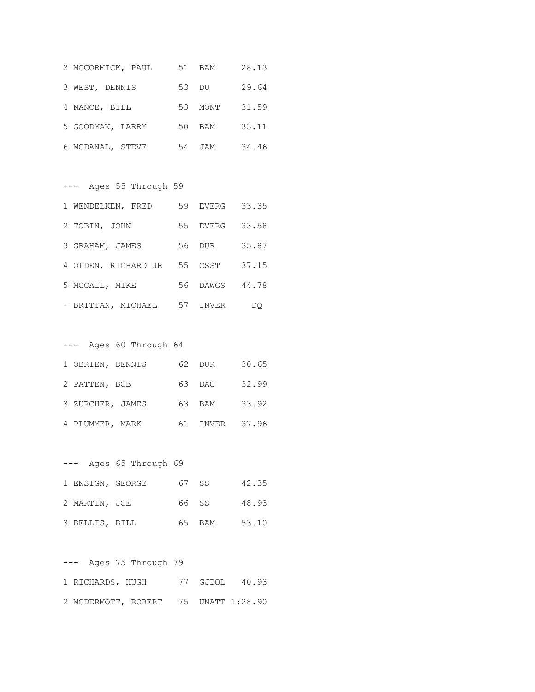| 2 MCCORMICK, PAUL | 51<br>BAM        | 28.13 |
|-------------------|------------------|-------|
| 3 WEST, DENNIS    | 53 DU            | 29.64 |
| 4 NANCE, BILL     | 53<br>MONT       | 31.59 |
| 5 GOODMAN, LARRY  | 50<br>BAM        | 33.11 |
| 6 MCDANAL, STEVE  | 54<br><b>JAM</b> | 34.46 |

--- Ages 55 Through 59 1 WENDELKEN, FRED 59 EVERG 33.35 2 TOBIN, JOHN 55 EVERG 33.58 3 GRAHAM, JAMES 56 DUR 35.87 4 OLDEN, RICHARD JR 55 CSST 37.15 5 MCCALL, MIKE 56 DAWGS 44.78 - BRITTAN, MICHAEL 57 INVER DQ

|                  | Ages 60 Through 64 |     |             |       |
|------------------|--------------------|-----|-------------|-------|
| 1 OBRIEN, DENNIS |                    | 62. | DUR         | 30.65 |
| 2 PATTEN, BOB    |                    |     | 63 DAC      | 32.99 |
| 3 ZURCHER, JAMES |                    | 63  | BAM         | 33.92 |
| 4 PLUMMER, MARK  |                    | 61  | INVER 37.96 |       |

--- Ages 65 Through 69 1 ENSIGN, GEORGE 67 SS 42.35 2 MARTIN, JOE 66 SS 48.93 3 BELLIS, BILL 65 BAM 53.10

--- Ages 75 Through 79 1 RICHARDS, HUGH 77 GJDOL 40.93 2 MCDERMOTT, ROBERT 75 UNATT 1:28.90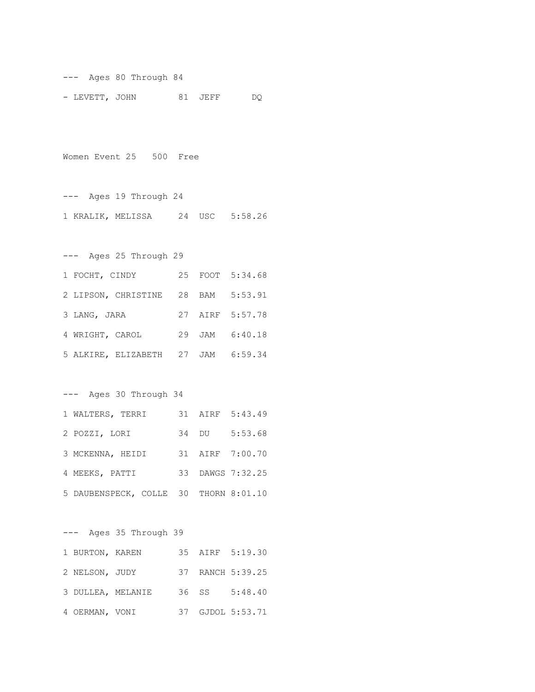--- Ages 80 Through 84

- LEVETT, JOHN 81 JEFF DQ

Women Event 25 500 Free

--- Ages 19 Through 24 1 KRALIK, MELISSA 24 USC 5:58.26

--- Ages 25 Through 29 1 FOCHT, CINDY 25 FOOT 5:34.68 2 LIPSON, CHRISTINE 28 BAM 5:53.91 3 LANG, JARA 27 AIRF 5:57.78 4 WRIGHT, CAROL 29 JAM 6:40.18 5 ALKIRE, ELIZABETH 27 JAM 6:59.34

--- Ages 30 Through 34

| 1 WALTERS, TERRI                      |  | 31 AIRF 5:43.49  |
|---------------------------------------|--|------------------|
| 2 POZZI, LORI                         |  | 34 DU 5:53.68    |
| 3 MCKENNA, HEIDI                      |  | 31 AIRF 7:00.70  |
| 4 MEEKS, PATTI                        |  | 33 DAWGS 7:32.25 |
| 5 DAUBENSPECK, COLLE 30 THORN 8:01.10 |  |                  |

--- Ages 35 Through 39 1 BURTON, KAREN 35 AIRF 5:19.30 2 NELSON, JUDY 37 RANCH 5:39.25 3 DULLEA, MELANIE 36 SS 5:48.40 4 OERMAN, VONI 37 GJDOL 5:53.71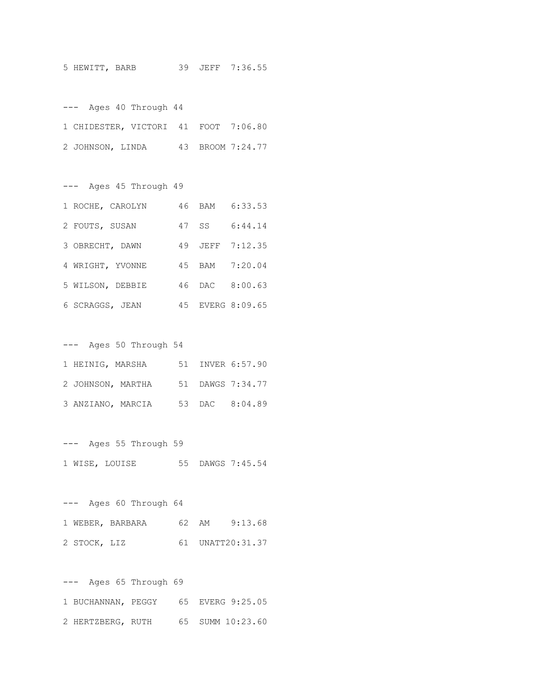5 HEWITT, BARB 39 JEFF 7:36.55

--- Ages 40 Through 44 1 CHIDESTER, VICTORI 41 FOOT 7:06.80 2 JOHNSON, LINDA 43 BROOM 7:24.77

--- Ages 45 Through 49 1 ROCHE, CAROLYN 46 BAM 6:33.53 2 FOUTS, SUSAN 47 SS 6:44.14 3 OBRECHT, DAWN 49 JEFF 7:12.35 4 WRIGHT, YVONNE 45 BAM 7:20.04 5 WILSON, DEBBIE 46 DAC 8:00.63 6 SCRAGGS, JEAN 45 EVERG 8:09.65

--- Ages 50 Through 54 1 HEINIG, MARSHA 51 INVER 6:57.90 2 JOHNSON, MARTHA 51 DAWGS 7:34.77 3 ANZIANO, MARCIA 53 DAC 8:04.89

--- Ages 55 Through 59 1 WISE, LOUISE 55 DAWGS 7:45.54

--- Ages 60 Through 64 1 WEBER, BARBARA 62 AM 9:13.68 2 STOCK, LIZ 61 UNATT20:31.37

--- Ages 65 Through 69 1 BUCHANNAN, PEGGY 65 EVERG 9:25.05 2 HERTZBERG, RUTH 65 SUMM 10:23.60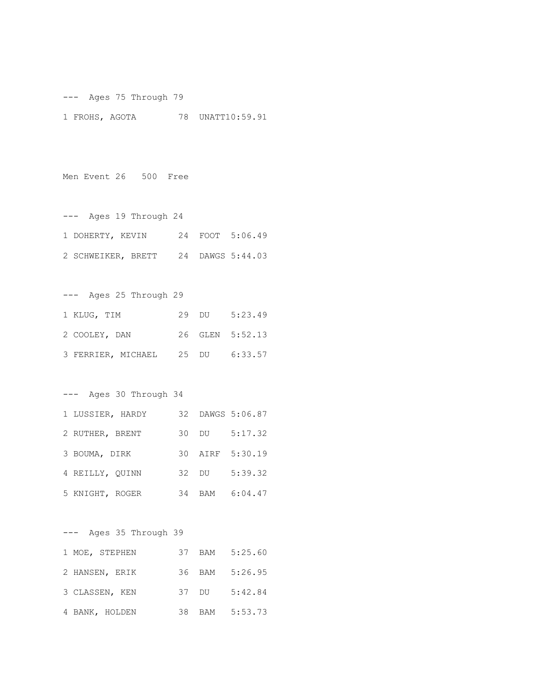--- Ages 75 Through 79 1 FROHS, AGOTA 78 UNATT10:59.91

Men Event 26 500 Free

| Ages 19 Through 24                  |  |                 |
|-------------------------------------|--|-----------------|
| 1 DOHERTY, KEVIN                    |  | 24 FOOT 5:06.49 |
| 2 SCHWEIKER, BRETT 24 DAWGS 5:44.03 |  |                 |

--- Ages 25 Through 29 1 KLUG, TIM 29 DU 5:23.49 2 COOLEY, DAN 26 GLEN 5:52.13 3 FERRIER, MICHAEL 25 DU 6:33.57

--- Ages 30 Through 34

| 1 LUSSIER, HARDY |       | 32 DAWGS 5:06.87 |
|------------------|-------|------------------|
| 2 RUTHER, BRENT  | 30 DU | 5:17.32          |
| 3 BOUMA, DIRK    |       | 30 AIRF 5:30.19  |
| 4 REILLY, OUINN  |       | 32 DU 5:39.32    |
| 5 KNIGHT, ROGER  |       | 34 BAM 6:04.47   |

--- Ages 35 Through 39 1 MOE, STEPHEN 37 BAM 5:25.60 2 HANSEN, ERIK 36 BAM 5:26.95 3 CLASSEN, KEN 37 DU 5:42.84 4 BANK, HOLDEN 38 BAM 5:53.73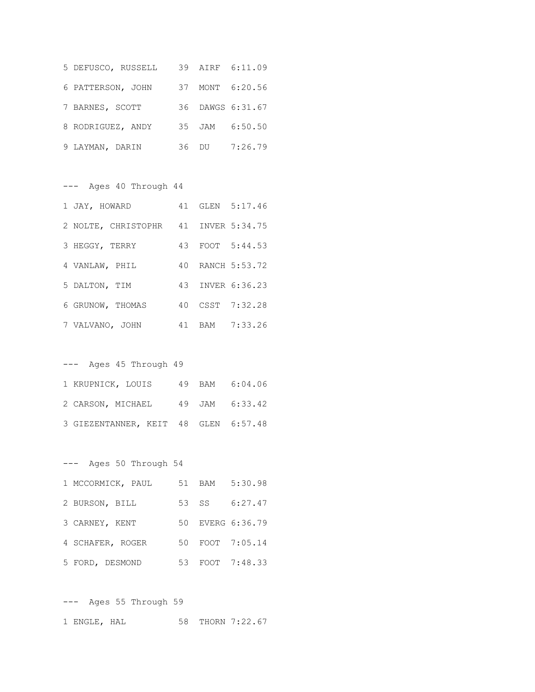| 5 DEFUSCO, RUSSELL |  | 39 AIRF 6:11.09  |
|--------------------|--|------------------|
| 6 PATTERSON, JOHN  |  | 37 MONT 6:20.56  |
| 7 BARNES, SCOTT    |  | 36 DAWGS 6:31.67 |
| 8 RODRIGUEZ, ANDY  |  | 35 JAM 6:50.50   |
| 9 LAYMAN, DARIN    |  | 36 DU 7:26.79    |

--- Ages 40 Through 44 1 JAY, HOWARD 41 GLEN 5:17.46 2 NOLTE, CHRISTOPHR 41 INVER 5:34.75 3 HEGGY, TERRY 43 FOOT 5:44.53 4 VANLAW, PHIL 40 RANCH 5:53.72 5 DALTON, TIM 43 INVER 6:36.23 6 GRUNOW, THOMAS 40 CSST 7:32.28 7 VALVANO, JOHN 41 BAM 7:33.26

| --- Ages 45 Through 49               |  |  |
|--------------------------------------|--|--|
| 1 KRUPNICK, LOUIS 49 BAM 6:04.06     |  |  |
| 2 CARSON, MICHAEL 49 JAM 6:33.42     |  |  |
| 3 GIEZENTANNER, KEIT 48 GLEN 6:57.48 |  |  |

--- Ages 50 Through 54

| 1 MCCORMICK, PAUL |  | 51 BAM 5:30.98   |
|-------------------|--|------------------|
| 2 BURSON, BILL    |  | 53 SS 6:27.47    |
| 3 CARNEY, KENT    |  | 50 EVERG 6:36.79 |
| 4 SCHAFER, ROGER  |  | 50 FOOT 7:05.14  |
| 5 FORD, DESMOND   |  | 53 FOOT 7:48.33  |

--- Ages 55 Through 59 1 ENGLE, HAL 58 THORN 7:22.67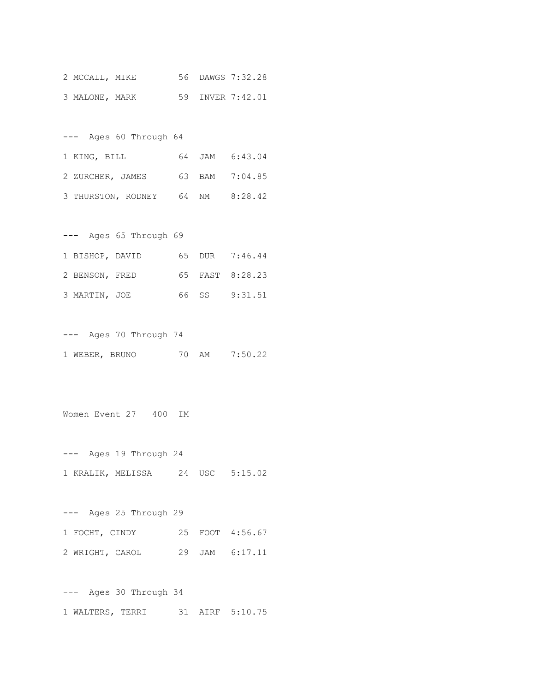| 2 MCCALL, MIKE |  | 56 DAWGS 7:32.28 |
|----------------|--|------------------|
| 3 MALONE, MARK |  | 59 INVER 7:42.01 |

| Ages 60 Through 64<br>$---$      |  |                |
|----------------------------------|--|----------------|
| 1 KING, BILL                     |  | 64 JAM 6:43.04 |
| 2 ZURCHER, JAMES                 |  | 63 BAM 7:04.85 |
| 3 THURSTON, RODNEY 64 NM 8:28.42 |  |                |

| $---$           | Ages 65 Through 69 |  |                 |
|-----------------|--------------------|--|-----------------|
| 1 BISHOP, DAVID |                    |  | 65 DUR 7:46.44  |
| 2 BENSON, FRED  |                    |  | 65 FAST 8:28.23 |
| 3 MARTIN, JOE   |                    |  | 66 SS 9:31.51   |

--- Ages 70 Through 74 1 WEBER, BRUNO 70 AM 7:50.22

Women Event 27 400 IM

--- Ages 19 Through 24 1 KRALIK, MELISSA 24 USC 5:15.02

--- Ages 25 Through 29 1 FOCHT, CINDY 25 FOOT 4:56.67 2 WRIGHT, CAROL 29 JAM 6:17.11

--- Ages 30 Through 34 1 WALTERS, TERRI 31 AIRF 5:10.75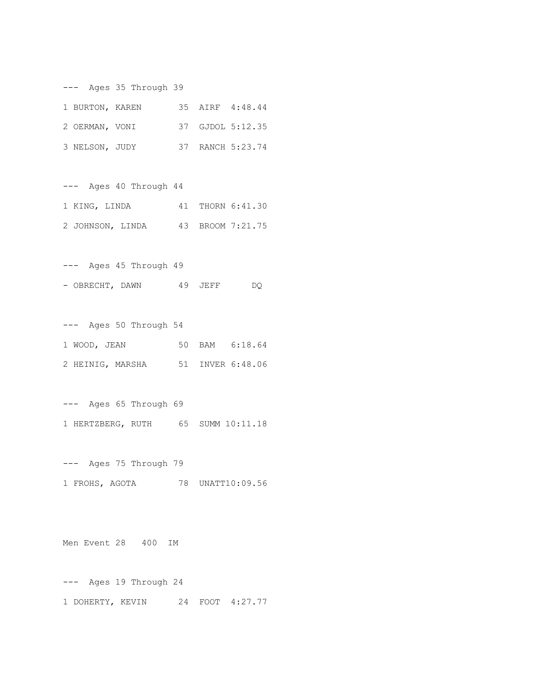--- Ages 35 Through 39

| 1 BURTON, KAREN |  | 35 AIRF 4:48.44  |
|-----------------|--|------------------|
| 2 OERMAN, VONI  |  | 37 GJDOL 5:12.35 |
| 3 NELSON, JUDY  |  | 37 RANCH 5:23.74 |

--- Ages 40 Through 44 1 KING, LINDA 41 THORN 6:41.30 2 JOHNSON, LINDA 43 BROOM 7:21.75

--- Ages 45 Through 49 - OBRECHT, DAWN 49 JEFF DQ

--- Ages 50 Through 54 1 WOOD, JEAN 50 BAM 6:18.64 2 HEINIG, MARSHA 51 INVER 6:48.06

--- Ages 65 Through 69 1 HERTZBERG, RUTH 65 SUMM 10:11.18

--- Ages 75 Through 79 1 FROHS, AGOTA 78 UNATT10:09.56

Men Event 28 400 IM

--- Ages 19 Through 24 1 DOHERTY, KEVIN 24 FOOT 4:27.77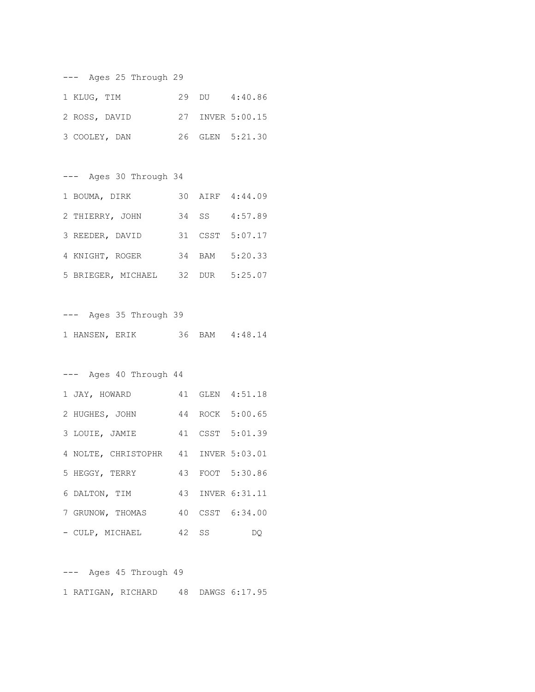| Ages 25 Through 29<br>$---$ |  |                  |
|-----------------------------|--|------------------|
| 1 KLUG, TIM                 |  | 29 DU 4:40.86    |
| 2 ROSS, DAVID               |  | 27 INVER 5:00.15 |
| 3 COOLEY, DAN               |  | 26 GLEN 5:21.30  |

--- Ages 30 Through 34

| 1 BOUMA, DIRK      |  | 30 AIRF 4:44.09 |
|--------------------|--|-----------------|
| 2 THIERRY, JOHN    |  | 34 SS 4:57.89   |
| 3 REEDER, DAVID    |  | 31 CSST 5:07.17 |
| 4 KNIGHT, ROGER    |  | 34 BAM 5:20.33  |
| 5 BRIEGER, MICHAEL |  | 32 DUR 5:25.07  |

--- Ages 35 Through 39 1 HANSEN, ERIK 36 BAM 4:48.14

--- Ages 40 Through 44

| 1 JAY, HOWARD                        |       | 41 GLEN 4:51.18  |
|--------------------------------------|-------|------------------|
| 2 HUGHES, JOHN                       |       | 44 ROCK 5:00.65  |
| 3 LOUIE, JAMIE                       |       | 41 CSST 5:01.39  |
| 4 NOLTE, CHRISTOPHR 41 INVER 5:03.01 |       |                  |
| 5 HEGGY, TERRY                       |       | 43 FOOT 5:30.86  |
| 6 DALTON, TIM                        |       | 43 INVER 6:31.11 |
| 7 GRUNOW, THOMAS                     |       | 40 CSST 6:34.00  |
| - CULP, MICHAEL                      | 42 SS | DQ.              |

--- Ages 45 Through 49 1 RATIGAN, RICHARD 48 DAWGS 6:17.95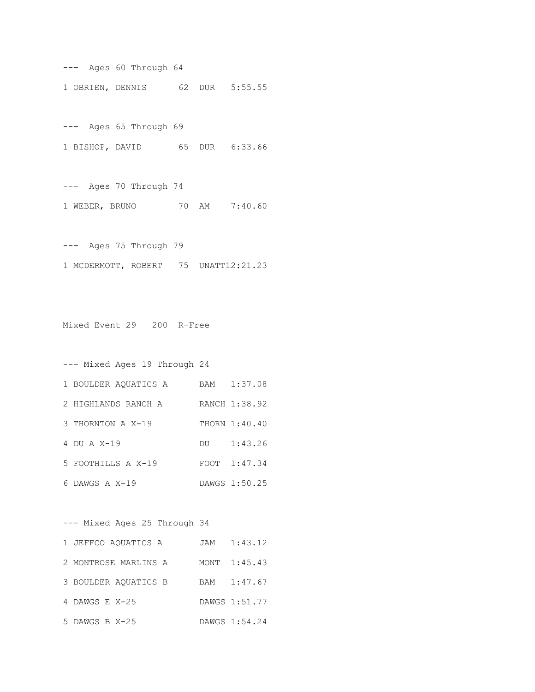--- Ages 60 Through 64 1 OBRIEN, DENNIS 62 DUR 5:55.55

--- Ages 65 Through 69 1 BISHOP, DAVID 65 DUR 6:33.66

--- Ages 70 Through 74 1 WEBER, BRUNO 70 AM 7:40.60

--- Ages 75 Through 79 1 MCDERMOTT, ROBERT 75 UNATT12:21.23

Mixed Event 29 200 R-Free

| --- Mixed Ages 19 Through 24 |     |               |
|------------------------------|-----|---------------|
| 1 BOULDER AQUATICS A         | BAM | 1:37.08       |
| 2 HIGHLANDS RANCH A          |     | RANCH 1:38.92 |
| 3 THORNTON A X-19            |     | THORN 1:40.40 |
| 4 DU A $X-19$                | DU  | 1:43.26       |
| 5 FOOTHILLS A X-19           |     | FOOT 1:47.34  |
| 6 DAWGS A X-19               |     | DAWGS 1:50.25 |

--- Mixed Ages 25 Through 34

| 1 JEFFCO AOUATICS A  | JAM 1:43.12   |
|----------------------|---------------|
| 2 MONTROSE MARLINS A | MONT 1:45.43  |
| 3 BOULDER AQUATICS B | BAM 1:47.67   |
| 4 DAWGS E X-25       | DAWGS 1:51.77 |
| 5 DAWGS B X-25       | DAWGS 1:54.24 |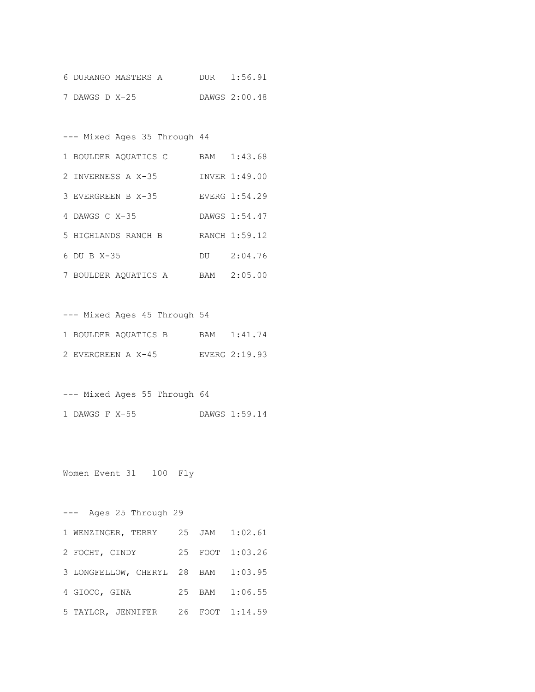|                | 6 DURANGO MASTERS A | DUR | 1:56.91       |
|----------------|---------------------|-----|---------------|
| 7 DAWGS D X-25 |                     |     | DAWGS 2:00.48 |

--- Mixed Ages 35 Through 44

| 1 BOULDER AQUATICS C | BAM | 1:43.68       |
|----------------------|-----|---------------|
| 2 INVERNESS A X-35   |     | INVER 1:49.00 |
| 3 EVERGREEN B X-35   |     | EVERG 1:54.29 |
| 4 DAWGS $C X-35$     |     | DAWGS 1:54.47 |
| 5 HIGHLANDS RANCH B  |     | RANCH 1:59.12 |
| $6$ DU B $X-35$      | DU  | 2:04.76       |
| 7 BOULDER AQUATICS A | BAM | 2:05.00       |

|  |                      |  | --- Mixed Ages 45 Through 54 |               |
|--|----------------------|--|------------------------------|---------------|
|  | 1 BOULDER AOUATICS B |  |                              | BAM 1:41.74   |
|  | 2 EVERGREEN A X-45   |  |                              | EVERG 2:19.93 |

--- Mixed Ages 55 Through 64 1 DAWGS F X-55 DAWGS 1:59.14

Women Event 31 100 Fly

--- Ages 25 Through 29 1 WENZINGER, TERRY 25 JAM 1:02.61 2 FOCHT, CINDY 25 FOOT 1:03.26 3 LONGFELLOW, CHERYL 28 BAM 1:03.95 4 GIOCO, GINA 25 BAM 1:06.55 5 TAYLOR, JENNIFER 26 FOOT 1:14.59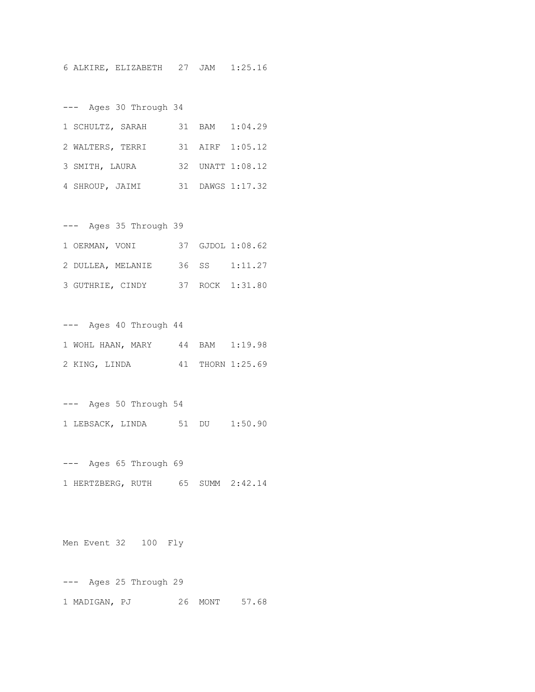6 ALKIRE, ELIZABETH 27 JAM 1:25.16

--- Ages 30 Through 34

| 1 SCHULTZ, SARAH |  | 31 BAM 1:04.29   |
|------------------|--|------------------|
| 2 WALTERS, TERRI |  | 31 AIRF 1:05.12  |
| 3 SMITH, LAURA   |  | 32 UNATT 1:08.12 |
| 4 SHROUP, JAIMI  |  | 31 DAWGS 1:17.32 |

--- Ages 35 Through 39 1 OERMAN, VONI 37 GJDOL 1:08.62 2 DULLEA, MELANIE 36 SS 1:11.27 3 GUTHRIE, CINDY 37 ROCK 1:31.80

--- Ages 40 Through 44 1 WOHL HAAN, MARY 44 BAM 1:19.98 2 KING, LINDA 41 THORN 1:25.69

--- Ages 50 Through 54 1 LEBSACK, LINDA 51 DU 1:50.90

--- Ages 65 Through 69 1 HERTZBERG, RUTH 65 SUMM 2:42.14

Men Event 32 100 Fly

--- Ages 25 Through 29 1 MADIGAN, PJ 26 MONT 57.68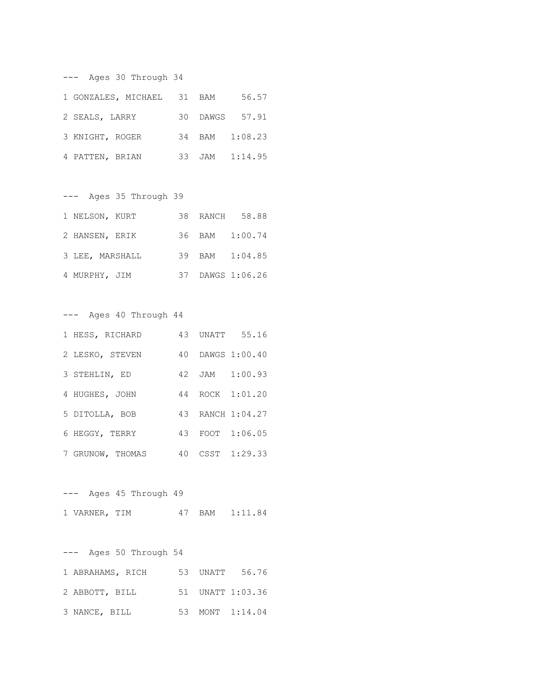--- Ages 30 Through 34

| 1 GONZALES, MICHAEL 31 BAM |  | 56.57          |
|----------------------------|--|----------------|
| 2 SEALS, LARRY             |  | 30 DAWGS 57.91 |
| 3 KNIGHT, ROGER            |  | 34 BAM 1:08.23 |
| 4 PATTEN, BRIAN            |  | 33 JAM 1:14.95 |

--- Ages 35 Through 39 1 NELSON, KURT 38 RANCH 58.88 2 HANSEN, ERIK 36 BAM 1:00.74 3 LEE, MARSHALL 39 BAM 1:04.85 4 MURPHY, JIM 37 DAWGS 1:06.26

--- Ages 40 Through 44

| 1 HESS, RICHARD  |  | 43 UNATT 55.16   |
|------------------|--|------------------|
| 2 LESKO, STEVEN  |  | 40 DAWGS 1:00.40 |
| 3 STEHLIN, ED    |  | 42 JAM 1:00.93   |
| 4 HUGHES, JOHN   |  | 44 ROCK 1:01.20  |
| 5 DITOLLA, BOB   |  | 43 RANCH 1:04.27 |
| 6 HEGGY, TERRY   |  | 43 FOOT 1:06.05  |
| 7 GRUNOW, THOMAS |  | 40 CSST 1:29.33  |

--- Ages 45 Through 49 1 VARNER, TIM 47 BAM 1:11.84

--- Ages 50 Through 54 1 ABRAHAMS, RICH 53 UNATT 56.76 2 ABBOTT, BILL 51 UNATT 1:03.36 3 NANCE, BILL 53 MONT 1:14.04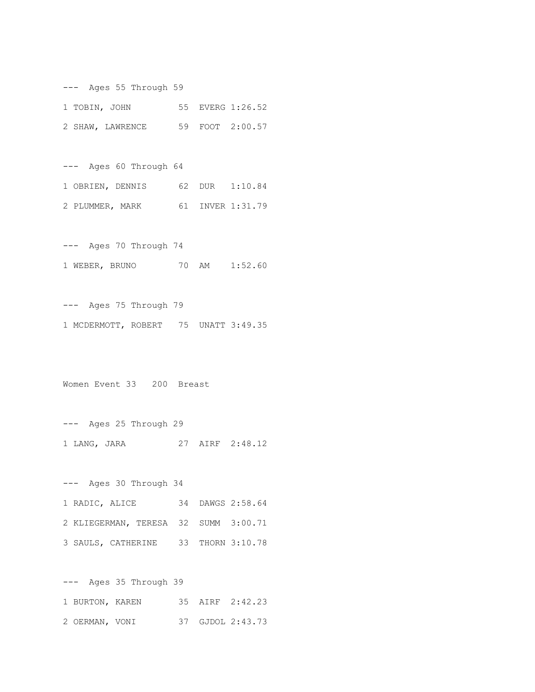--- Ages 55 Through 59 1 TOBIN, JOHN 55 EVERG 1:26.52 2 SHAW, LAWRENCE 59 FOOT 2:00.57

--- Ages 60 Through 64 1 OBRIEN, DENNIS 62 DUR 1:10.84 2 PLUMMER, MARK 61 INVER 1:31.79

--- Ages 70 Through 74 1 WEBER, BRUNO 70 AM 1:52.60

--- Ages 75 Through 79 1 MCDERMOTT, ROBERT 75 UNATT 3:49.35

Women Event 33 200 Breast

--- Ages 30 Through 34

--- Ages 25 Through 29 1 LANG, JARA 27 AIRF 2:48.12

1 RADIC, ALICE 34 DAWGS 2:58.64 2 KLIEGERMAN, TERESA 32 SUMM 3:00.71 3 SAULS, CATHERINE 33 THORN 3:10.78

--- Ages 35 Through 39 1 BURTON, KAREN 35 AIRF 2:42.23 2 OERMAN, VONI 37 GJDOL 2:43.73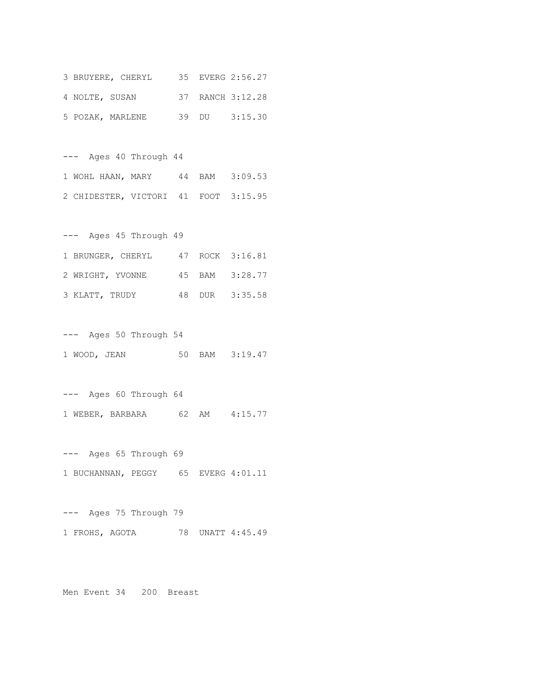|                | 3 BRUYERE, CHERYL |  | 35 EVERG 2:56.27 |
|----------------|-------------------|--|------------------|
| 4 NOLTE, SUSAN |                   |  | 37 RANCH 3:12.28 |
|                | 5 POZAK, MARLENE  |  | 39 DU 3:15.30    |

--- Ages 40 Through 44 1 WOHL HAAN, MARY 44 BAM 3:09.53 2 CHIDESTER, VICTORI 41 FOOT 3:15.95

--- Ages 45 Through 49 1 BRUNGER, CHERYL 47 ROCK 3:16.81 2 WRIGHT, YVONNE 45 BAM 3:28.77 3 KLATT, TRUDY 48 DUR 3:35.58

--- Ages 50 Through 54 1 WOOD, JEAN 50 BAM 3:19.47

--- Ages 60 Through 64 1 WEBER, BARBARA 62 AM 4:15.77

--- Ages 65 Through 69 1 BUCHANNAN, PEGGY 65 EVERG 4:01.11

--- Ages 75 Through 79 1 FROHS, AGOTA 78 UNATT 4:45.49

Men Event 34 200 Breast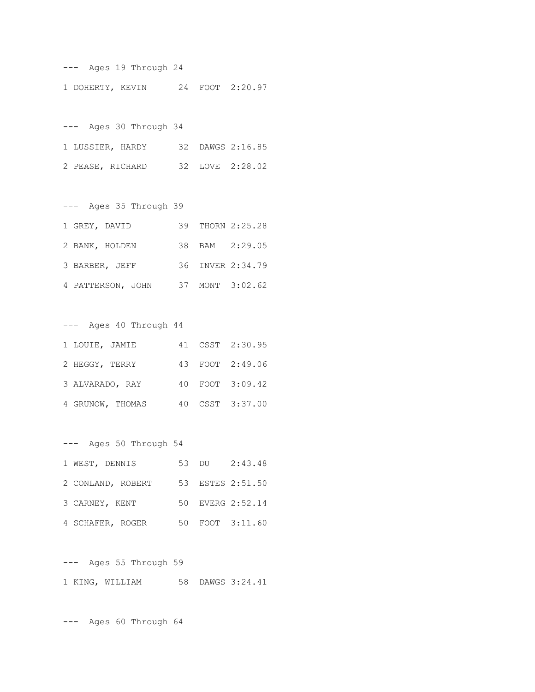--- Ages 19 Through 24 1 DOHERTY, KEVIN 24 FOOT 2:20.97

--- Ages 30 Through 34 1 LUSSIER, HARDY 32 DAWGS 2:16.85 2 PEASE, RICHARD 32 LOVE 2:28.02

| Ages 35 Through 39<br>$---$ |    |                  |
|-----------------------------|----|------------------|
| 1 GREY, DAVID               |    | 39 THORN 2:25.28 |
| 2 BANK, HOLDEN              |    | 38 BAM 2:29.05   |
| 3 BARBER, JEFF              |    | 36 INVER 2:34.79 |
| 4 PATTERSON, JOHN           | 37 | MONT 3:02.62     |

| Ages 40 Through 44<br>$---$ |  |                 |
|-----------------------------|--|-----------------|
| 1 LOUIE, JAMIE              |  | 41 CSST 2:30.95 |
| 2 HEGGY, TERRY              |  | 43 FOOT 2:49.06 |
| 3 ALVARADO, RAY             |  | 40 FOOT 3:09.42 |
| 4 GRUNOW, THOMAS            |  | 40 CSST 3:37.00 |

--- Ages 50 Through 54 1 WEST, DENNIS 53 DU 2:43.48 2 CONLAND, ROBERT 53 ESTES 2:51.50 3 CARNEY, KENT 50 EVERG 2:52.14 4 SCHAFER, ROGER 50 FOOT 3:11.60

--- Ages 55 Through 59 1 KING, WILLIAM 58 DAWGS 3:24.41

--- Ages 60 Through 64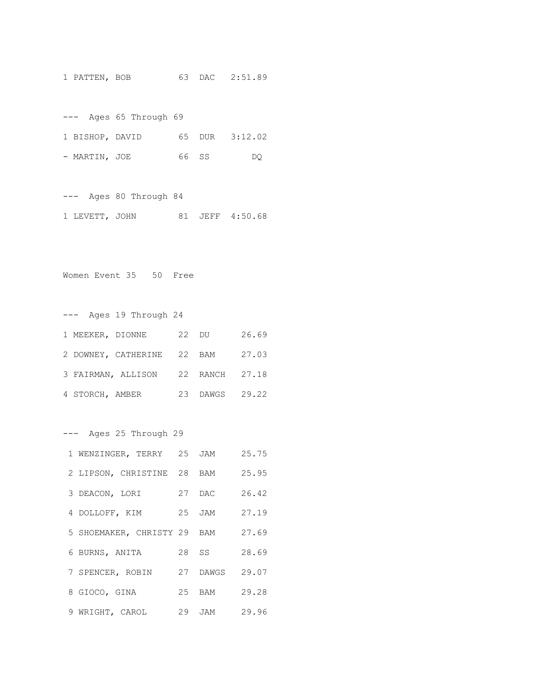1 PATTEN, BOB 63 DAC 2:51.89

--- Ages 65 Through 69 1 BISHOP, DAVID 65 DUR 3:12.02 - MARTIN, JOE 66 SS DQ

--- Ages 80 Through 84 1 LEVETT, JOHN 81 JEFF 4:50.68

Women Event 35 50 Free

--- Ages 19 Through 24 1 MEEKER, DIONNE 22 DU 26.69 2 DOWNEY, CATHERINE 22 BAM 27.03 3 FAIRMAN, ALLISON 22 RANCH 27.18 4 STORCH, AMBER 23 DAWGS 29.22

--- Ages 25 Through 29

| 1 WENZINGER, TERRY 25 JAM   |          | 25.75 |
|-----------------------------|----------|-------|
| 2 LIPSON, CHRISTINE 28 BAM  |          | 25.95 |
| 3 DEACON, LORI              | 27 DAC   | 26.42 |
| 4 DOLLOFF, KIM              | 25 JAM   | 27.19 |
| 5 SHOEMAKER, CHRISTY 29 BAM |          | 27.69 |
| 6 BURNS, ANITA              | 28 SS    | 28.69 |
| 7 SPENCER, ROBIN            | 27 DAWGS | 29.07 |
| 8 GIOCO, GINA               | 25 BAM   | 29.28 |
| 9 WRIGHT, CAROL             | 29 JAM   | 29.96 |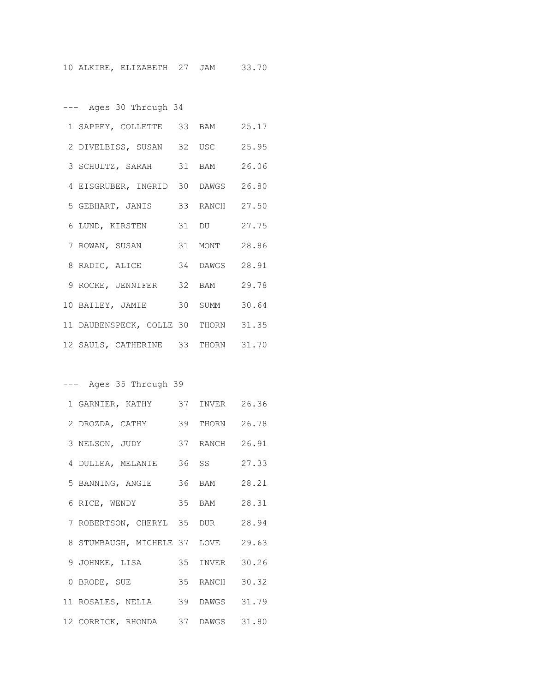--- Ages 30 Through 34

| 1 SAPPEY, COLLETTE 33 BAM            |                | 25.17 |
|--------------------------------------|----------------|-------|
| 2 DIVELBISS, SUSAN 32 USC            |                | 25.95 |
| 3 SCHULTZ, SARAH 31 BAM              |                | 26.06 |
| 4 EISGRUBER, INGRID 30 DAWGS 26.80   |                |       |
| 5 GEBHART, JANIS                     | 33 RANCH 27.50 |       |
| 6 LUND, KIRSTEN                      | 31 DU 27.75    |       |
| 7 ROWAN, SUSAN                       | 31 MONT 28.86  |       |
| 8 RADIC, ALICE 34 DAWGS 28.91        |                |       |
| 9 ROCKE, JENNIFER 32 BAM             |                | 29.78 |
| 10 BAILEY, JAMIE 30 SUMM             |                | 30.64 |
| 11 DAUBENSPECK, COLLE 30 THORN 31.35 |                |       |
| 12 SAULS, CATHERINE 33 THORN 31.70   |                |       |

--- Ages 35 Through 39

| 1 GARNIER, KATHY                  | 37 INVER       | 26.36 |
|-----------------------------------|----------------|-------|
| 2 DROZDA, CATHY                   | 39 THORN       | 26.78 |
| 3 NELSON, JUDY                    | 37 RANCH 26.91 |       |
| 4 DULLEA, MELANIE                 | 36 SS          | 27.33 |
| 5 BANNING, ANGIE                  | 36 BAM         | 28.21 |
| 6 RICE, WENDY                     | 35 BAM         | 28.31 |
| 7 ROBERTSON, CHERYL 35 DUR        |                | 28.94 |
| 8 STUMBAUGH, MICHELE 37 LOVE      |                | 29.63 |
| 9 JOHNKE, LISA                    | 35 INVER       | 30.26 |
| 0 BRODE, SUE                      | 35 RANCH       | 30.32 |
| 11 ROSALES, NELLA 39 DAWGS 31.79  |                |       |
| 12 CORRICK, RHONDA 37 DAWGS 31.80 |                |       |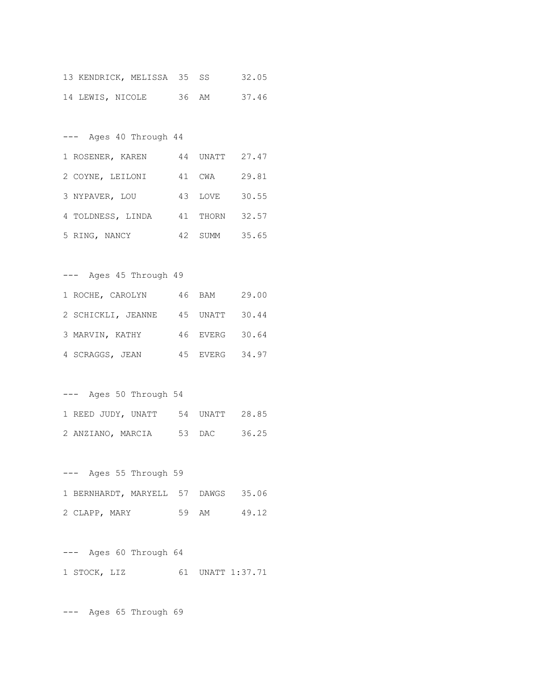|                  | 13 KENDRICK, MELISSA 35 SS |       |  | 32.05 |  |
|------------------|----------------------------|-------|--|-------|--|
| 14 LEWIS, NICOLE |                            | 36 AM |  | 37.46 |  |

--- Ages 40 Through 44 1 ROSENER, KAREN 44 UNATT 27.47 2 COYNE, LEILONI 41 CWA 29.81 3 NYPAVER, LOU 43 LOVE 30.55 4 TOLDNESS, LINDA 41 THORN 32.57 5 RING, NANCY 42 SUMM 35.65

--- Ages 45 Through 49

| 1 ROCHE, CAROLYN                  | 46 BAM | 29.00          |
|-----------------------------------|--------|----------------|
| 2 SCHICKLI, JEANNE 45 UNATT 30.44 |        |                |
| 3 MARVIN, KATHY                   |        | 46 EVERG 30.64 |
| 4 SCRAGGS, JEAN                   |        | 45 EVERG 34.97 |

--- Ages 50 Through 54 1 REED JUDY, UNATT 54 UNATT 28.85 2 ANZIANO, MARCIA 53 DAC 36.25

--- Ages 55 Through 59 1 BERNHARDT, MARYELL 57 DAWGS 35.06 2 CLAPP, MARY 59 AM 49.12

--- Ages 60 Through 64 1 STOCK, LIZ 61 UNATT 1:37.71

--- Ages 65 Through 69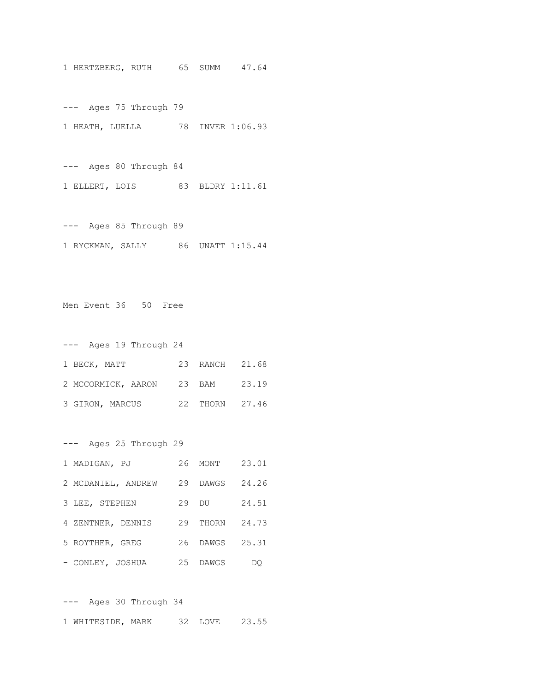1 HERTZBERG, RUTH 65 SUMM 47.64

--- Ages 75 Through 79 1 HEATH, LUELLA 78 INVER 1:06.93

--- Ages 80 Through 84 1 ELLERT, LOIS 83 BLDRY 1:11.61

--- Ages 85 Through 89 1 RYCKMAN, SALLY 86 UNATT 1:15.44

Men Event 36 50 Free

| $---$ |                 | Ages 19 Through 24 |    |                |  |
|-------|-----------------|--------------------|----|----------------|--|
|       | 1 BECK, MATT    |                    |    | 23 RANCH 21.68 |  |
|       |                 | 2 MCCORMICK, AARON |    | 23 BAM 23.19   |  |
|       | 3 GIRON, MARCUS |                    | 22 | THORN 27.46    |  |

--- Ages 25 Through 29 1 MADIGAN, PJ 26 MONT 23.01 2 MCDANIEL, ANDREW 29 DAWGS 24.26 3 LEE, STEPHEN 29 DU 24.51 4 ZENTNER, DENNIS 29 THORN 24.73 5 ROYTHER, GREG 26 DAWGS 25.31 - CONLEY, JOSHUA 25 DAWGS DQ

--- Ages 30 Through 34 1 WHITESIDE, MARK 32 LOVE 23.55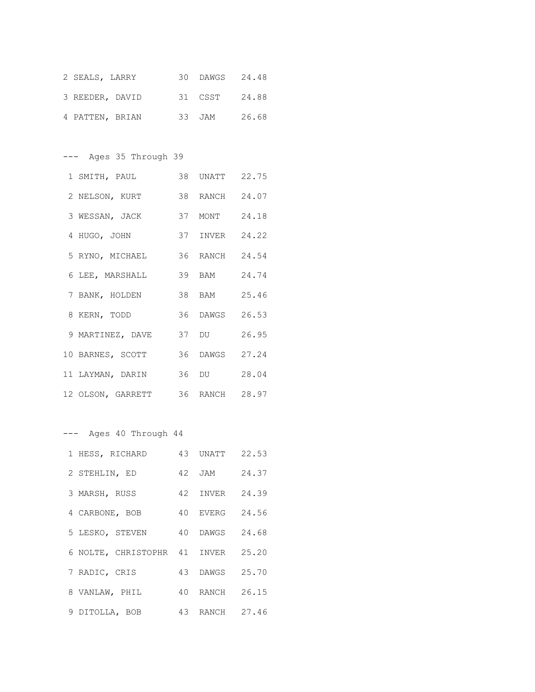| 2 SEALS, LARRY  |  | 30 DAWGS 24.48 |       |
|-----------------|--|----------------|-------|
| 3 REEDER, DAVID |  | 31 CSST 24.88  |       |
| 4 PATTEN, BRIAN |  | 33 JAM         | 26.68 |

--- Ages 35 Through 39

| 1 SMITH, PAUL                    | 38 UNATT       | 22.75 |
|----------------------------------|----------------|-------|
| 2 NELSON, KURT                   | 38 RANCH 24.07 |       |
| 3 WESSAN, JACK                   | 37 MONT 24.18  |       |
| 4 HUGO, JOHN                     | 37 INVER 24.22 |       |
| 5 RYNO, MICHAEL                  | 36 RANCH 24.54 |       |
| 6 LEE, MARSHALL                  | 39 BAM         | 24.74 |
| 7 BANK, HOLDEN                   | 38 BAM 25.46   |       |
| 8 KERN, TODD                     | 36 DAWGS 26.53 |       |
| 9 MARTINEZ, DAVE                 | 37 DU          | 26.95 |
| 10 BARNES, SCOTT                 | 36 DAWGS 27.24 |       |
| 11 LAYMAN, DARIN                 | 36 DU 28.04    |       |
| 12 OLSON, GARRETT 36 RANCH 28.97 |                |       |

--- Ages 40 Through 44

| 1 HESS, RICHARD              | 43 UNATT 22.53 |       |
|------------------------------|----------------|-------|
| 2 STEHLIN, ED                | 42 JAM         | 24.37 |
| 3 MARSH, RUSS                | 42 INVER       | 24.39 |
| 4 CARBONE, BOB               | 40 EVERG       | 24.56 |
| 5 LESKO, STEVEN              | 40 DAWGS       | 24.68 |
| 6 NOLTE, CHRISTOPHR 41 INVER |                | 25.20 |
| 7 RADIC, CRIS                | 43 DAWGS       | 25.70 |
| 8 VANLAW, PHIL               | 40 RANCH       | 26.15 |
| 9 DITOLLA, BOB               | 43 RANCH 27.46 |       |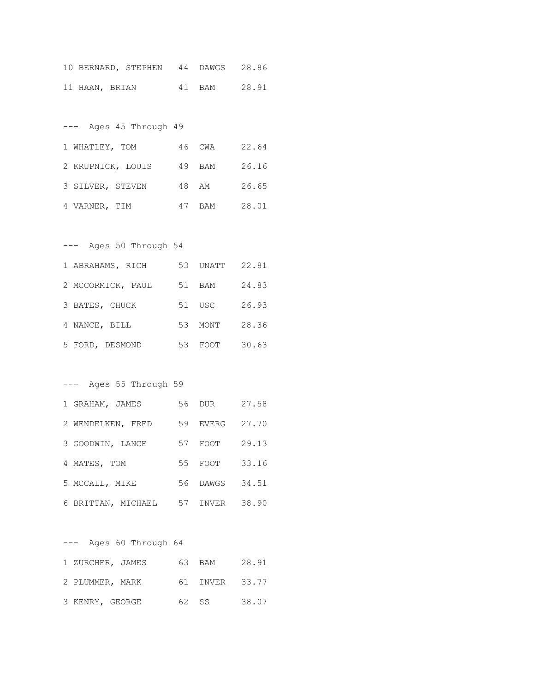|                | 10 BERNARD, STEPHEN 44 DAWGS 28.86 |  |              |
|----------------|------------------------------------|--|--------------|
| 11 HAAN, BRIAN |                                    |  | 41 BAM 28.91 |

| $---$             | Ages 45 Through 49 |    |        |       |
|-------------------|--------------------|----|--------|-------|
| 1 WHATLEY, TOM    |                    |    | 46 CWA | 22.64 |
| 2 KRUPNICK, LOUIS |                    |    | 49 BAM | 26.16 |
| 3 SILVER, STEVEN  |                    |    | 48 AM  | 26.65 |
| 4 VARNER, TIM     |                    | 47 | BAM    | 28.01 |

### --- Ages 50 Through 54

| 1 ABRAHAMS, RICH  | 53. | UNATT  | 22.81 |
|-------------------|-----|--------|-------|
| 2 MCCORMICK, PAUL | 51  | BAM    | 24.83 |
| 3 BATES, CHUCK    |     | 51 USC | 26.93 |
| 4 NANCE, BILL     | 53. | MONT   | 28.36 |
| 5 FORD, DESMOND   | 53. | FOOT   | 30.63 |

### --- Ages 55 Through 59

| 1 GRAHAM, JAMES    | 56 | DUR          | 27.58 |
|--------------------|----|--------------|-------|
| 2 WENDELKEN, FRED  | 59 | <b>EVERG</b> | 27.70 |
| 3 GOODWIN, LANCE   | 57 | FOOT         | 29.13 |
| 4 MATES, TOM       | 55 | FOOT         | 33.16 |
| 5 MCCALL, MIKE     | 56 | DAWGS        | 34.51 |
| 6 BRITTAN, MICHAEL | 57 | INVER        | 38.90 |

--- Ages 60 Through 64 1 ZURCHER, JAMES 63 BAM 28.91 2 PLUMMER, MARK 61 INVER 33.77

|  | 3 KENRY, GEORGE | 62 SS | 38.07 |
|--|-----------------|-------|-------|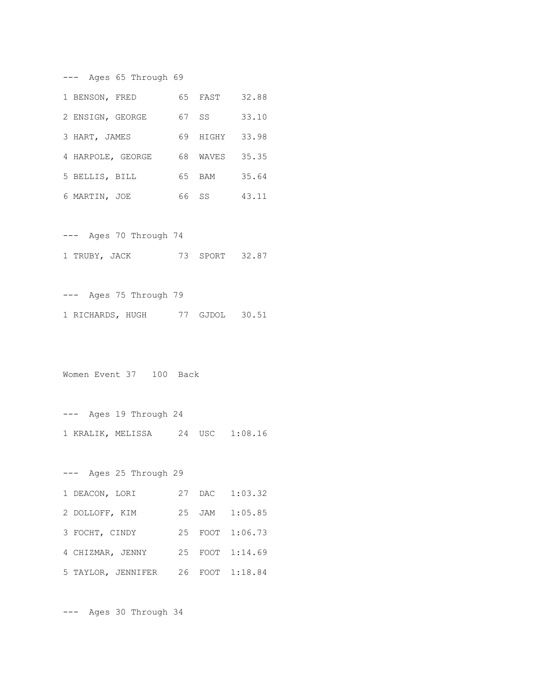--- Ages 65 Through 69 1 BENSON, FRED 65 FAST 32.88 2 ENSIGN, GEORGE 67 SS 33.10 3 HART, JAMES 69 HIGHY 33.98 4 HARPOLE, GEORGE 68 WAVES 35.35 5 BELLIS, BILL 65 BAM 35.64 6 MARTIN, JOE 66 SS 43.11

--- Ages 70 Through 74 1 TRUBY, JACK 73 SPORT 32.87

--- Ages 75 Through 79 1 RICHARDS, HUGH 77 GJDOL 30.51

Women Event 37 100 Back

--- Ages 19 Through 24 1 KRALIK, MELISSA 24 USC 1:08.16

--- Ages 25 Through 29 1 DEACON, LORI 27 DAC 1:03.32 2 DOLLOFF, KIM 25 JAM 1:05.85 3 FOCHT, CINDY 25 FOOT 1:06.73 4 CHIZMAR, JENNY 25 FOOT 1:14.69 5 TAYLOR, JENNIFER 26 FOOT 1:18.84

--- Ages 30 Through 34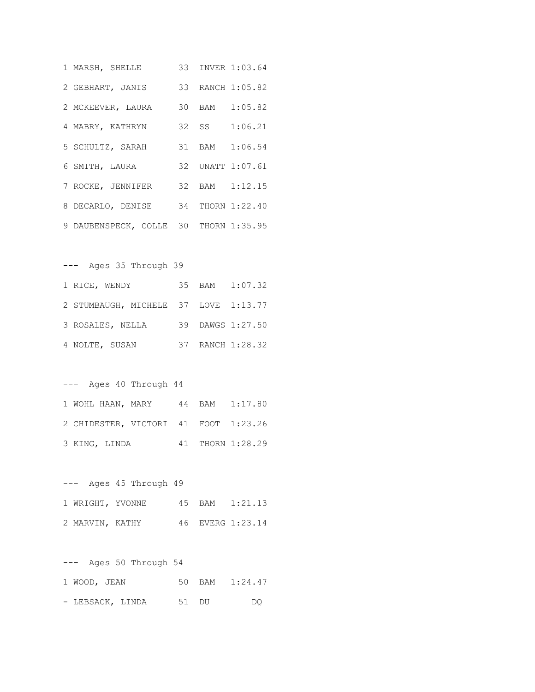| 1 MARSH, SHELLE                       |  | 33 INVER 1:03.64 |
|---------------------------------------|--|------------------|
| 2 GEBHART, JANIS 33 RANCH 1:05.82     |  |                  |
| 2 MCKEEVER, LAURA                     |  | 30 BAM 1:05.82   |
| 4 MABRY, KATHRYN                      |  | 32 SS 1:06.21    |
| 5 SCHULTZ, SARAH                      |  | 31 BAM 1:06.54   |
| 6 SMITH, LAURA                        |  | 32 UNATT 1:07.61 |
| 7 ROCKE, JENNIFER 32 BAM 1:12.15      |  |                  |
| 8 DECARLO, DENISE 34 THORN 1:22.40    |  |                  |
| 9 DAUBENSPECK, COLLE 30 THORN 1:35.95 |  |                  |

--- Ages 35 Through 39 1 RICE, WENDY 35 BAM 1:07.32 2 STUMBAUGH, MICHELE 37 LOVE 1:13.77 3 ROSALES, NELLA 39 DAWGS 1:27.50 4 NOLTE, SUSAN 37 RANCH 1:28.32

#### --- Ages 40 Through 44

|               | 1 WOHL HAAN, MARY 44 BAM 1:17.80     |  |                  |
|---------------|--------------------------------------|--|------------------|
|               | 2 CHIDESTER, VICTORI 41 FOOT 1:23.26 |  |                  |
| 3 KING, LINDA |                                      |  | 41 THORN 1:28.29 |

--- Ages 45 Through 49 1 WRIGHT, YVONNE 45 BAM 1:21.13 2 MARVIN, KATHY 46 EVERG 1:23.14

--- Ages 50 Through 54 1 WOOD, JEAN 50 BAM 1:24.47 - LEBSACK, LINDA 51 DU DQ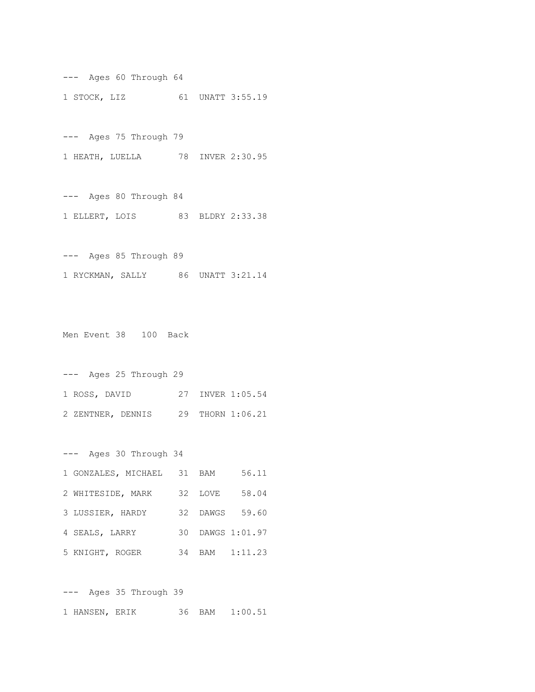--- Ages 60 Through 64 1 STOCK, LIZ 61 UNATT 3:55.19

--- Ages 75 Through 79

1 HEATH, LUELLA 78 INVER 2:30.95

--- Ages 80 Through 84 1 ELLERT, LOIS 83 BLDRY 2:33.38

--- Ages 85 Through 89 1 RYCKMAN, SALLY 86 UNATT 3:21.14

Men Event 38 100 Back

--- Ages 25 Through 29 1 ROSS, DAVID 27 INVER 1:05.54 2 ZENTNER, DENNIS 29 THORN 1:06.21

--- Ages 30 Through 34 1 GONZALES, MICHAEL 31 BAM 56.11 2 WHITESIDE, MARK 32 LOVE 58.04 3 LUSSIER, HARDY 32 DAWGS 59.60 4 SEALS, LARRY 30 DAWGS 1:01.97 5 KNIGHT, ROGER 34 BAM 1:11.23

--- Ages 35 Through 39 1 HANSEN, ERIK 36 BAM 1:00.51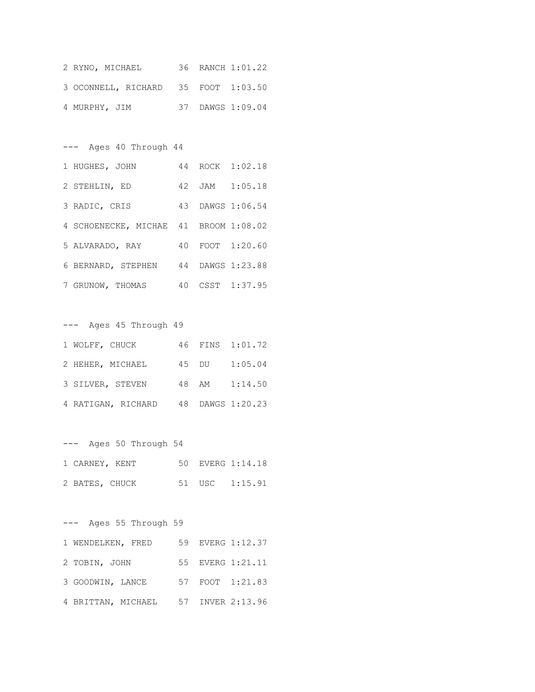| 2 RYNO, MICHAEL                     |  | 36 RANCH 1:01.22 |
|-------------------------------------|--|------------------|
| 3 OCONNELL, RICHARD 35 FOOT 1:03.50 |  |                  |
| 4 MURPHY, JIM                       |  | 37 DAWGS 1:09.04 |

--- Ages 40 Through 44 1 HUGHES, JOHN 44 ROCK 1:02.18 2 STEHLIN, ED 42 JAM 1:05.18 3 RADIC, CRIS 43 DAWGS 1:06.54 4 SCHOENECKE, MICHAE 41 BROOM 1:08.02 5 ALVARADO, RAY 40 FOOT 1:20.60 6 BERNARD, STEPHEN 44 DAWGS 1:23.88 7 GRUNOW, THOMAS 40 CSST 1:37.95

--- Ages 45 Through 49 1 WOLFF, CHUCK 46 FINS 1:01.72 2 HEHER, MICHAEL 45 DU 1:05.04 3 SILVER, STEVEN 48 AM 1:14.50 4 RATIGAN, RICHARD 48 DAWGS 1:20.23

--- Ages 50 Through 54 1 CARNEY, KENT 50 EVERG 1:14.18 2 BATES, CHUCK 51 USC 1:15.91

--- Ages 55 Through 59 1 WENDELKEN, FRED 59 EVERG 1:12.37 2 TOBIN, JOHN 55 EVERG 1:21.11 3 GOODWIN, LANCE 57 FOOT 1:21.83 4 BRITTAN, MICHAEL 57 INVER 2:13.96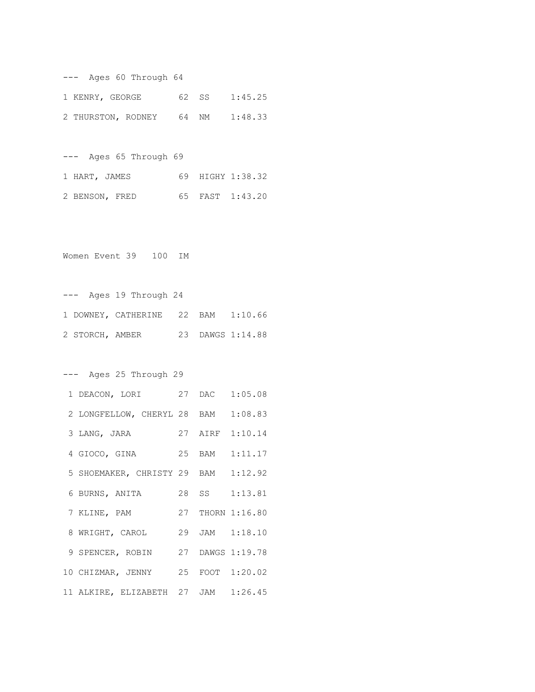| Ages 60 Through 64 |    |        |                  |  |  |
|--------------------|----|--------|------------------|--|--|
| 1 KENRY, GEORGE    |    | 62 S.S | 1:45.25          |  |  |
| 2 THURSTON, RODNEY | 64 | NM     | 1:48.33          |  |  |
|                    |    |        |                  |  |  |
| Ages 65 Through 69 |    |        |                  |  |  |
| 1 HART, JAMES      |    |        | 69 HIGHY 1:38.32 |  |  |
| 2 BENSON, FRED     | 65 |        | FAST 1:43.20     |  |  |

Women Event 39 100 IM

--- Ages 19 Through 24 1 DOWNEY, CATHERINE 22 BAM 1:10.66 2 STORCH, AMBER 23 DAWGS 1:14.88

--- Ages 25 Through 29

| 1 DEACON, LORI 27 DAC 1:05.08       |  |                  |
|-------------------------------------|--|------------------|
| 2 LONGFELLOW, CHERYL 28 BAM 1:08.83 |  |                  |
| 3 LANG, JARA                        |  | 27 AIRF 1:10.14  |
| 4 GIOCO, GINA 25 BAM 1:11.17        |  |                  |
| 5 SHOEMAKER, CHRISTY 29 BAM 1:12.92 |  |                  |
| 6 BURNS, ANITA                      |  | 28 SS 1:13.81    |
| 7 KLINE, PAM                        |  | 27 THORN 1:16.80 |
| 8 WRIGHT, CAROL 29 JAM 1:18.10      |  |                  |
| 9 SPENCER, ROBIN 27 DAWGS 1:19.78   |  |                  |
| 10 CHIZMAR, JENNY 25 FOOT 1:20.02   |  |                  |
| 11 ALKIRE, ELIZABETH 27 JAM 1:26.45 |  |                  |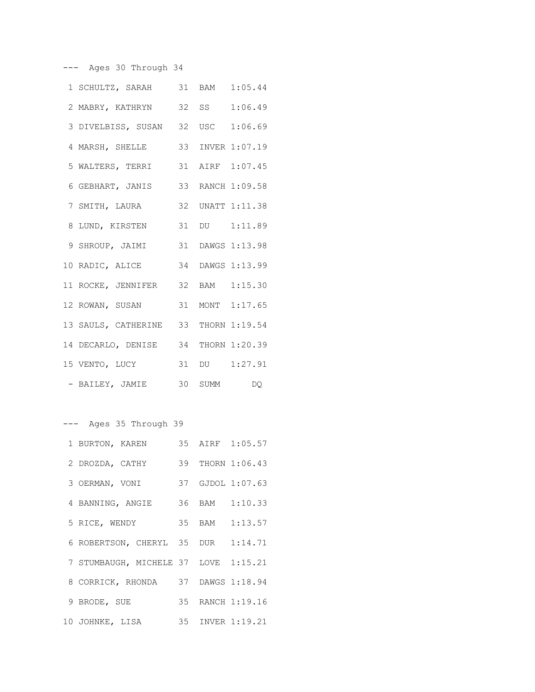--- Ages 30 Through 34

| 1 SCHULTZ, SARAH 31 BAM 1:05.44      |       |                  |
|--------------------------------------|-------|------------------|
| 2 MABRY, KATHRYN                     | 32 SS | 1:06.49          |
| 3 DIVELBISS, SUSAN 32 USC 1:06.69    |       |                  |
| 4 MARSH, SHELLE                      |       | 33 INVER 1:07.19 |
| 5 WALTERS, TERRI 31 AIRF 1:07.45     |       |                  |
| 6 GEBHART, JANIS 33 RANCH 1:09.58    |       |                  |
| 7 SMITH, LAURA                       |       | 32 UNATT 1:11.38 |
| 8 LUND, KIRSTEN 31 DU 1:11.89        |       |                  |
| 9 SHROUP, JAIMI 31 DAWGS 1:13.98     |       |                  |
| 10 RADIC, ALICE 34 DAWGS 1:13.99     |       |                  |
| 11 ROCKE, JENNIFER 32 BAM 1:15.30    |       |                  |
| 12 ROWAN, SUSAN 31 MONT 1:17.65      |       |                  |
| 13 SAULS, CATHERINE 33 THORN 1:19.54 |       |                  |
| 14 DECARLO, DENISE 34 THORN 1:20.39  |       |                  |
| 15 VENTO, LUCY                       |       | 31 DU 1:27.91    |
| - BAILEY, JAMIE 30 SUMM DQ           |       |                  |

--- Ages 35 Through 39 1 BURTON, KAREN 35 AIRF 1:05.57 2 DROZDA, CATHY 39 THORN 1:06.43 3 OERMAN, VONI 37 GJDOL 1:07.63 4 BANNING, ANGIE 36 BAM 1:10.33 5 RICE, WENDY 35 BAM 1:13.57 6 ROBERTSON, CHERYL 35 DUR 1:14.71 7 STUMBAUGH, MICHELE 37 LOVE 1:15.21 8 CORRICK, RHONDA 37 DAWGS 1:18.94 9 BRODE, SUE 35 RANCH 1:19.16 10 JOHNKE, LISA 35 INVER 1:19.21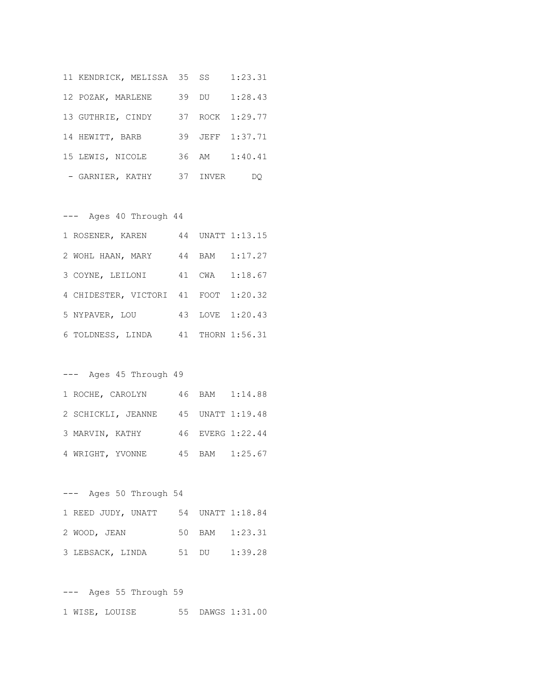|                   | 11 KENDRICK, MELISSA 35 SS |    |       | 1:23.31         |
|-------------------|----------------------------|----|-------|-----------------|
| 12 POZAK, MARLENE |                            |    | 39 DU | 1:28.43         |
| 13 GUTHRIE, CINDY |                            |    |       | 37 ROCK 1:29.77 |
| 14 HEWITT, BARB   |                            |    |       | 39 JEFF 1:37.71 |
| 15 LEWIS, NICOLE  |                            |    | 36 AM | 1:40.41         |
| - GARNIER, KATHY  |                            | 37 | INVER |                 |

--- Ages 40 Through 44

| 1 ROSENER, KAREN                     |  | 44 UNATT 1:13.15 |
|--------------------------------------|--|------------------|
| 2 WOHL HAAN, MARY                    |  | 44 BAM 1:17.27   |
| 3 COYNE, LEILONI                     |  | 41 CWA 1:18.67   |
| 4 CHIDESTER, VICTORI 41 FOOT 1:20.32 |  |                  |
| 5 NYPAVER, LOU                       |  | 43 LOVE 1:20.43  |
| 6 TOLDNESS, LINDA                    |  | 41 THORN 1:56.31 |

# --- Ages 45 Through 49

| 1 ROCHE, CAROLYN |                    |  | 46 BAM 1:14.88   |
|------------------|--------------------|--|------------------|
|                  | 2 SCHICKLI, JEANNE |  | 45 UNATT 1:19.48 |
| 3 MARVIN, KATHY  |                    |  | 46 EVERG 1:22.44 |
| 4 WRIGHT, YVONNE |                    |  | 45 BAM 1:25.67   |

# --- Ages 50 Through 54

| 1 REED JUDY, UNATT 54 UNATT 1:18.84 |  |                |
|-------------------------------------|--|----------------|
| 2 WOOD, JEAN                        |  | 50 BAM 1:23.31 |
| 3 LEBSACK, LINDA                    |  | 51 DU 1:39.28  |

--- Ages 55 Through 59 1 WISE, LOUISE 55 DAWGS 1:31.00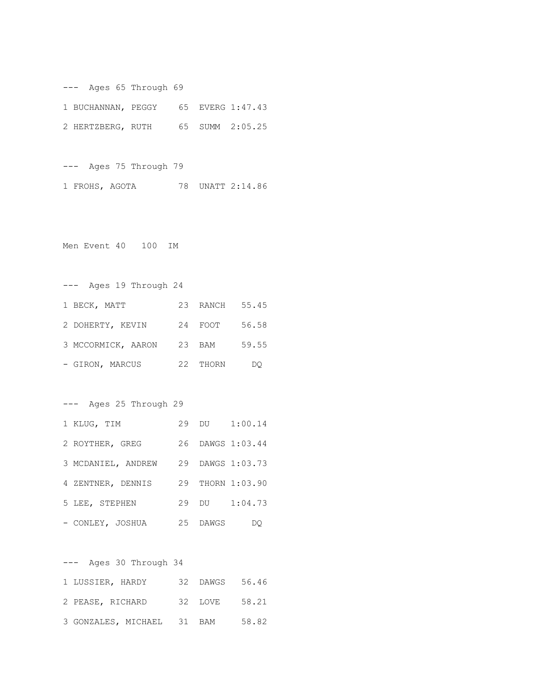--- Ages 65 Through 69 1 BUCHANNAN, PEGGY 65 EVERG 1:47.43 2 HERTZBERG, RUTH 65 SUMM 2:05.25

--- Ages 75 Through 79 1 FROHS, AGOTA 78 UNATT 2:14.86

Men Event 40 100 IM

--- Ages 19 Through 24 1 BECK, MATT 23 RANCH 55.45 2 DOHERTY, KEVIN 24 FOOT 56.58 3 MCCORMICK, AARON 23 BAM 59.55 - GIRON, MARCUS 22 THORN DQ

--- Ages 25 Through 29

| 1 KLUG, TIM        |          | 29 DU 1:00.14    |
|--------------------|----------|------------------|
| 2 ROYTHER, GREG    |          | 26 DAWGS 1:03.44 |
| 3 MCDANIEL, ANDREW |          | 29 DAWGS 1:03.73 |
| 4 ZENTNER, DENNIS  |          | 29 THORN 1:03.90 |
| 5 LEE, STEPHEN     | 29 DU    | 1:04.73          |
| - CONLEY, JOSHUA   | 25 DAWGS | DO               |

--- Ages 30 Through 34 1 LUSSIER, HARDY 32 DAWGS 56.46 2 PEASE, RICHARD 32 LOVE 58.21 3 GONZALES, MICHAEL 31 BAM 58.82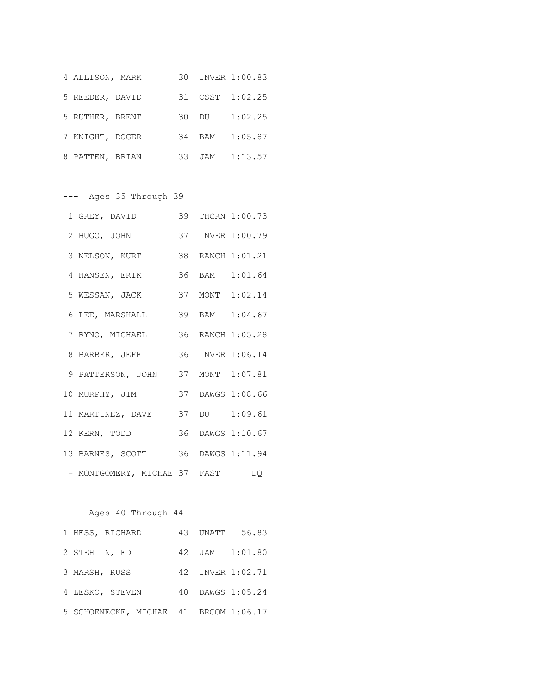| 4 ALLISON, MARK |       | 30 INVER 1:00.83 |
|-----------------|-------|------------------|
| 5 REEDER, DAVID |       | 31 CSST 1:02.25  |
| 5 RUTHER, BRENT | 30 DU | 1:02.25          |
| 7 KNIGHT, ROGER |       | 34 BAM 1:05.87   |
| 8 PATTEN, BRIAN |       | 33 JAM 1:13.57   |

--- Ages 35 Through 39

| 1 GREY, DAVID                     |  | 39 THORN 1:00.73 |
|-----------------------------------|--|------------------|
| 2 HUGO, JOHN                      |  | 37 INVER 1:00.79 |
| 3 NELSON, KURT                    |  | 38 RANCH 1:01.21 |
| 4 HANSEN, ERIK                    |  | 36 BAM 1:01.64   |
| 5 WESSAN, JACK                    |  | 37 MONT 1:02.14  |
| 6 LEE, MARSHALL                   |  | 39 BAM 1:04.67   |
| 7 RYNO, MICHAEL                   |  | 36 RANCH 1:05.28 |
| 8 BARBER, JEFF                    |  | 36 INVER 1:06.14 |
| 9 PATTERSON, JOHN 37 MONT 1:07.81 |  |                  |
| 10 MURPHY, JIM                    |  | 37 DAWGS 1:08.66 |
| 11 MARTINEZ, DAVE                 |  | 37 DU 1:09.61    |
| 12 KERN, TODD                     |  | 36 DAWGS 1:10.67 |
| 13 BARNES, SCOTT 36 DAWGS 1:11.94 |  |                  |
| - MONTGOMERY, MICHAE 37 FAST DQ   |  |                  |

--- Ages 40 Through 44 1 HESS, RICHARD 43 UNATT 56.83 2 STEHLIN, ED 42 JAM 1:01.80 3 MARSH, RUSS 42 INVER 1:02.71 4 LESKO, STEVEN 40 DAWGS 1:05.24 5 SCHOENECKE, MICHAE 41 BROOM 1:06.17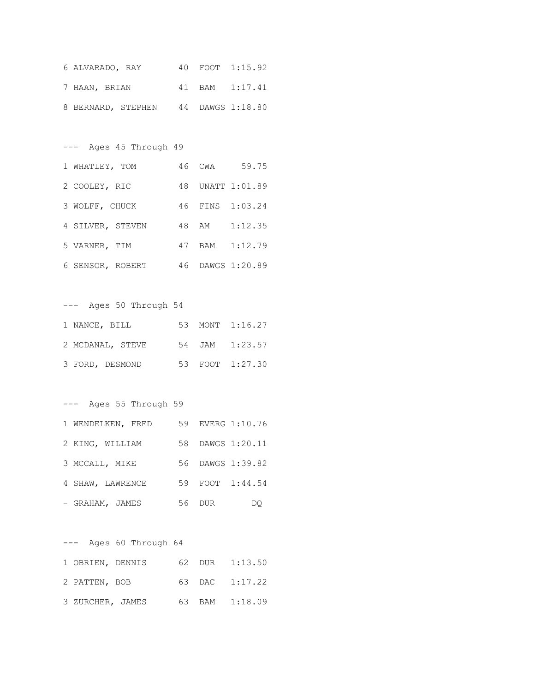| 6 ALVARADO, RAY |                                     |  | 40 FOOT 1:15.92 |
|-----------------|-------------------------------------|--|-----------------|
| 7 HAAN, BRIAN   |                                     |  | 41 BAM 1:17.41  |
|                 | 8 BERNARD, STEPHEN 44 DAWGS 1:18.80 |  |                 |

--- Ages 45 Through 49 1 WHATLEY, TOM 46 CWA 59.75 2 COOLEY, RIC 48 UNATT 1:01.89 3 WOLFF, CHUCK 46 FINS 1:03.24 4 SILVER, STEVEN 48 AM 1:12.35 5 VARNER, TIM 47 BAM 1:12.79 6 SENSOR, ROBERT 46 DAWGS 1:20.89

--- Ages 50 Through 54 1 NANCE, BILL 53 MONT 1:16.27 2 MCDANAL, STEVE 54 JAM 1:23.57 3 FORD, DESMOND 53 FOOT 1:27.30

--- Ages 55 Through 59

| 1 WENDELKEN, FRED |    |      | 59 EVERG 1:10.76 |
|-------------------|----|------|------------------|
| 2 KING, WILLIAM   |    |      | 58 DAWGS 1:20.11 |
| 3 MCCALL, MIKE    |    |      | 56 DAWGS 1:39.82 |
| 4 SHAW, LAWRENCE  |    |      | 59 FOOT 1:44.54  |
| - GRAHAM, JAMES   | 56 | DUR. | DO.              |

--- Ages 60 Through 64 1 OBRIEN, DENNIS 62 DUR 1:13.50 2 PATTEN, BOB 63 DAC 1:17.22 3 ZURCHER, JAMES 63 BAM 1:18.09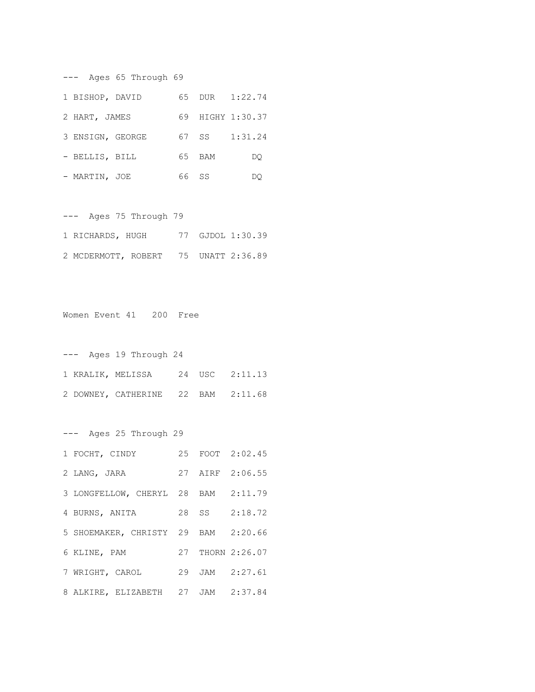--- Ages 65 Through 69 1 BISHOP, DAVID 65 DUR 1:22.74 2 HART, JAMES 69 HIGHY 1:30.37 3 ENSIGN, GEORGE 67 SS 1:31.24 - BELLIS, BILL 65 BAM DQ - MARTIN, JOE 66 SS DQ

--- Ages 75 Through 79 1 RICHARDS, HUGH 77 GJDOL 1:30.39 2 MCDERMOTT, ROBERT 75 UNATT 2:36.89

Women Event 41 200 Free

--- Ages 19 Through 24 1 KRALIK, MELISSA 24 USC 2:11.13 2 DOWNEY, CATHERINE 22 BAM 2:11.68

--- Ages 25 Through 29 1 FOCHT, CINDY 25 FOOT 2:02.45 2 LANG, JARA 27 AIRF 2:06.55 3 LONGFELLOW, CHERYL 28 BAM 2:11.79 4 BURNS, ANITA 28 SS 2:18.72 5 SHOEMAKER, CHRISTY 29 BAM 2:20.66 6 KLINE, PAM 27 THORN 2:26.07 7 WRIGHT, CAROL 29 JAM 2:27.61 8 ALKIRE, ELIZABETH 27 JAM 2:37.84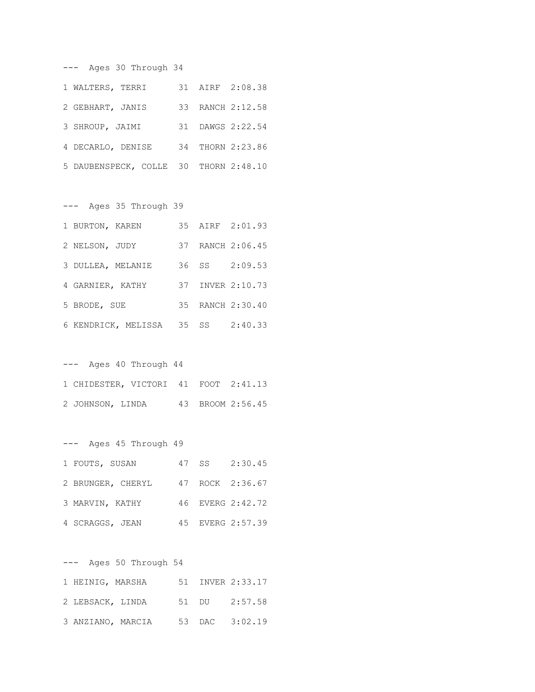| --- Ages 30 Through 34                |  |                  |
|---------------------------------------|--|------------------|
| 1 WALTERS, TERRI                      |  | 31 AIRF 2:08.38  |
| 2 GEBHART, JANIS                      |  | 33 RANCH 2:12.58 |
| 3 SHROUP, JAIMI                       |  | 31 DAWGS 2:22.54 |
| 4 DECARLO, DENISE                     |  | 34 THORN 2:23.86 |
| 5 DAUBENSPECK, COLLE 30 THORN 2:48.10 |  |                  |

|                   | --- Ages 35 Through 39 |  |                                   |
|-------------------|------------------------|--|-----------------------------------|
| 1 BURTON, KAREN   |                        |  | 35 AIRF 2:01.93                   |
| 2 NELSON, JUDY    |                        |  | 37 RANCH 2:06.45                  |
| 3 DULLEA, MELANIE |                        |  | 36 SS 2:09.53                     |
| 4 GARNIER, KATHY  |                        |  | 37 INVER 2:10.73                  |
| 5 BRODE, SUE      |                        |  | 35 RANCH 2:30.40                  |
|                   |                        |  | 6 KENDRICK, MELISSA 35 SS 2:40.33 |

| $---$ |                  | Ages 40 Through 44                   |  |                  |
|-------|------------------|--------------------------------------|--|------------------|
|       |                  | 1 CHIDESTER, VICTORI 41 FOOT 2:41.13 |  |                  |
|       | 2 JOHNSON, LINDA |                                      |  | 43 BROOM 2:56.45 |

| Ages 45 Through 49 |  |                  |
|--------------------|--|------------------|
| 1 FOUTS, SUSAN     |  | 47 SS 2:30.45    |
| 2 BRUNGER, CHERYL  |  | 47 ROCK 2:36.67  |
| 3 MARVIN, KATHY    |  | 46 EVERG 2:42.72 |
| 4 SCRAGGS, JEAN    |  | 45 EVERG 2:57.39 |

| $---$ |                  | Ages 50 Through 54 |  |                  |
|-------|------------------|--------------------|--|------------------|
|       | 1 HEINIG, MARSHA |                    |  | 51 INVER 2:33.17 |
|       | 2 LEBSACK, LINDA |                    |  | 51 DU 2:57.58    |
|       |                  | 3 ANZIANO, MARCIA  |  | 53 DAC 3:02.19   |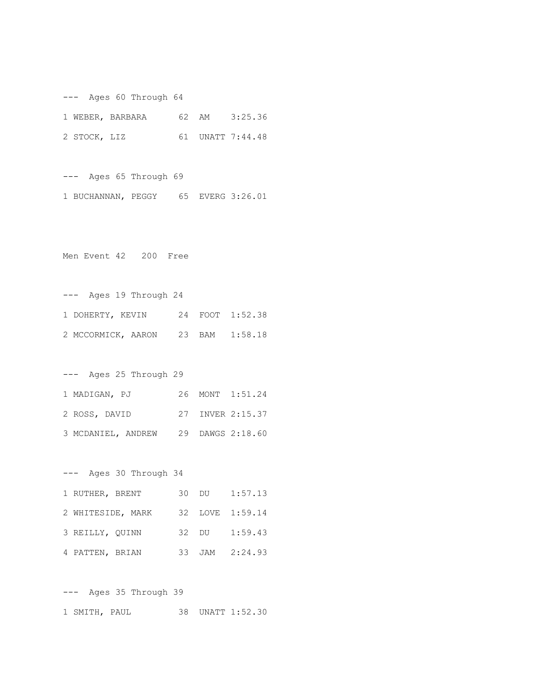--- Ages 60 Through 64

|              | 1 WEBER, BARBARA |  | 62 AM 3:25.36    |
|--------------|------------------|--|------------------|
| 2 STOCK, LIZ |                  |  | 61 UNATT 7:44.48 |

--- Ages 65 Through 69 1 BUCHANNAN, PEGGY 65 EVERG 3:26.01

Men Event 42 200 Free

--- Ages 19 Through 24 1 DOHERTY, KEVIN 24 FOOT 1:52.38 2 MCCORMICK, AARON 23 BAM 1:58.18

--- Ages 25 Through 29 1 MADIGAN, PJ 26 MONT 1:51.24 2 ROSS, DAVID 27 INVER 2:15.37 3 MCDANIEL, ANDREW 29 DAWGS 2:18.60

--- Ages 30 Through 34 1 RUTHER, BRENT 30 DU 1:57.13 2 WHITESIDE, MARK 32 LOVE 1:59.14 3 REILLY, QUINN 32 DU 1:59.43 4 PATTEN, BRIAN 33 JAM 2:24.93

--- Ages 35 Through 39 1 SMITH, PAUL 38 UNATT 1:52.30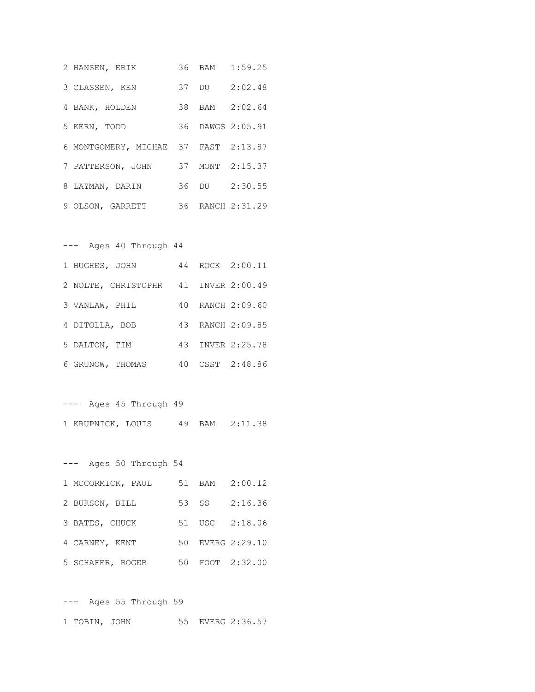| 2 HANSEN, ERIK                       |  | 36 BAM 1:59.25   |
|--------------------------------------|--|------------------|
| 3 CLASSEN, KEN                       |  | 37 DU 2:02.48    |
| 4 BANK, HOLDEN                       |  | 38 BAM 2:02.64   |
| 5 KERN, TODD                         |  | 36 DAWGS 2:05.91 |
| 6 MONTGOMERY, MICHAE 37 FAST 2:13.87 |  |                  |
| 7 PATTERSON, JOHN                    |  | 37 MONT 2:15.37  |
| 8 LAYMAN, DARIN                      |  | 36 DU 2:30.55    |
| 9 OLSON, GARRETT                     |  | 36 RANCH 2:31.29 |

## --- Ages 40 Through 44

| 1 HUGHES, JOHN                       |  | 44 ROCK 2:00.11  |
|--------------------------------------|--|------------------|
| 2 NOLTE, CHRISTOPHR 41 INVER 2:00.49 |  |                  |
| 3 VANLAW, PHIL                       |  | 40 RANCH 2:09.60 |
| 4 DITOLLA, BOB                       |  | 43 RANCH 2:09.85 |
| 5 DALTON, TIM                        |  | 43 INVER 2:25.78 |
| 6 GRUNOW, THOMAS                     |  | 40 CSST 2:48.86  |

--- Ages 45 Through 49

| 1 KRUPNICK, LOUIS |  | 49 BAM 2:11.38 |
|-------------------|--|----------------|

--- Ages 50 Through 54

| 1 MCCORMICK, PAUL |       | 51 BAM 2:00.12   |
|-------------------|-------|------------------|
| 2 BURSON, BILL    | 53 SS | 2:16.36          |
| 3 BATES, CHUCK    |       | 51 USC 2:18.06   |
| 4 CARNEY, KENT    |       | 50 EVERG 2:29.10 |
| 5 SCHAFER, ROGER  |       | 50 FOOT 2:32.00  |

--- Ages 55 Through 59 1 TOBIN, JOHN 55 EVERG 2:36.57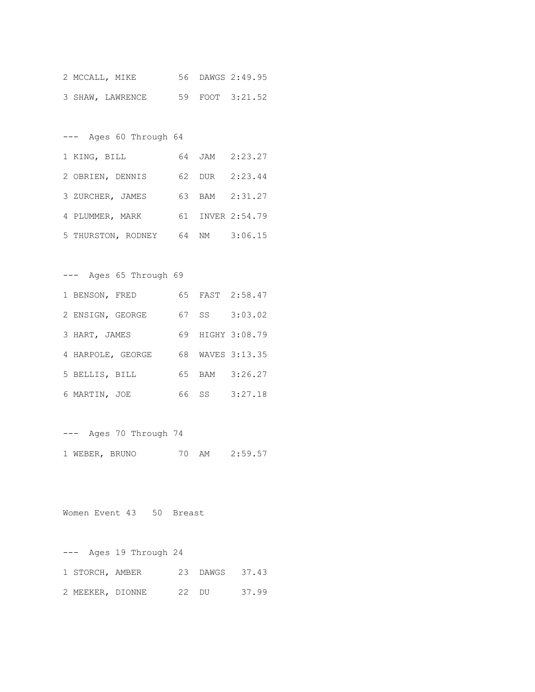|  | 2 MCCALL, MIKE   |  | 56 DAWGS 2:49.95 |
|--|------------------|--|------------------|
|  | 3 SHAW, LAWRENCE |  | 59 FOOT 3:21.52  |

--- Ages 60 Through 64 1 KING, BILL 64 JAM 2:23.27 2 OBRIEN, DENNIS 62 DUR 2:23.44 3 ZURCHER, JAMES 63 BAM 2:31.27 4 PLUMMER, MARK 61 INVER 2:54.79 5 THURSTON, RODNEY 64 NM 3:06.15

--- Ages 65 Through 69 1 BENSON, FRED 65 FAST 2:58.47 2 ENSIGN, GEORGE 67 SS 3:03.02 3 HART, JAMES 69 HIGHY 3:08.79 4 HARPOLE, GEORGE 68 WAVES 3:13.35 5 BELLIS, BILL 65 BAM 3:26.27 6 MARTIN, JOE 66 SS 3:27.18

--- Ages 70 Through 74

1 WEBER, BRUNO 70 AM 2:59.57

Women Event 43 50 Breast

--- Ages 19 Through 24 1 STORCH, AMBER 23 DAWGS 37.43 2 MEEKER, DIONNE 22 DU 37.99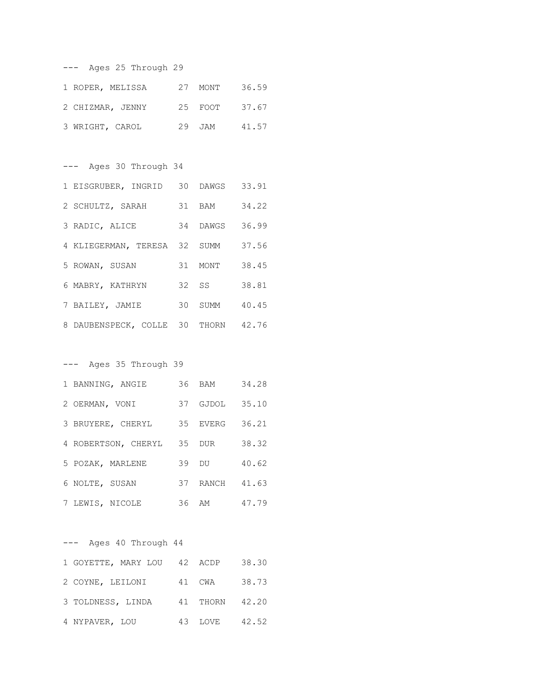|  | --- Ages 25 Through 29 |  |
|--|------------------------|--|
|  |                        |  |

| 1 ROPER, MELISSA | 27 MONT | 36.59 |
|------------------|---------|-------|
| 2 CHIZMAR, JENNY | 25 FOOT | 37.67 |
| 3 WRIGHT, CAROL  | 29 JAM  | 41.57 |

--- Ages 30 Through 34

| 1 EISGRUBER, INGRID 30 DAWGS        |          | 33.91 |
|-------------------------------------|----------|-------|
| 2 SCHULTZ, SARAH                    | 31 BAM   | 34.22 |
| 3 RADIC, ALICE                      | 34 DAWGS | 36.99 |
| 4 KLIEGERMAN, TERESA 32 SUMM        |          | 37.56 |
| 5 ROWAN, SUSAN                      | 31 MONT  | 38.45 |
| 6 MABRY, KATHRYN                    | $32$ SS  | 38.81 |
| 7 BAILEY, JAMIE                     | 30 SUMM  | 40.45 |
| 8 DAUBENSPECK, COLLE 30 THORN 42.76 |          |       |

--- Ages 35 Through 39

| 1 BANNING, ANGIE    | 36 BAM   | 34.28 |
|---------------------|----------|-------|
| 2 OERMAN, VONI      | 37 GJDOL | 35.10 |
| 3 BRUYERE, CHERYL   | 35 EVERG | 36.21 |
| 4 ROBERTSON, CHERYL | 35 DUR   | 38.32 |
| 5 POZAK, MARLENE    | 39 DU    | 40.62 |
| 6 NOLTE, SUSAN      | 37 RANCH | 41.63 |
| 7 LEWIS, NICOLE     | 36 AM    | 47.79 |

--- Ages 40 Through 44 1 GOYETTE, MARY LOU 42 ACDP 38.30 2 COYNE, LEILONI 41 CWA 38.73 3 TOLDNESS, LINDA 41 THORN 42.20 4 NYPAVER, LOU 43 LOVE 42.52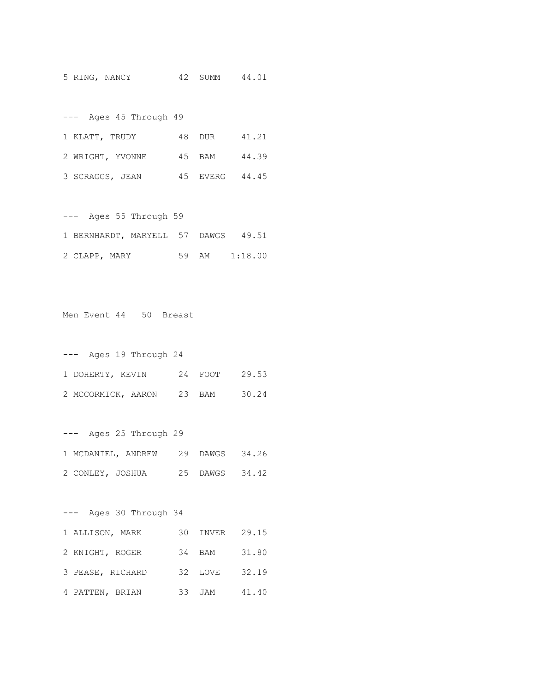5 RING, NANCY 42 SUMM 44.01

| Ages 45 Through 49<br>$---$ |                |       |
|-----------------------------|----------------|-------|
| 1 KLATT, TRUDY              | 48 DUR 41.21   |       |
| 2 WRIGHT, YVONNE            | 45 BAM         | 44.39 |
| 3 SCRAGGS, JEAN             | 45 EVERG 44.45 |       |

--- Ages 55 Through 59 1 BERNHARDT, MARYELL 57 DAWGS 49.51 2 CLAPP, MARY 59 AM 1:18.00

Men Event 44 50 Breast

| Ages 19 Through 24<br>$---$ |         |       |
|-----------------------------|---------|-------|
| 1 DOHERTY, KEVIN            | 24 FOOT | 29.53 |
| 2 MCCORMICK, AARON          | 23 BAM  | 30.24 |

--- Ages 25 Through 29 1 MCDANIEL, ANDREW 29 DAWGS 34.26 2 CONLEY, JOSHUA 25 DAWGS 34.42

--- Ages 30 Through 34 1 ALLISON, MARK 30 INVER 29.15 2 KNIGHT, ROGER 34 BAM 31.80 3 PEASE, RICHARD 32 LOVE 32.19 4 PATTEN, BRIAN 33 JAM 41.40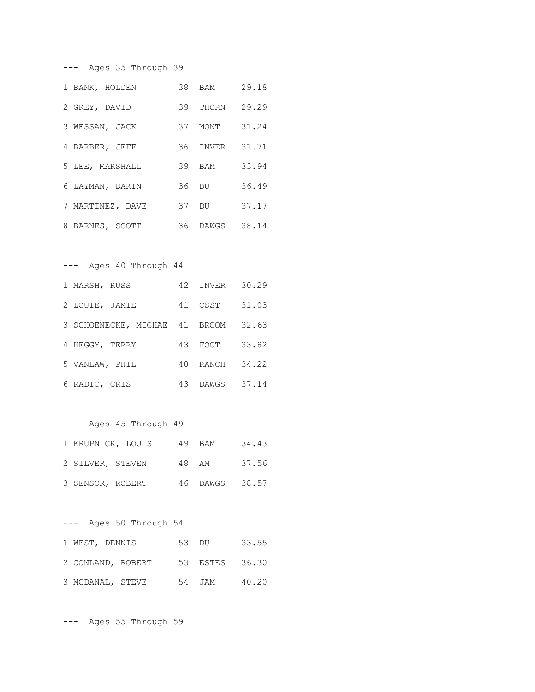--- Ages 35 Through 39

| 1 BANK, HOLDEN   | 38 BAM   | 29.18 |
|------------------|----------|-------|
| 2 GREY, DAVID    | 39 THORN | 29.29 |
| 3 WESSAN, JACK   | 37 MONT  | 31.24 |
| 4 BARBER, JEFF   | 36 INVER | 31.71 |
| 5 LEE, MARSHALL  | 39 BAM   | 33.94 |
| 6 LAYMAN, DARIN  | 36 DU    | 36.49 |
| 7 MARTINEZ, DAVE | 37 DU    | 37.17 |
| 8 BARNES, SCOTT  | 36 DAWGS | 38.14 |

--- Ages 40 Through 44

| 1 MARSH, RUSS                 |    | 42 INVER 30.29 |       |
|-------------------------------|----|----------------|-------|
| 2 LOUIE, JAMIE                |    | 41 CSST        | 31.03 |
| 3 SCHOENECKE, MICHAE 41 BROOM |    |                | 32.63 |
| 4 HEGGY, TERRY                |    | 43 FOOT        | 33.82 |
| 5 VANLAW, PHIL                | 40 | RANCH 34.22    |       |
| 6 RADIC, CRIS                 |    | 43 DAWGS 37.14 |       |

--- Ages 45 Through 49 1 KRUPNICK, LOUIS 49 BAM 34.43 2 SILVER, STEVEN 48 AM 37.56 3 SENSOR, ROBERT 46 DAWGS 38.57

--- Ages 50 Through 54 1 WEST, DENNIS 53 DU 33.55 2 CONLAND, ROBERT 53 ESTES 36.30 3 MCDANAL, STEVE 54 JAM 40.20

--- Ages 55 Through 59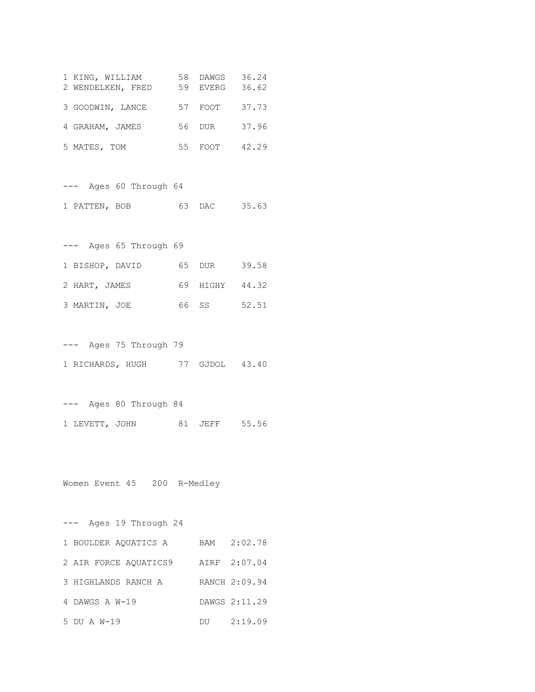| 1 KING, WILLIAM<br>2 WENDELKEN, FRED | 58 | DAWGS<br>59 EVERG | 36.24<br>36.62 |
|--------------------------------------|----|-------------------|----------------|
| 3 GOODWIN, LANCE                     |    | 57 FOOT           | 37.73          |
| 4 GRAHAM, JAMES                      |    | 56 DUR            | 37.96          |
| 5 MATES, TOM                         | 55 | FOOT              | 42.29          |

--- Ages 60 Through 64 1 PATTEN, BOB 63 DAC 35.63

--- Ages 65 Through 69 1 BISHOP, DAVID 65 DUR 39.58 2 HART, JAMES 69 HIGHY 44.32 3 MARTIN, JOE 66 SS 52.51

--- Ages 75 Through 79 1 RICHARDS, HUGH 77 GJDOL 43.40

--- Ages 80 Through 84 1 LEVETT, JOHN 81 JEFF 55.56

Women Event 45 200 R-Medley

--- Ages 19 Through 24 1 BOULDER AQUATICS A BAM 2:02.78 2 AIR FORCE AQUATICS9 AIRF 2:07.04 3 HIGHLANDS RANCH A RANCH 2:09.94 4 DAWGS A W-19 DAWGS 2:11.29 5 DU A W-19 DU 2:19.09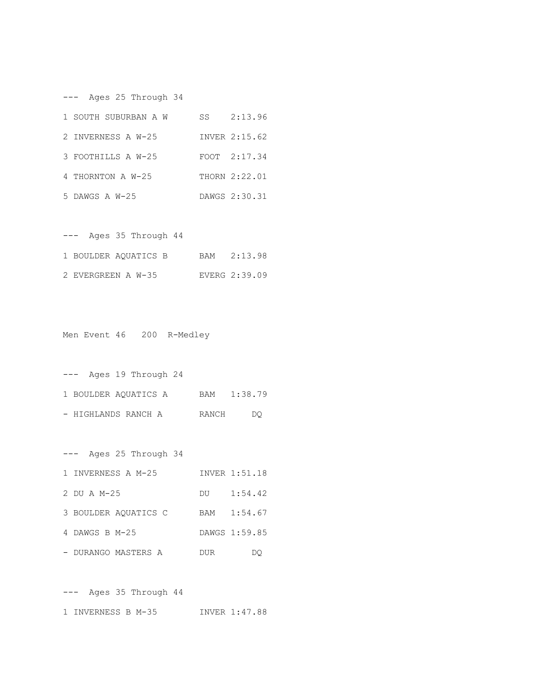--- Ages 25 Through 34

| 1 SOUTH SUBURBAN A W | SS | 2:13.96       |
|----------------------|----|---------------|
| 2 INVERNESS A W-25   |    | INVER 2:15.62 |
| 3 FOOTHILLS A W-25   |    | FOOT 2:17.34  |
| 4 THORNTON A W-25    |    | THORN 2:22.01 |
| 5 DAWGS A W-25       |    | DAWGS 2:30.31 |

|  |  | Ages 35 Through 44   |  |               |
|--|--|----------------------|--|---------------|
|  |  | 1 BOULDER AOUATICS B |  | BAM 2:13.98   |
|  |  | 2 EVERGREEN A W-35   |  | EVERG 2:39.09 |

Men Event 46 200 R-Medley

|                      | Ages 19 Through 24 |       |         |
|----------------------|--------------------|-------|---------|
| 1 BOULDER AOUATICS A |                    | BAM   | 1:38.79 |
| - HIGHLANDS RANCH A  |                    | RANCH | DO.     |

| Ages 25 Through 34<br>--- |     |               |
|---------------------------|-----|---------------|
| 1 INVERNESS A M-25        |     | INVER 1:51.18 |
| 2 DU A M-25               | DU  | 1:54.42       |
| 3 BOULDER AQUATICS C      | BAM | 1:54.67       |
| 4 DAWGS B M-25            |     | DAWGS 1:59.85 |
| - DURANGO MASTERS A       | DUR |               |

--- Ages 35 Through 44 1 INVERNESS B M-35 INVER 1:47.88